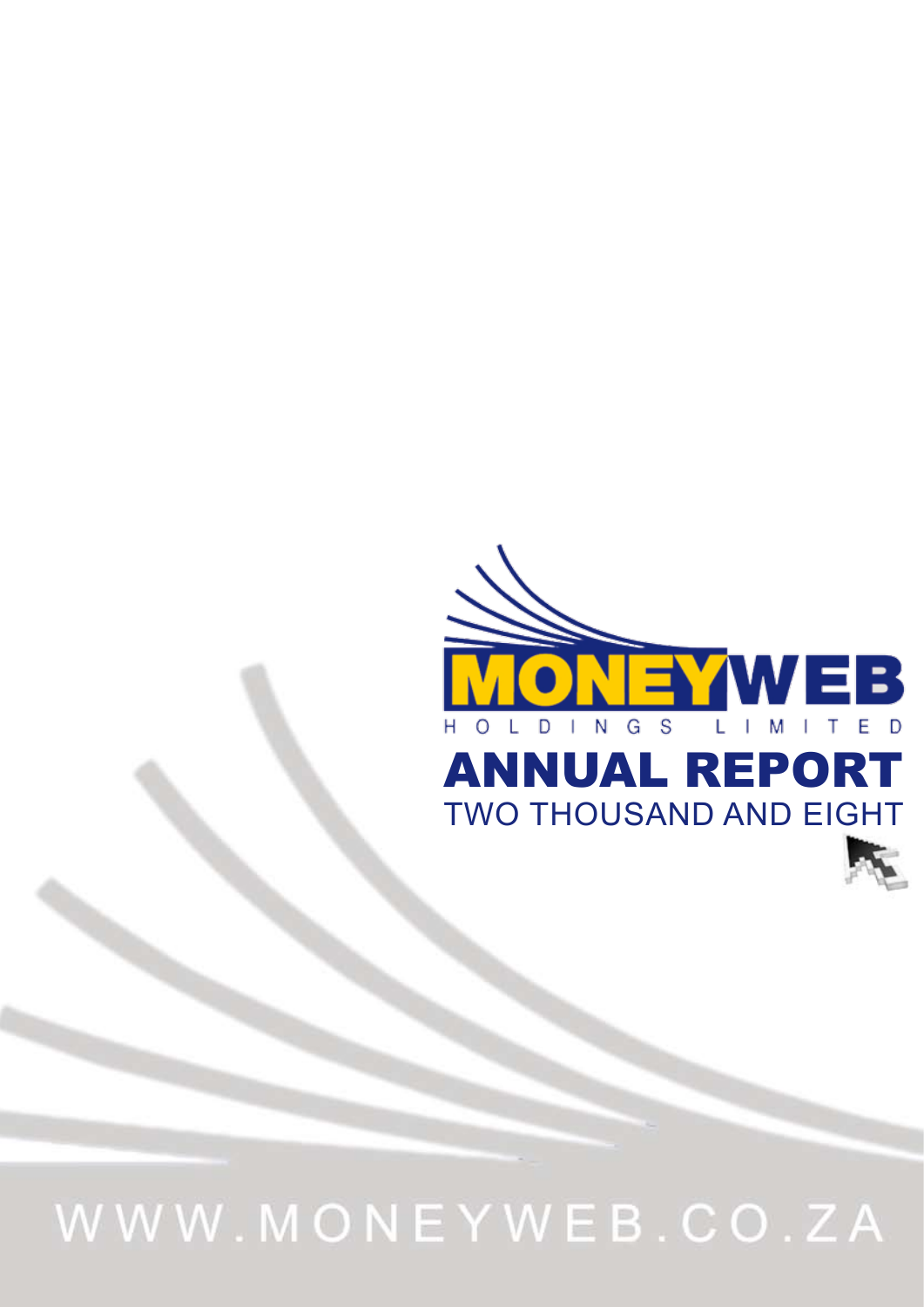

# WWW.MONEYWEB.CO.ZA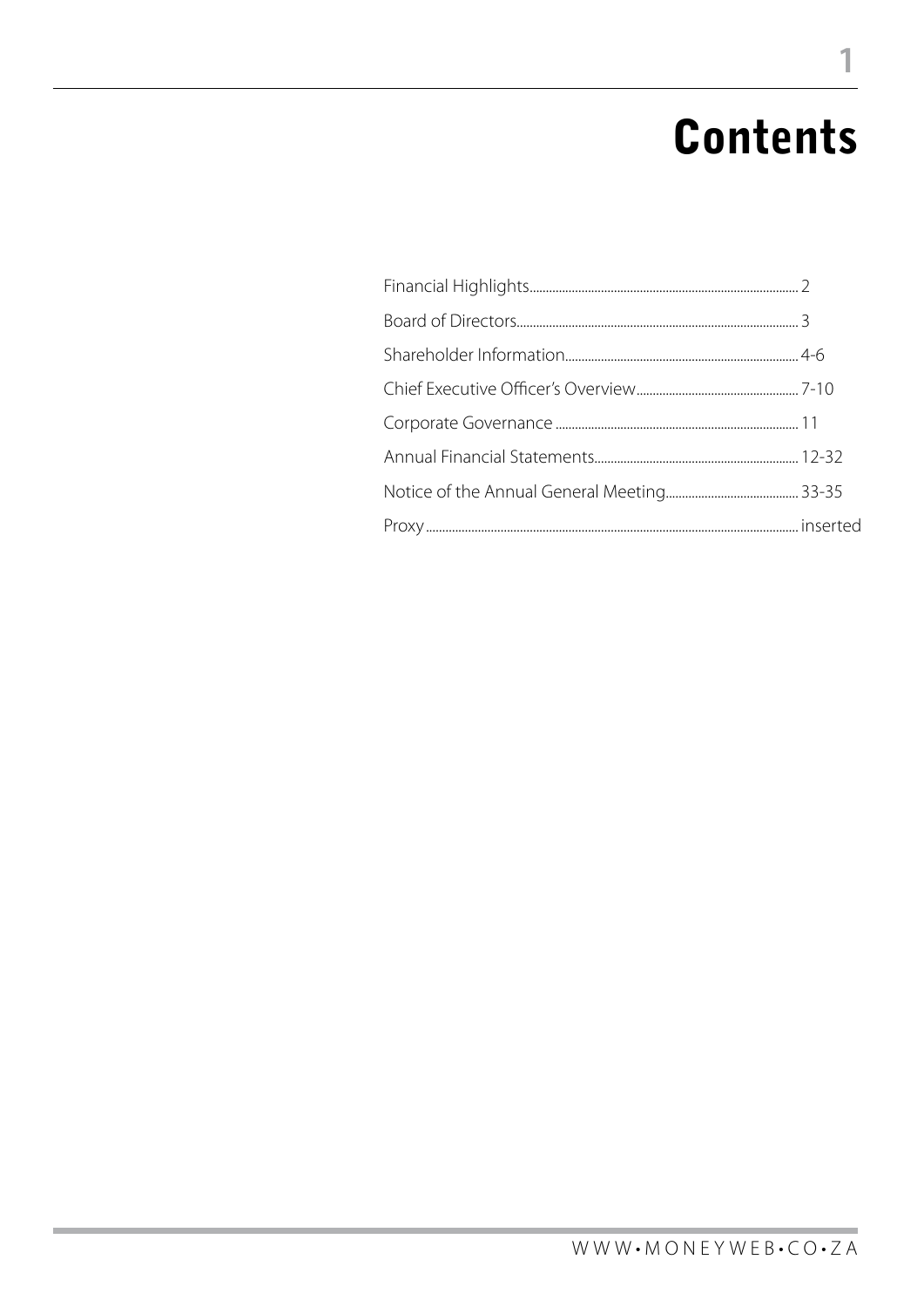# **Contents**

1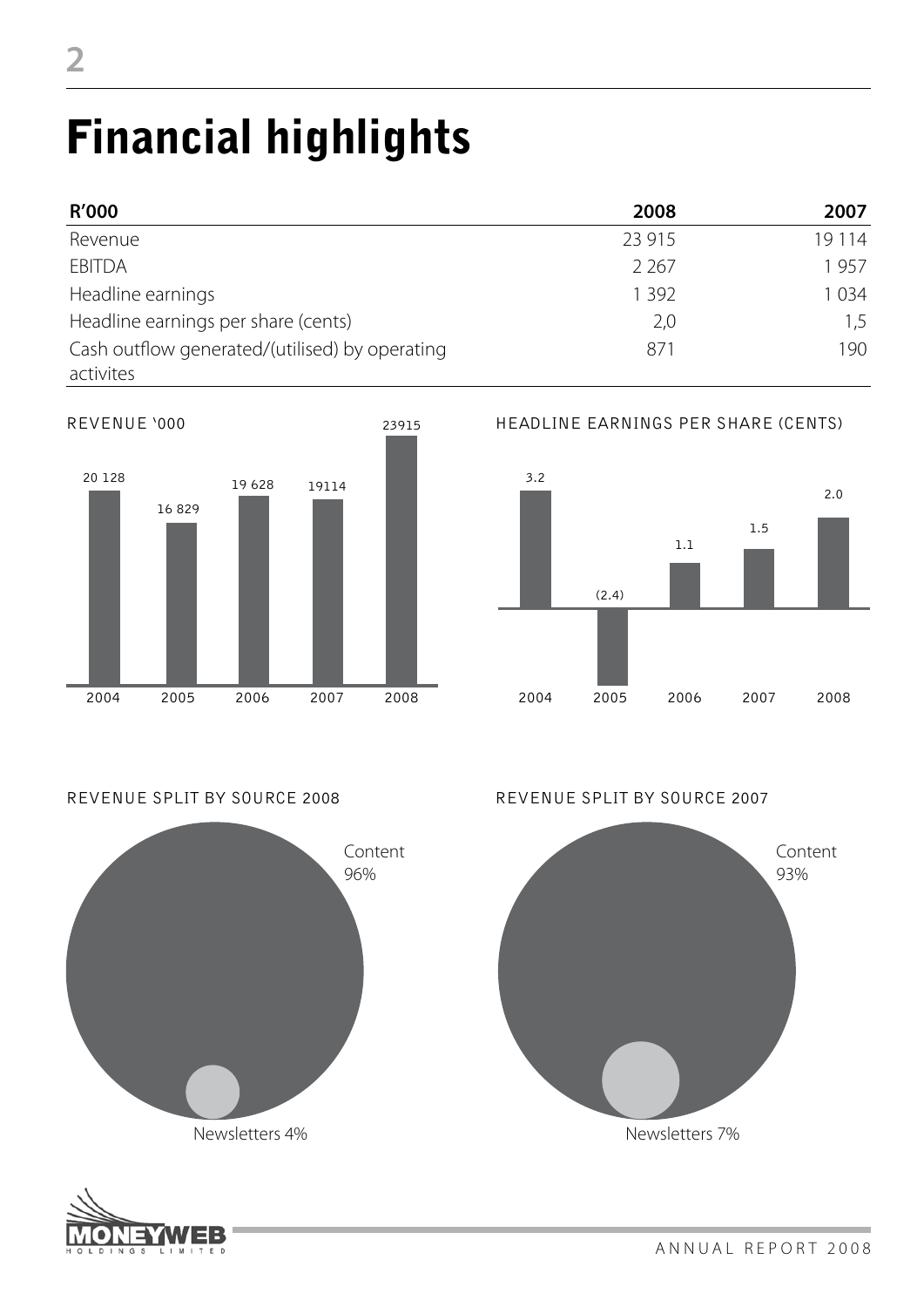# Financial highlights

| <b>R'000</b>                                   | 2008    | 2007  |
|------------------------------------------------|---------|-------|
| Revenue                                        | 23 915  | 19114 |
| <b>EBITDA</b>                                  | 2 2 6 7 | 1957  |
| Headline earnings                              | 1 3 9 2 | 1 034 |
| Headline earnings per share (cents)            | 2,0     | 1,5   |
| Cash outflow generated/(utilised) by operating | 871     | 190   |
| activites                                      |         |       |





Newsletters 4%





## REVENUE SPLIT BY SOURCE 2008 REVENUE SPLIT BY SOURCE 2007

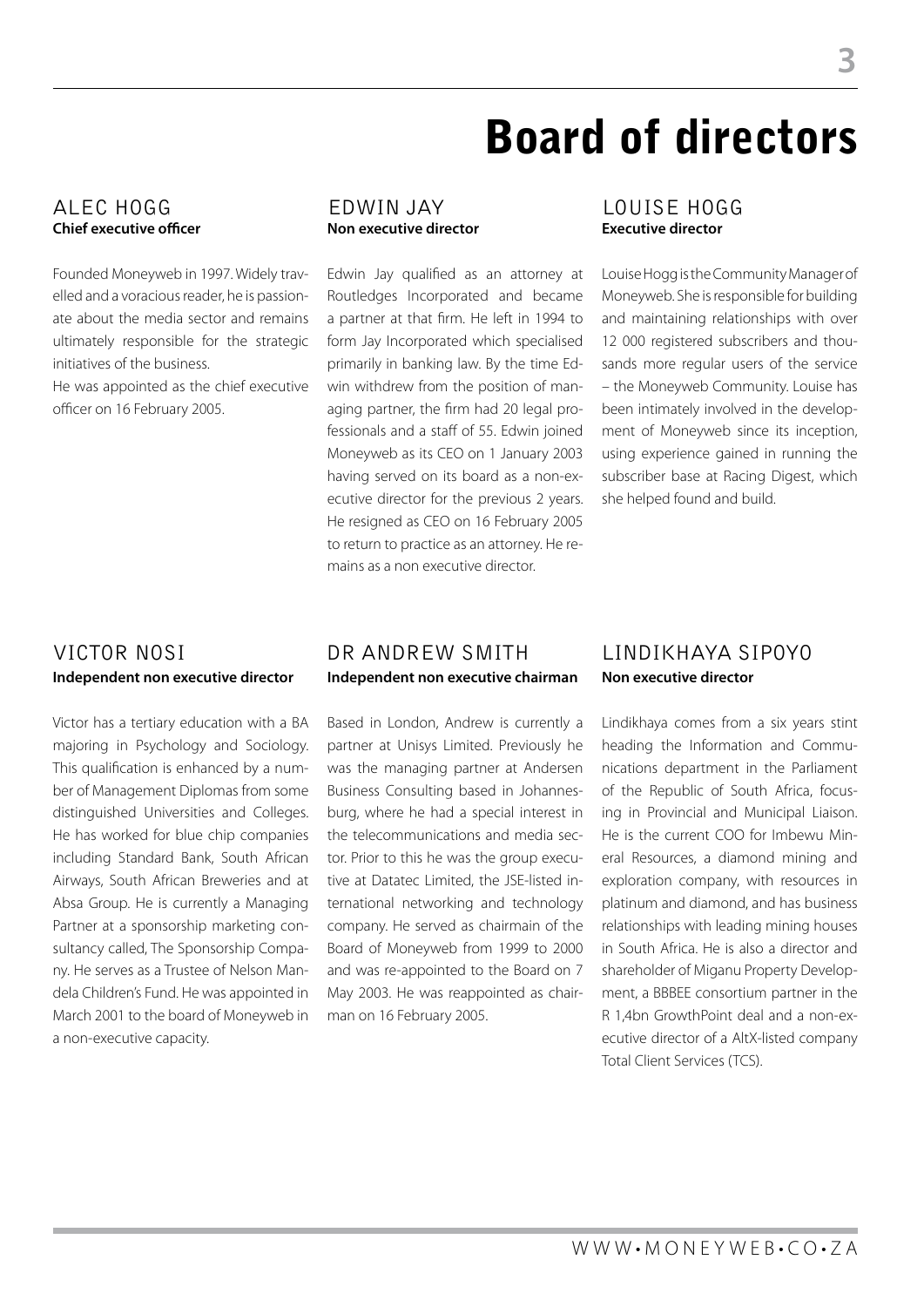# Board of directors

# **Chief executive officer**

Founded Moneyweb in 1997. Widely travelled and a voracious reader, he is passionate about the media sector and remains ultimately responsible for the strategic initiatives of the business.

He was appointed as the chief executive officer on 16 February 2005.

## ALEC HOGG EDWIN JAY LOUISE HOGG **Non executive director**

Edwin Jay qualified as an attorney at Routledges Incorporated and became a partner at that firm. He left in 1994 to form Jay Incorporated which specialised primarily in banking law. By the time Edwin withdrew from the position of managing partner, the firm had 20 legal professionals and a staff of 55. Edwin joined Moneyweb as its CEO on 1 January 2003 having served on its board as a non-executive director for the previous 2 years. He resigned as CEO on 16 February 2005 to return to practice as an attorney. He remains as a non executive director.

# **Executive director**

Louise Hogg is the Community Manager of Moneyweb. She is responsible for building and maintaining relationships with over 12 000 registered subscribers and thousands more regular users of the service – the Moneyweb Community. Louise has been intimately involved in the development of Moneyweb since its inception, using experience gained in running the subscriber base at Racing Digest, which she helped found and build.

# **Independent non executive director**

Victor has a tertiary education with a BA majoring in Psychology and Sociology. This qualification is enhanced by a number of Management Diplomas from some distinguished Universities and Colleges. He has worked for blue chip companies including Standard Bank, South African Airways, South African Breweries and at Absa Group. He is currently a Managing Partner at a sponsorship marketing consultancy called, The Sponsorship Company. He serves as a Trustee of Nelson Mandela Children's Fund. He was appointed in March 2001 to the board of Moneyweb in a non-executive capacity.

## VICTOR NOSI DR ANDREW SMITH Lindikhaya Sipoyo **Independent non executive chairman**

Based in London, Andrew is currently a partner at Unisys Limited. Previously he was the managing partner at Andersen Business Consulting based in Johannesburg, where he had a special interest in the telecommunications and media sector. Prior to this he was the group executive at Datatec Limited, the JSE-listed international networking and technology company. He served as chairmain of the Board of Moneyweb from 1999 to 2000 and was re-appointed to the Board on 7 May 2003. He was reappointed as chairman on 16 February 2005.

# **Non executive director**

Lindikhaya comes from a six years stint heading the Information and Communications department in the Parliament of the Republic of South Africa, focusing in Provincial and Municipal Liaison. He is the current COO for Imbewu Mineral Resources, a diamond mining and exploration company, with resources in platinum and diamond, and has business relationships with leading mining houses in South Africa. He is also a director and shareholder of Miganu Property Development, a BBBEE consortium partner in the R 1,4bn GrowthPoint deal and a non-executive director of a AltX-listed company Total Client Services (TCS).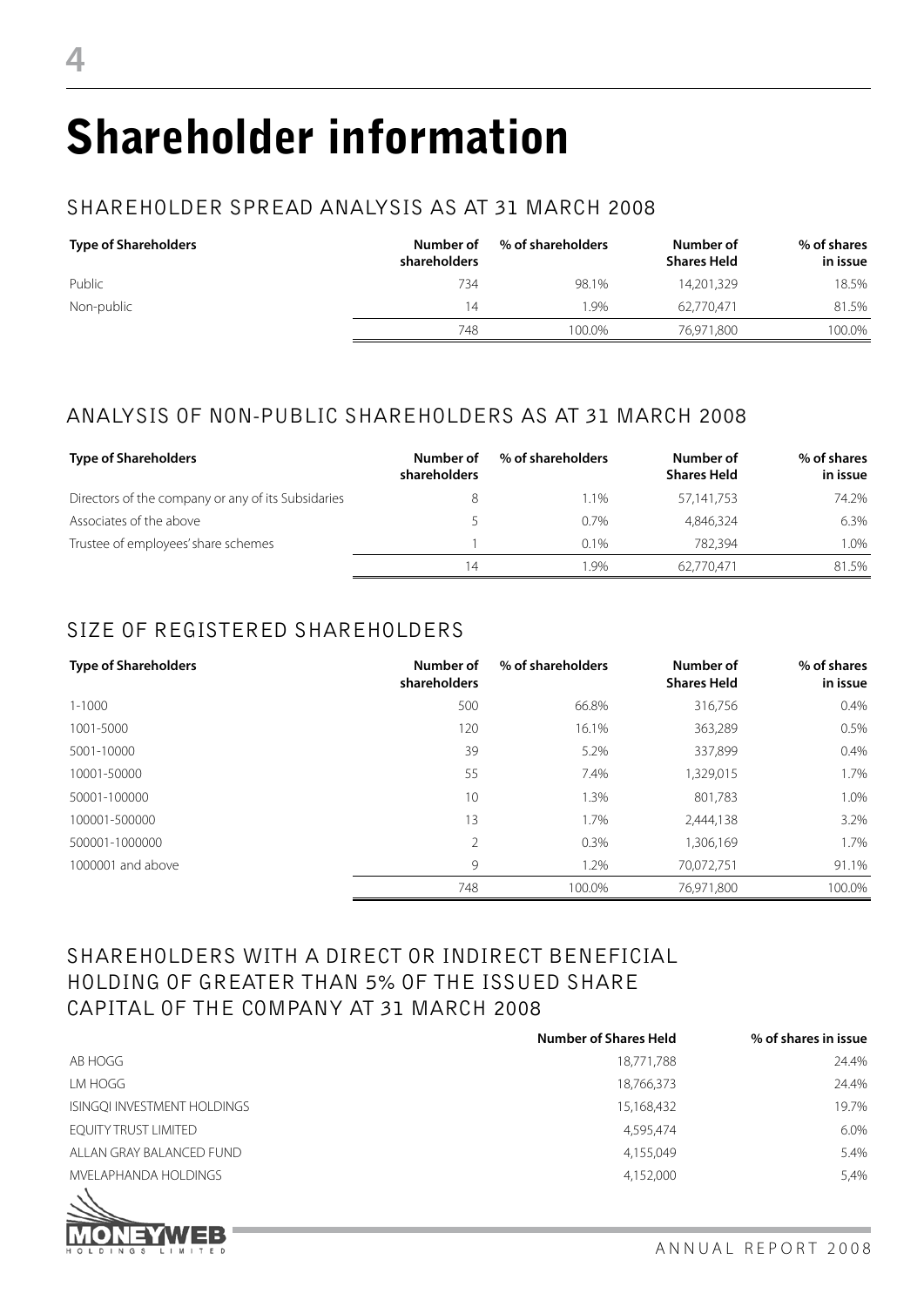# Shareholder information

# SHAREHOLDER SPREAD ANALYSIS AS AT 31 MARCH 2008

| <b>Type of Shareholders</b> | Number of<br>shareholders | % of shareholders | Number of<br><b>Shares Held</b> | % of shares<br>in issue |
|-----------------------------|---------------------------|-------------------|---------------------------------|-------------------------|
| Public                      | 734                       | 98.1%             | 14.201.329                      | 18.5%                   |
| Non-public                  | 14                        | $.9\%$            | 62.770.471                      | 81.5%                   |
|                             | 748                       | 100.0%            | 76,971,800                      | 100.0%                  |

# ANALYSIS OF NON-PUBLIC SHAREHOLDERS AS AT 31 MARCH 2008

| <b>Type of Shareholders</b>                        | Number of<br>shareholders | % of shareholders | Number of<br><b>Shares Held</b> | % of shares<br>in issue |
|----------------------------------------------------|---------------------------|-------------------|---------------------------------|-------------------------|
| Directors of the company or any of its Subsidaries |                           | 1.1%              | 57.141.753                      | 74.2%                   |
| Associates of the above                            | 5.                        | 0.7%              | 4.846.324                       | 6.3%                    |
| Trustee of employees' share schemes                |                           | $0.1\%$           | 782.394                         | l.0%                    |
|                                                    | 14                        | 1.9%              | 62.770.471                      | 81.5%                   |

# SIZE OF REGISTERED SHAREHOLDERS

| <b>Type of Shareholders</b> | Number of<br>shareholders | % of shareholders | Number of<br><b>Shares Held</b> | % of shares<br>in issue |
|-----------------------------|---------------------------|-------------------|---------------------------------|-------------------------|
| $1 - 1000$                  | 500                       | 66.8%             | 316,756                         | $0.4\%$                 |
| 1001-5000                   | 120                       | 16.1%             | 363,289                         | 0.5%                    |
| 5001-10000                  | 39                        | 5.2%              | 337,899                         | 0.4%                    |
| 10001-50000                 | 55                        | 7.4%              | 1,329,015                       | 1.7%                    |
| 50001-100000                | 10                        | 1.3%              | 801,783                         | 1.0%                    |
| 100001-500000               | 13                        | 1.7%              | 2,444,138                       | 3.2%                    |
| 500001-1000000              | 2                         | 0.3%              | 1,306,169                       | 1.7%                    |
| 1000001 and above           | 9                         | 1.2%              | 70,072,751                      | 91.1%                   |
|                             | 748                       | 100.0%            | 76.971.800                      | 100.0%                  |

# SHAREHOLDERS WITH A DIRECT OR INDIRECT BENEFICIAL HOLDING OF GREATER THAN 5% OF THE ISSUED SHARE CAPITAL OF THE COMPANY AT 31 MARCH 2008

|                             | <b>Number of Shares Held</b> | % of shares in issue |
|-----------------------------|------------------------------|----------------------|
| AB HOGG                     | 18,771,788                   | 24.4%                |
| LM HOGG                     | 18,766,373                   | 24.4%                |
| ISINGQI INVESTMENT HOLDINGS | 15,168,432                   | 19.7%                |
| <b>EQUITY TRUST LIMITED</b> | 4,595,474                    | 6.0%                 |
| ALLAN GRAY BALANCED FUND    | 4,155,049                    | 5.4%                 |
| MVELAPHANDA HOLDINGS        | 4,152,000                    | 5,4%                 |
|                             |                              |                      |

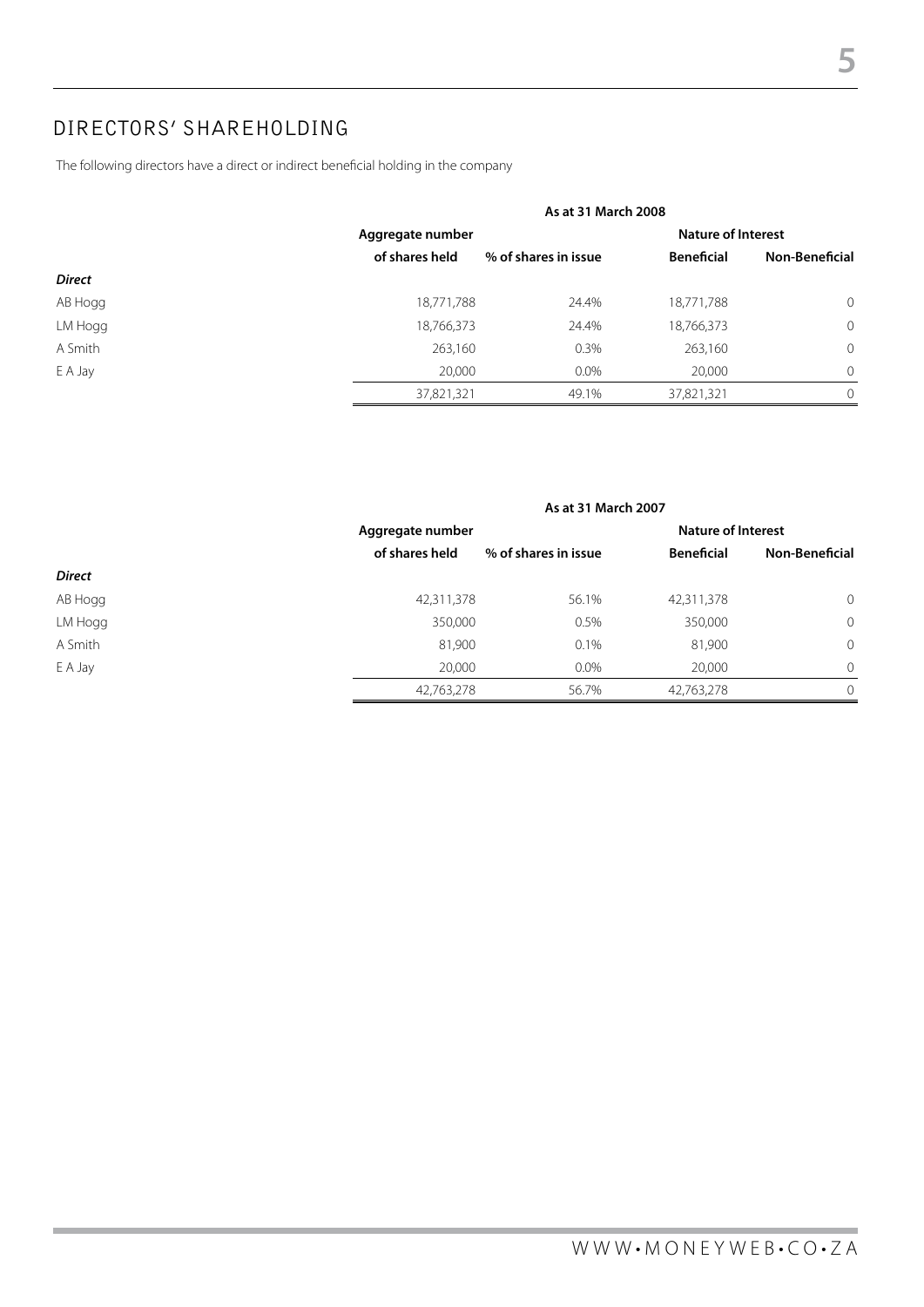# DIRECTORS' SHAREHOLDING

The following directors have a direct or indirect beneficial holding in the company

|               |                  | As at 31 March 2008  |                           |                |
|---------------|------------------|----------------------|---------------------------|----------------|
|               | Aggregate number |                      | <b>Nature of Interest</b> |                |
|               | of shares held   | % of shares in issue | <b>Beneficial</b>         | Non-Beneficial |
| <b>Direct</b> |                  |                      |                           |                |
| AB Hogg       | 18,771,788       | 24.4%                | 18,771,788                | $\mathbf{0}$   |
| LM Hogg       | 18,766,373       | 24.4%                | 18,766,373                | $\mathbf{0}$   |
| A Smith       | 263,160          | 0.3%                 | 263,160                   | $\mathbf{0}$   |
| E A Jay       | 20,000           | $0.0\%$              | 20,000                    | $\Omega$       |
|               | 37,821,321       | 49.1%                | 37,821,321                | $\mathbf 0$    |

|               |                  | As at 31 March 2007  |                           |                |
|---------------|------------------|----------------------|---------------------------|----------------|
|               | Aggregate number |                      | <b>Nature of Interest</b> |                |
|               | of shares held   | % of shares in issue | <b>Beneficial</b>         | Non-Beneficial |
| <b>Direct</b> |                  |                      |                           |                |
| AB Hogg       | 42,311,378       | 56.1%                | 42,311,378                | $\mathbf{0}$   |
| LM Hogg       | 350,000          | 0.5%                 | 350,000                   | $\mathbf{0}$   |
| A Smith       | 81,900           | 0.1%                 | 81,900                    | $\circ$        |
| E A Jay       | 20,000           | 0.0%                 | 20,000                    | $\overline{0}$ |
|               | 42,763,278       | 56.7%                | 42,763,278                | $\mathbf{0}$   |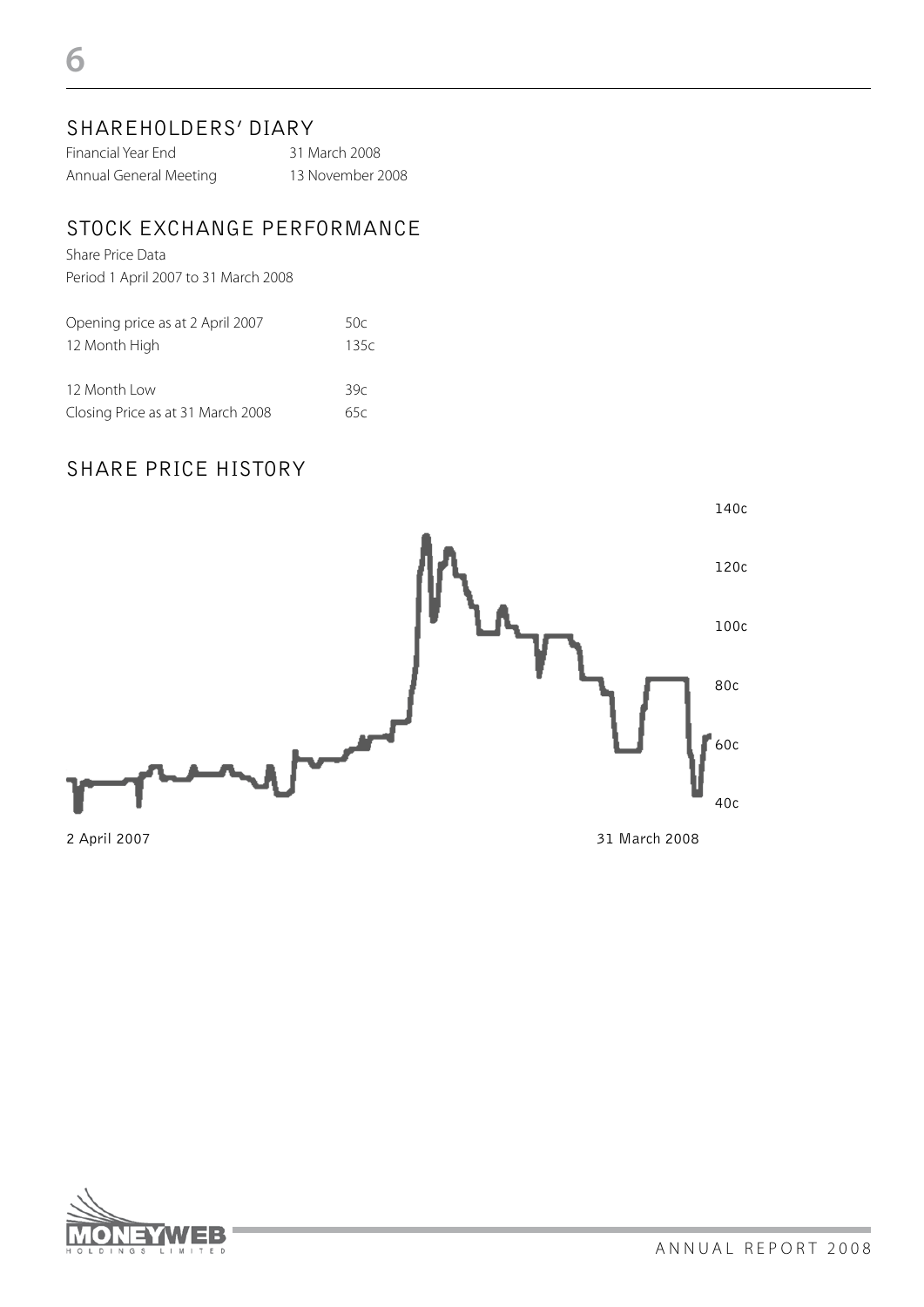# SHAREHOLDERS' DIARY

Financial Year End 31 March 2008 Annual General Meeting 13 November 2008

# STOCK EXCHANGE PERFORMANCE

Share Price Data Period 1 April 2007 to 31 March 2008

| Opening price as at 2 April 2007  | 50c    |
|-----------------------------------|--------|
| 12 Month High                     | 135c   |
| 12 Month Low                      | 39 $c$ |
| Closing Price as at 31 March 2008 | 65c    |

# SHARE PRICE HISTORY



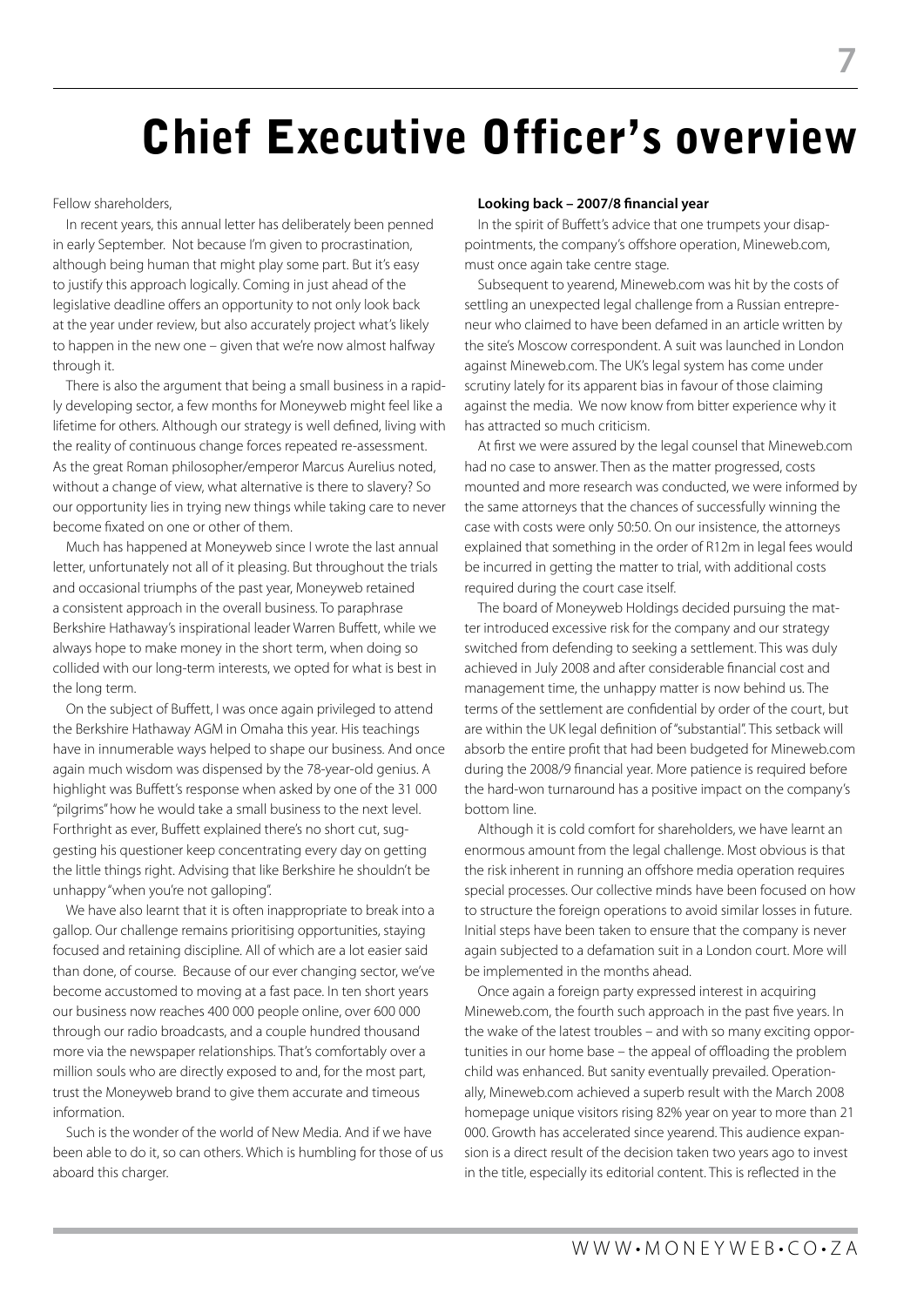# Chief Executive Officer's overview

Fellow shareholders,

In recent years, this annual letter has deliberately been penned in early September. Not because I'm given to procrastination, although being human that might play some part. But it's easy to justify this approach logically. Coming in just ahead of the legislative deadline offers an opportunity to not only look back at the year under review, but also accurately project what's likely to happen in the new one – given that we're now almost halfway through it.

There is also the argument that being a small business in a rapidly developing sector, a few months for Moneyweb might feel like a lifetime for others. Although our strategy is well defined, living with the reality of continuous change forces repeated re-assessment. As the great Roman philosopher/emperor Marcus Aurelius noted, without a change of view, what alternative is there to slavery? So our opportunity lies in trying new things while taking care to never become fixated on one or other of them.

Much has happened at Moneyweb since I wrote the last annual letter, unfortunately not all of it pleasing. But throughout the trials and occasional triumphs of the past year, Moneyweb retained a consistent approach in the overall business. To paraphrase Berkshire Hathaway's inspirational leader Warren Buffett, while we always hope to make money in the short term, when doing so collided with our long-term interests, we opted for what is best in the long term.

On the subject of Buffett, I was once again privileged to attend the Berkshire Hathaway AGM in Omaha this year. His teachings have in innumerable ways helped to shape our business. And once again much wisdom was dispensed by the 78-year-old genius. A highlight was Buffett's response when asked by one of the 31 000 "pilgrims" how he would take a small business to the next level. Forthright as ever, Buffett explained there's no short cut, suggesting his questioner keep concentrating every day on getting the little things right. Advising that like Berkshire he shouldn't be unhappy "when you're not galloping".

We have also learnt that it is often inappropriate to break into a gallop. Our challenge remains prioritising opportunities, staying focused and retaining discipline. All of which are a lot easier said than done, of course. Because of our ever changing sector, we've become accustomed to moving at a fast pace. In ten short years our business now reaches 400 000 people online, over 600 000 through our radio broadcasts, and a couple hundred thousand more via the newspaper relationships. That's comfortably over a million souls who are directly exposed to and, for the most part, trust the Moneyweb brand to give them accurate and timeous information.

Such is the wonder of the world of New Media. And if we have been able to do it, so can others. Which is humbling for those of us aboard this charger.

#### **Looking back – 2007/8 financial year**

In the spirit of Buffett's advice that one trumpets your disappointments, the company's offshore operation, Mineweb.com, must once again take centre stage.

Subsequent to yearend, Mineweb.com was hit by the costs of settling an unexpected legal challenge from a Russian entrepreneur who claimed to have been defamed in an article written by the site's Moscow correspondent. A suit was launched in London against Mineweb.com. The UK's legal system has come under scrutiny lately for its apparent bias in favour of those claiming against the media. We now know from bitter experience why it has attracted so much criticism.

At first we were assured by the legal counsel that Mineweb.com had no case to answer. Then as the matter progressed, costs mounted and more research was conducted, we were informed by the same attorneys that the chances of successfully winning the case with costs were only 50:50. On our insistence, the attorneys explained that something in the order of R12m in legal fees would be incurred in getting the matter to trial, with additional costs required during the court case itself.

The board of Moneyweb Holdings decided pursuing the matter introduced excessive risk for the company and our strategy switched from defending to seeking a settlement. This was duly achieved in July 2008 and after considerable financial cost and management time, the unhappy matter is now behind us. The terms of the settlement are confidential by order of the court, but are within the UK legal definition of "substantial". This setback will absorb the entire profit that had been budgeted for Mineweb.com during the 2008/9 financial year. More patience is required before the hard-won turnaround has a positive impact on the company's bottom line.

Although it is cold comfort for shareholders, we have learnt an enormous amount from the legal challenge. Most obvious is that the risk inherent in running an offshore media operation requires special processes. Our collective minds have been focused on how to structure the foreign operations to avoid similar losses in future. Initial steps have been taken to ensure that the company is never again subjected to a defamation suit in a London court. More will be implemented in the months ahead.

Once again a foreign party expressed interest in acquiring Mineweb.com, the fourth such approach in the past five years. In the wake of the latest troubles – and with so many exciting opportunities in our home base – the appeal of offloading the problem child was enhanced. But sanity eventually prevailed. Operationally, Mineweb.com achieved a superb result with the March 2008 homepage unique visitors rising 82% year on year to more than 21 000. Growth has accelerated since yearend. This audience expansion is a direct result of the decision taken two years ago to invest in the title, especially its editorial content. This is reflected in the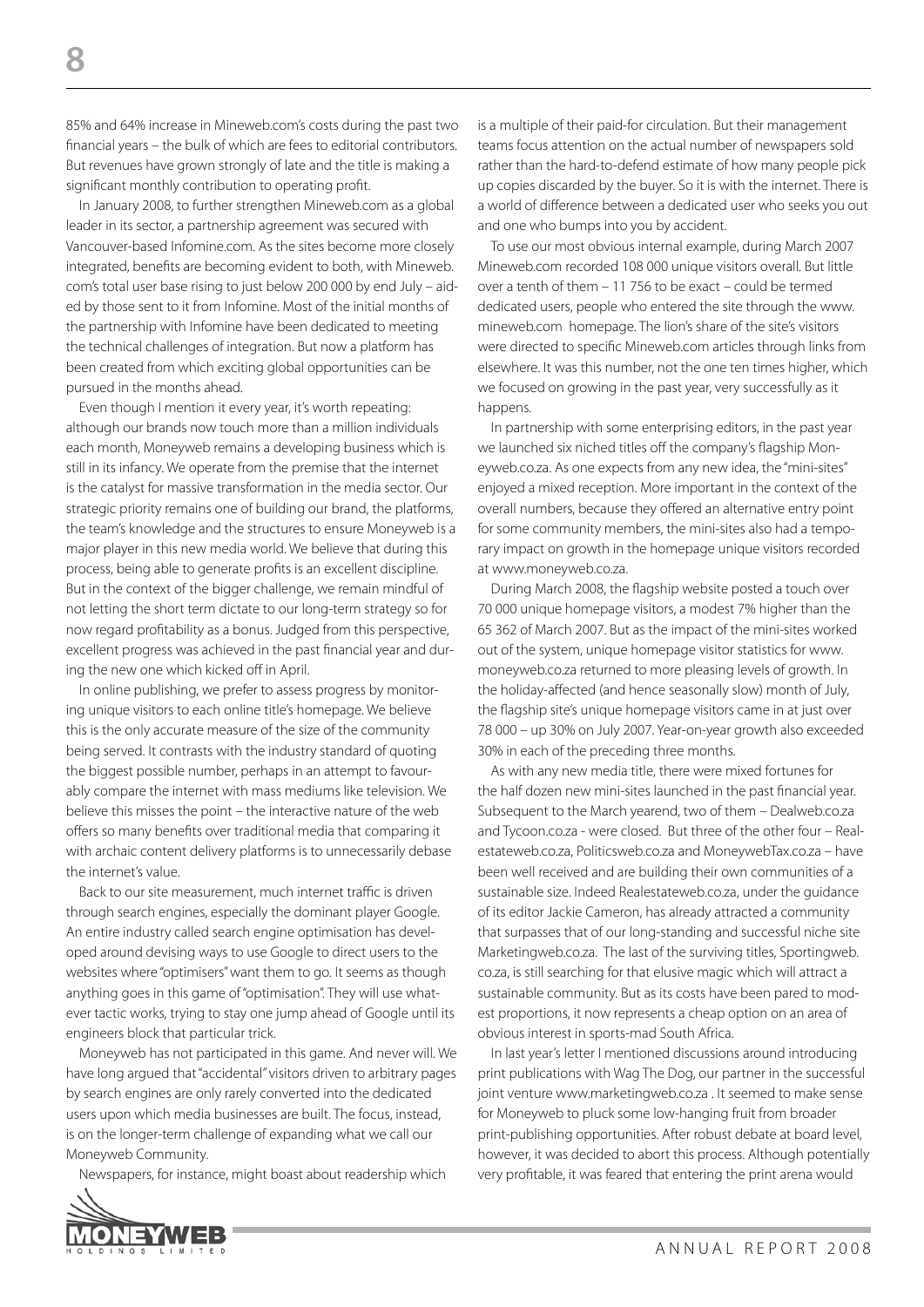85% and 64% increase in Mineweb.com's costs during the past two financial years – the bulk of which are fees to editorial contributors. But revenues have grown strongly of late and the title is making a significant monthly contribution to operating profit.

In January 2008, to further strengthen Mineweb.com as a global leader in its sector, a partnership agreement was secured with Vancouver-based Infomine.com. As the sites become more closely integrated, benefits are becoming evident to both, with Mineweb. com's total user base rising to just below 200 000 by end July – aided by those sent to it from Infomine. Most of the initial months of the partnership with Infomine have been dedicated to meeting the technical challenges of integration. But now a platform has been created from which exciting global opportunities can be pursued in the months ahead.

Even though I mention it every year, it's worth repeating: although our brands now touch more than a million individuals each month, Moneyweb remains a developing business which is still in its infancy. We operate from the premise that the internet is the catalyst for massive transformation in the media sector. Our strategic priority remains one of building our brand, the platforms, the team's knowledge and the structures to ensure Moneyweb is a major player in this new media world. We believe that during this process, being able to generate profits is an excellent discipline. But in the context of the bigger challenge, we remain mindful of not letting the short term dictate to our long-term strategy so for now regard profitability as a bonus. Judged from this perspective, excellent progress was achieved in the past financial year and during the new one which kicked off in April.

In online publishing, we prefer to assess progress by monitoring unique visitors to each online title's homepage. We believe this is the only accurate measure of the size of the community being served. It contrasts with the industry standard of quoting the biggest possible number, perhaps in an attempt to favourably compare the internet with mass mediums like television. We believe this misses the point – the interactive nature of the web offers so many benefits over traditional media that comparing it with archaic content delivery platforms is to unnecessarily debase the internet's value.

Back to our site measurement, much internet traffic is driven through search engines, especially the dominant player Google. An entire industry called search engine optimisation has developed around devising ways to use Google to direct users to the websites where "optimisers" want them to go. It seems as though anything goes in this game of "optimisation". They will use whatever tactic works, trying to stay one jump ahead of Google until its engineers block that particular trick.

Moneyweb has not participated in this game. And never will. We have long argued that "accidental" visitors driven to arbitrary pages by search engines are only rarely converted into the dedicated users upon which media businesses are built. The focus, instead, is on the longer-term challenge of expanding what we call our Moneyweb Community.

Newspapers, for instance, might boast about readership which



is a multiple of their paid-for circulation. But their management teams focus attention on the actual number of newspapers sold rather than the hard-to-defend estimate of how many people pick up copies discarded by the buyer. So it is with the internet. There is a world of difference between a dedicated user who seeks you out and one who bumps into you by accident.

To use our most obvious internal example, during March 2007 Mineweb.com recorded 108 000 unique visitors overall. But little over a tenth of them – 11 756 to be exact – could be termed dedicated users, people who entered the site through the www. mineweb.com homepage. The lion's share of the site's visitors were directed to specific Mineweb.com articles through links from elsewhere. It was this number, not the one ten times higher, which we focused on growing in the past year, very successfully as it happens.

In partnership with some enterprising editors, in the past year we launched six niched titles off the company's flagship Moneyweb.co.za. As one expects from any new idea, the "mini-sites" enjoyed a mixed reception. More important in the context of the overall numbers, because they offered an alternative entry point for some community members, the mini-sites also had a temporary impact on growth in the homepage unique visitors recorded at www.moneyweb.co.za.

During March 2008, the flagship website posted a touch over 70 000 unique homepage visitors, a modest 7% higher than the 65 362 of March 2007. But as the impact of the mini-sites worked out of the system, unique homepage visitor statistics for www. moneyweb.co.za returned to more pleasing levels of growth. In the holiday-affected (and hence seasonally slow) month of July, the flagship site's unique homepage visitors came in at just over 78 000 – up 30% on July 2007. Year-on-year growth also exceeded 30% in each of the preceding three months.

As with any new media title, there were mixed fortunes for the half dozen new mini-sites launched in the past financial year. Subsequent to the March yearend, two of them – Dealweb.co.za and Tycoon.co.za - were closed. But three of the other four – Realestateweb.co.za, Politicsweb.co.za and MoneywebTax.co.za – have been well received and are building their own communities of a sustainable size. Indeed Realestateweb.co.za, under the guidance of its editor Jackie Cameron, has already attracted a community that surpasses that of our long-standing and successful niche site Marketingweb.co.za. The last of the surviving titles, Sportingweb. co.za, is still searching for that elusive magic which will attract a sustainable community. But as its costs have been pared to modest proportions, it now represents a cheap option on an area of obvious interest in sports-mad South Africa.

In last year's letter I mentioned discussions around introducing print publications with Wag The Dog, our partner in the successful joint venture www.marketingweb.co.za . It seemed to make sense for Moneyweb to pluck some low-hanging fruit from broader print-publishing opportunities. After robust debate at board level, however, it was decided to abort this process. Although potentially very profitable, it was feared that entering the print arena would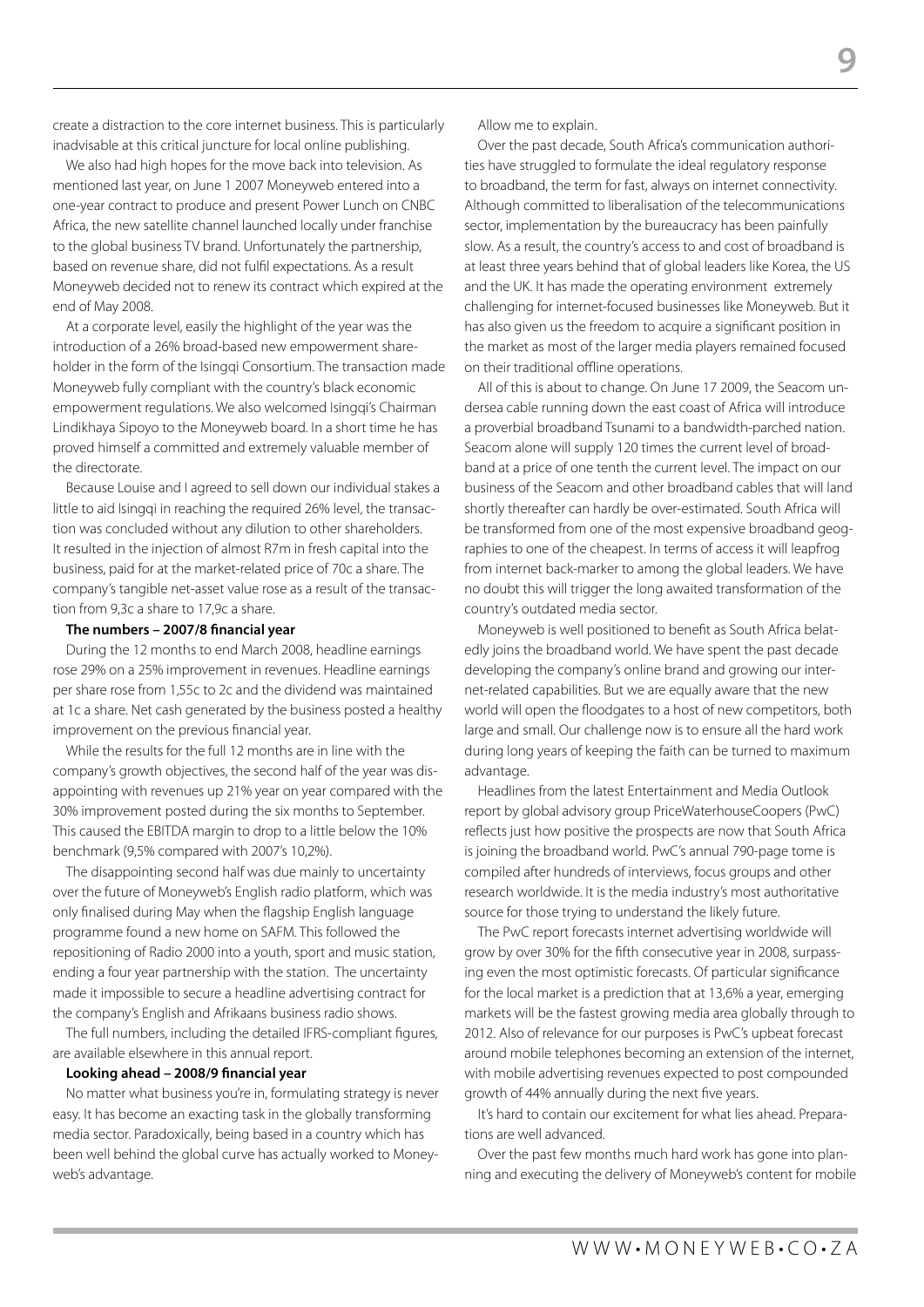create a distraction to the core internet business. This is particularly inadvisable at this critical juncture for local online publishing.

We also had high hopes for the move back into television. As mentioned last year, on June 1 2007 Moneyweb entered into a one-year contract to produce and present Power Lunch on CNBC Africa, the new satellite channel launched locally under franchise to the global business TV brand. Unfortunately the partnership, based on revenue share, did not fulfil expectations. As a result Moneyweb decided not to renew its contract which expired at the end of May 2008.

At a corporate level, easily the highlight of the year was the introduction of a 26% broad-based new empowerment shareholder in the form of the Isingqi Consortium. The transaction made Moneyweb fully compliant with the country's black economic empowerment regulations. We also welcomed Isingqi's Chairman Lindikhaya Sipoyo to the Moneyweb board. In a short time he has proved himself a committed and extremely valuable member of the directorate.

Because Louise and I agreed to sell down our individual stakes a little to aid Isingqi in reaching the required 26% level, the transaction was concluded without any dilution to other shareholders. It resulted in the injection of almost R7m in fresh capital into the business, paid for at the market-related price of 70c a share. The company's tangible net-asset value rose as a result of the transaction from 9,3c a share to 17,9c a share.

#### **The numbers – 2007/8 financial year**

During the 12 months to end March 2008, headline earnings rose 29% on a 25% improvement in revenues. Headline earnings per share rose from 1,55c to 2c and the dividend was maintained at 1c a share. Net cash generated by the business posted a healthy improvement on the previous financial year.

While the results for the full 12 months are in line with the company's growth objectives, the second half of the year was disappointing with revenues up 21% year on year compared with the 30% improvement posted during the six months to September. This caused the EBITDA margin to drop to a little below the 10% benchmark (9,5% compared with 2007's 10,2%).

The disappointing second half was due mainly to uncertainty over the future of Moneyweb's English radio platform, which was only finalised during May when the flagship English language programme found a new home on SAFM. This followed the repositioning of Radio 2000 into a youth, sport and music station, ending a four year partnership with the station. The uncertainty made it impossible to secure a headline advertising contract for the company's English and Afrikaans business radio shows.

The full numbers, including the detailed IFRS-compliant figures, are available elsewhere in this annual report.

#### **Looking ahead – 2008/9 financial year**

No matter what business you're in, formulating strategy is never easy. It has become an exacting task in the globally transforming media sector. Paradoxically, being based in a country which has been well behind the global curve has actually worked to Moneyweb's advantage.

Allow me to explain.

Over the past decade, South Africa's communication authorities have struggled to formulate the ideal regulatory response to broadband, the term for fast, always on internet connectivity. Although committed to liberalisation of the telecommunications sector, implementation by the bureaucracy has been painfully slow. As a result, the country's access to and cost of broadband is at least three years behind that of global leaders like Korea, the US and the UK. It has made the operating environment extremely challenging for internet-focused businesses like Moneyweb. But it has also given us the freedom to acquire a significant position in the market as most of the larger media players remained focused on their traditional offline operations.

All of this is about to change. On June 17 2009, the Seacom undersea cable running down the east coast of Africa will introduce a proverbial broadband Tsunami to a bandwidth-parched nation. Seacom alone will supply 120 times the current level of broadband at a price of one tenth the current level. The impact on our business of the Seacom and other broadband cables that will land shortly thereafter can hardly be over-estimated. South Africa will be transformed from one of the most expensive broadband geographies to one of the cheapest. In terms of access it will leapfrog from internet back-marker to among the global leaders. We have no doubt this will trigger the long awaited transformation of the country's outdated media sector.

Moneyweb is well positioned to benefit as South Africa belatedly joins the broadband world. We have spent the past decade developing the company's online brand and growing our internet-related capabilities. But we are equally aware that the new world will open the floodgates to a host of new competitors, both large and small. Our challenge now is to ensure all the hard work during long years of keeping the faith can be turned to maximum advantage.

Headlines from the latest Entertainment and Media Outlook report by global advisory group PriceWaterhouseCoopers (PwC) reflects just how positive the prospects are now that South Africa is joining the broadband world. PwC's annual 790-page tome is compiled after hundreds of interviews, focus groups and other research worldwide. It is the media industry's most authoritative source for those trying to understand the likely future.

The PwC report forecasts internet advertising worldwide will grow by over 30% for the fifth consecutive year in 2008, surpassing even the most optimistic forecasts. Of particular significance for the local market is a prediction that at 13,6% a year, emerging markets will be the fastest growing media area globally through to 2012. Also of relevance for our purposes is PwC's upbeat forecast around mobile telephones becoming an extension of the internet, with mobile advertising revenues expected to post compounded growth of 44% annually during the next five years.

It's hard to contain our excitement for what lies ahead. Preparations are well advanced.

Over the past few months much hard work has gone into planning and executing the delivery of Moneyweb's content for mobile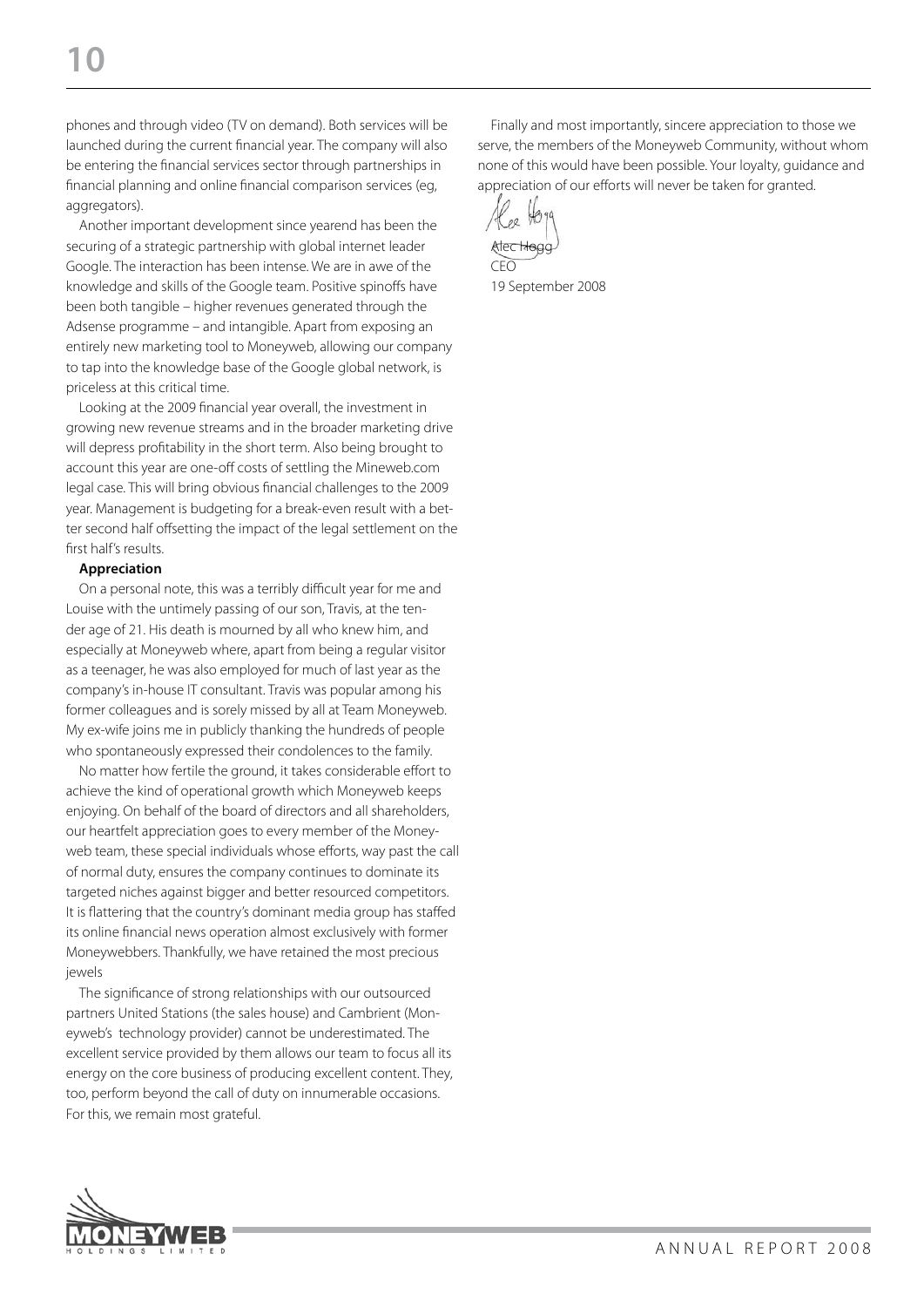phones and through video (TV on demand). Both services will be launched during the current financial year. The company will also be entering the financial services sector through partnerships in financial planning and online financial comparison services (eg, aggregators).

Another important development since yearend has been the securing of a strategic partnership with global internet leader Google. The interaction has been intense. We are in awe of the knowledge and skills of the Google team. Positive spinoffs have been both tangible – higher revenues generated through the Adsense programme – and intangible. Apart from exposing an entirely new marketing tool to Moneyweb, allowing our company to tap into the knowledge base of the Google global network, is priceless at this critical time.

Looking at the 2009 financial year overall, the investment in growing new revenue streams and in the broader marketing drive will depress profitability in the short term. Also being brought to account this year are one-off costs of settling the Mineweb.com legal case. This will bring obvious financial challenges to the 2009 year. Management is budgeting for a break-even result with a better second half offsetting the impact of the legal settlement on the first half's results.

#### **Appreciation**

On a personal note, this was a terribly difficult year for me and Louise with the untimely passing of our son, Travis, at the tender age of 21. His death is mourned by all who knew him, and especially at Moneyweb where, apart from being a regular visitor as a teenager, he was also employed for much of last year as the company's in-house IT consultant. Travis was popular among his former colleagues and is sorely missed by all at Team Moneyweb. My ex-wife joins me in publicly thanking the hundreds of people who spontaneously expressed their condolences to the family.

No matter how fertile the ground, it takes considerable effort to achieve the kind of operational growth which Moneyweb keeps enjoying. On behalf of the board of directors and all shareholders, our heartfelt appreciation goes to every member of the Moneyweb team, these special individuals whose efforts, way past the call of normal duty, ensures the company continues to dominate its targeted niches against bigger and better resourced competitors. It is flattering that the country's dominant media group has staffed its online financial news operation almost exclusively with former Moneywebbers. Thankfully, we have retained the most precious jewels

The significance of strong relationships with our outsourced partners United Stations (the sales house) and Cambrient (Moneyweb's technology provider) cannot be underestimated. The excellent service provided by them allows our team to focus all its energy on the core business of producing excellent content. They, too, perform beyond the call of duty on innumerable occasions. For this, we remain most grateful.



Finally and most importantly, sincere appreciation to those we serve, the members of the Moneyweb Community, without whom none of this would have been possible. Your loyalty, guidance and appreciation of our efforts will never be taken for granted.

Ale<del>c Ho</del>gg CEO 19 September 2008

ANNUAL REPORT 2008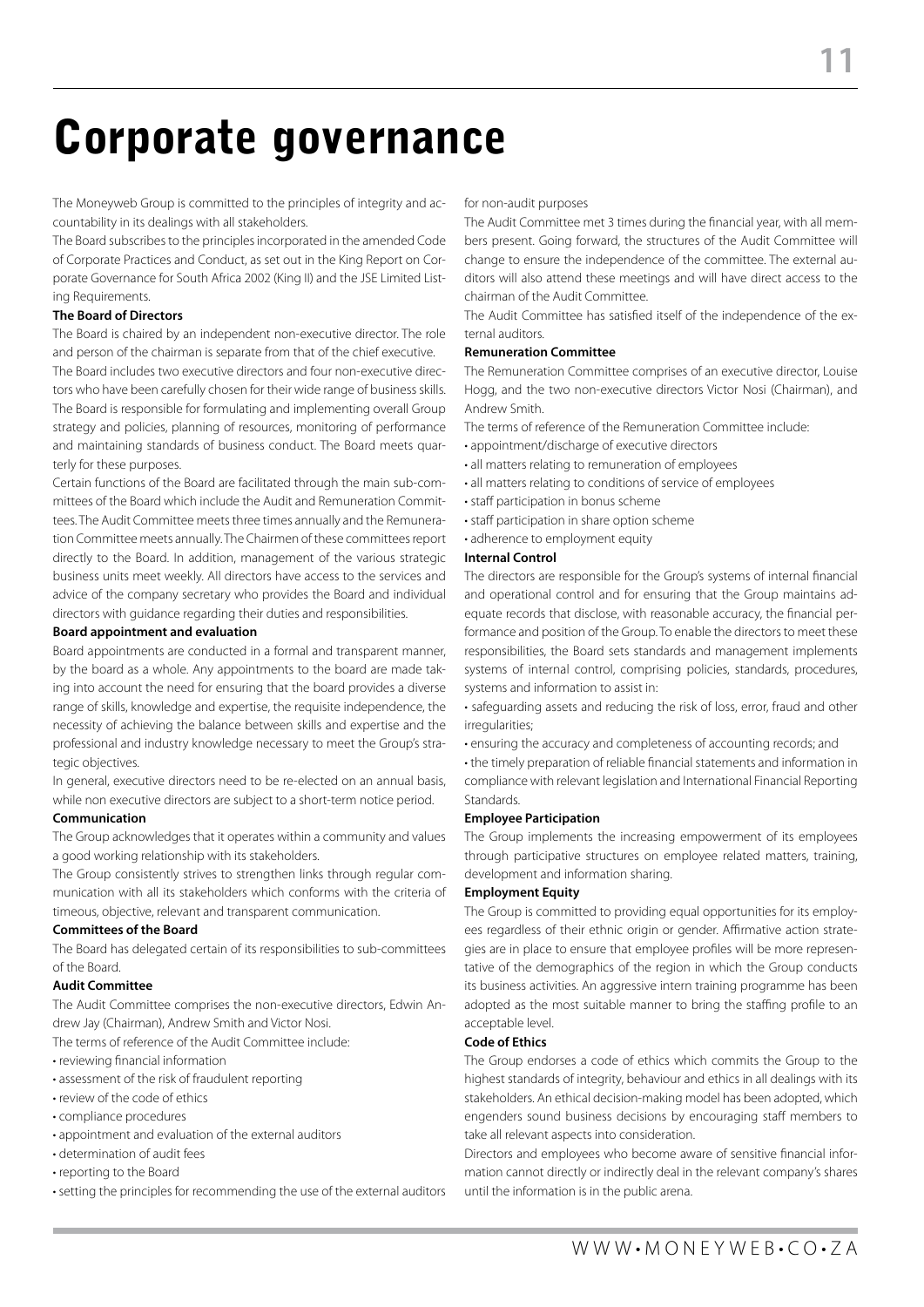# Corporate governance

The Moneyweb Group is committed to the principles of integrity and accountability in its dealings with all stakeholders.

The Board subscribes to the principles incorporated in the amended Code of Corporate Practices and Conduct, as set out in the King Report on Corporate Governance for South Africa 2002 (King II) and the JSE Limited Listing Requirements.

#### **The Board of Directors**

The Board is chaired by an independent non-executive director. The role and person of the chairman is separate from that of the chief executive.

The Board includes two executive directors and four non-executive directors who have been carefully chosen for their wide range of business skills. The Board is responsible for formulating and implementing overall Group strategy and policies, planning of resources, monitoring of performance and maintaining standards of business conduct. The Board meets quarterly for these purposes.

Certain functions of the Board are facilitated through the main sub-committees of the Board which include the Audit and Remuneration Committees. The Audit Committee meets three times annually and the Remuneration Committee meets annually. The Chairmen of these committees report directly to the Board. In addition, management of the various strategic business units meet weekly. All directors have access to the services and advice of the company secretary who provides the Board and individual directors with guidance regarding their duties and responsibilities.

#### **Board appointment and evaluation**

Board appointments are conducted in a formal and transparent manner, by the board as a whole. Any appointments to the board are made taking into account the need for ensuring that the board provides a diverse range of skills, knowledge and expertise, the requisite independence, the necessity of achieving the balance between skills and expertise and the professional and industry knowledge necessary to meet the Group's strategic objectives.

In general, executive directors need to be re-elected on an annual basis, while non executive directors are subject to a short-term notice period.

#### **Communication**

The Group acknowledges that it operates within a community and values a good working relationship with its stakeholders.

The Group consistently strives to strengthen links through regular communication with all its stakeholders which conforms with the criteria of timeous, objective, relevant and transparent communication.

#### **Committees of the Board**

The Board has delegated certain of its responsibilities to sub-committees of the Board.

#### **Audit Committee**

The Audit Committee comprises the non-executive directors, Edwin Andrew Jay (Chairman), Andrew Smith and Victor Nosi.

The terms of reference of the Audit Committee include:

- reviewing financial information
- assessment of the risk of fraudulent reporting
- review of the code of ethics
- compliance procedures
- appointment and evaluation of the external auditors
- determination of audit fees
- reporting to the Board
- setting the principles for recommending the use of the external auditors

#### for non-audit purposes

The Audit Committee met 3 times during the financial year, with all members present. Going forward, the structures of the Audit Committee will change to ensure the independence of the committee. The external auditors will also attend these meetings and will have direct access to the chairman of the Audit Committee.

The Audit Committee has satisfied itself of the independence of the external auditors.

#### **Remuneration Committee**

The Remuneration Committee comprises of an executive director, Louise Hogg, and the two non-executive directors Victor Nosi (Chairman), and Andrew Smith.

The terms of reference of the Remuneration Committee include:

- appointment/discharge of executive directors
- all matters relating to remuneration of employees
- all matters relating to conditions of service of employees
- staff participation in bonus scheme
- staff participation in share option scheme
- adherence to employment equity

#### **Internal Control**

The directors are responsible for the Group's systems of internal financial and operational control and for ensuring that the Group maintains adequate records that disclose, with reasonable accuracy, the financial performance and position of the Group. To enable the directors to meet these responsibilities, the Board sets standards and management implements systems of internal control, comprising policies, standards, procedures, systems and information to assist in:

• safeguarding assets and reducing the risk of loss, error, fraud and other irregularities;

• ensuring the accuracy and completeness of accounting records; and

• the timely preparation of reliable financial statements and information in compliance with relevant legislation and International Financial Reporting **Standards** 

#### **Employee Participation**

The Group implements the increasing empowerment of its employees through participative structures on employee related matters, training, development and information sharing.

#### **Employment Equity**

The Group is committed to providing equal opportunities for its employees regardless of their ethnic origin or gender. Affirmative action strategies are in place to ensure that employee profiles will be more representative of the demographics of the region in which the Group conducts its business activities. An aggressive intern training programme has been adopted as the most suitable manner to bring the staffing profile to an acceptable level.

#### **Code of Ethics**

The Group endorses a code of ethics which commits the Group to the highest standards of integrity, behaviour and ethics in all dealings with its stakeholders. An ethical decision-making model has been adopted, which engenders sound business decisions by encouraging staff members to take all relevant aspects into consideration.

Directors and employees who become aware of sensitive financial information cannot directly or indirectly deal in the relevant company's shares until the information is in the public arena.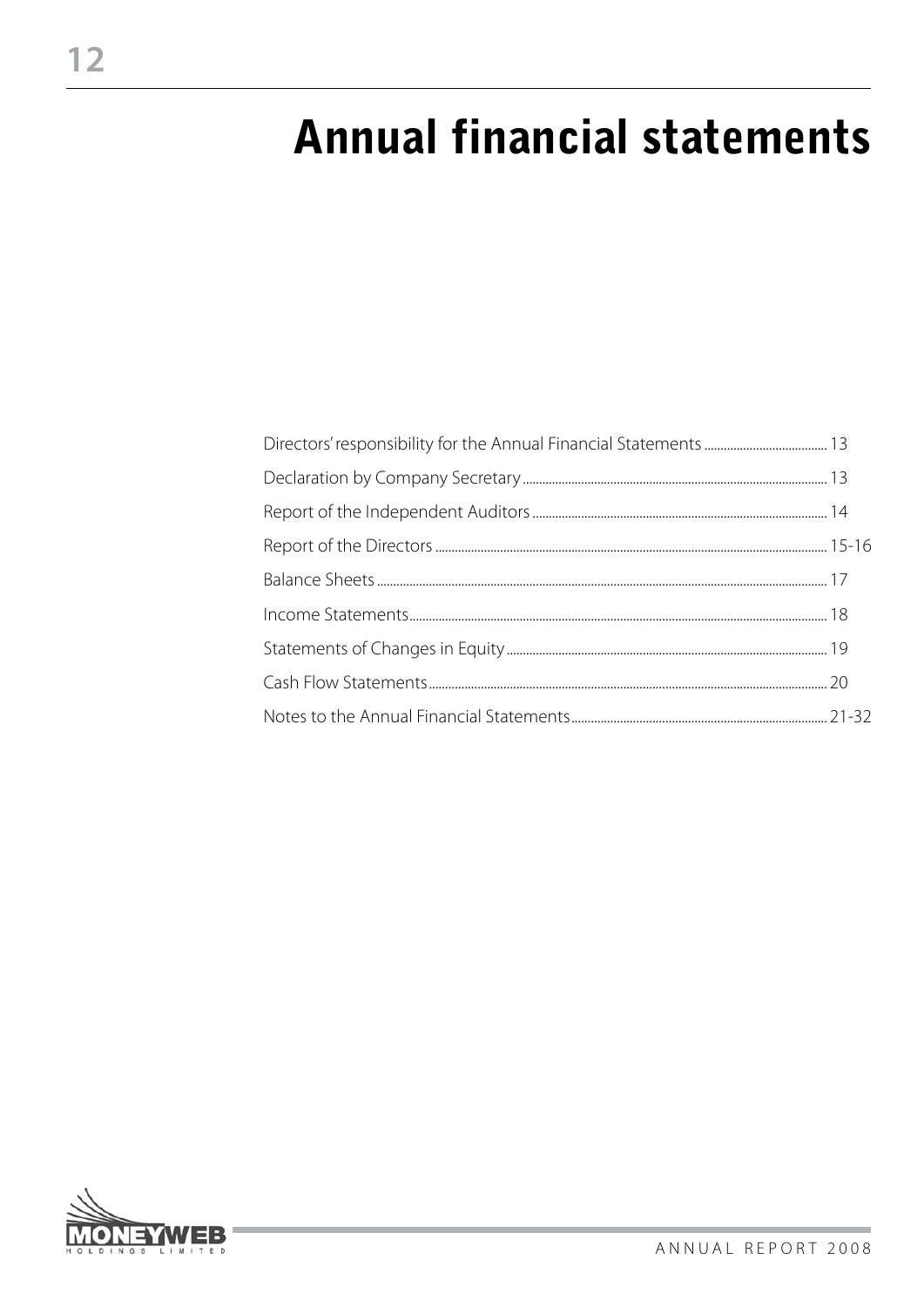# **Annual financial statements**

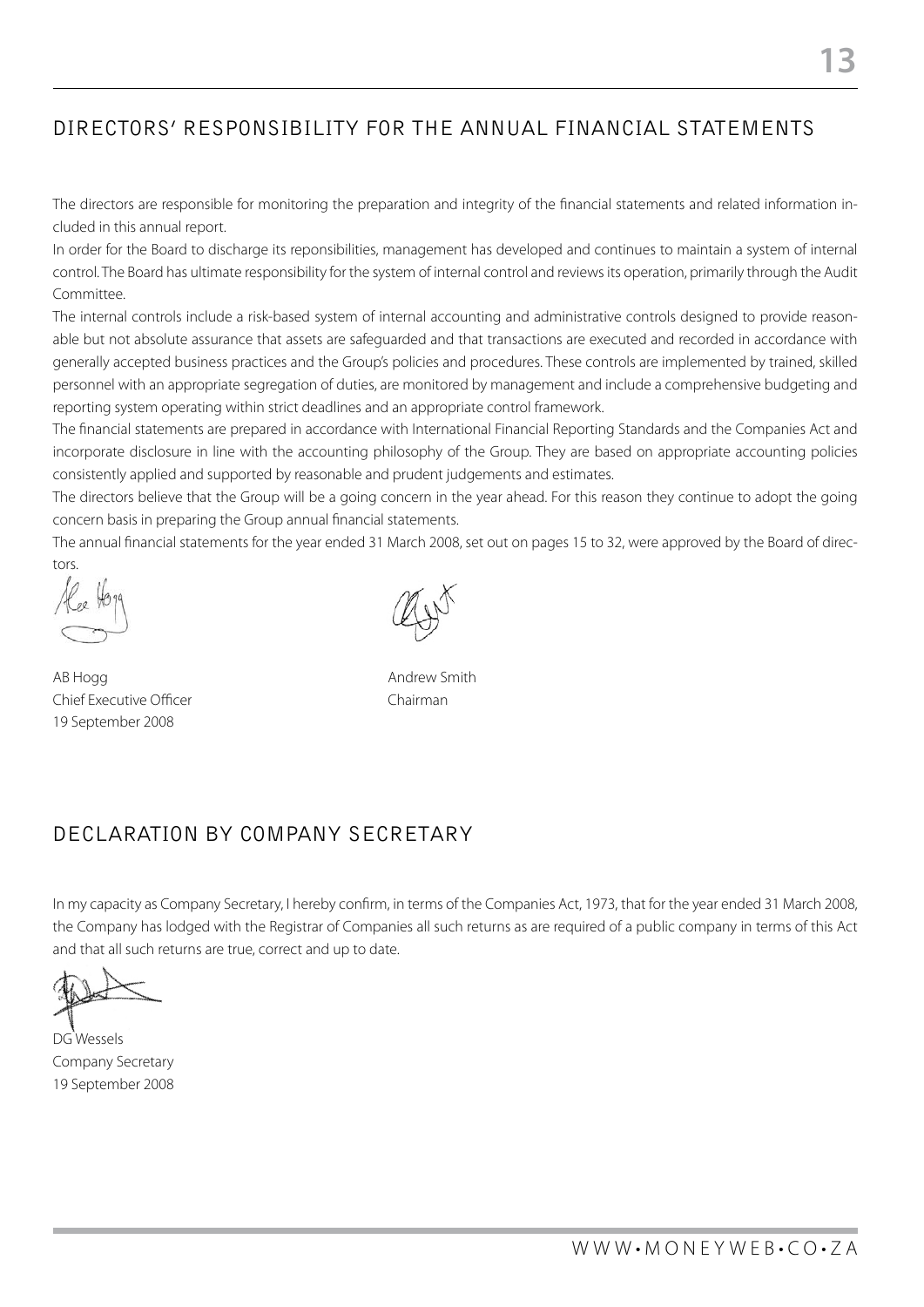# DIRECTORS' RESPONSIBILITY FOR THE ANNUAL FINANCIAL STATEMENTS

The directors are responsible for monitoring the preparation and integrity of the financial statements and related information included in this annual report.

In order for the Board to discharge its reponsibilities, management has developed and continues to maintain a system of internal control. The Board has ultimate responsibility for the system of internal control and reviews its operation, primarily through the Audit Committee.

The internal controls include a risk-based system of internal accounting and administrative controls designed to provide reasonable but not absolute assurance that assets are safeguarded and that transactions are executed and recorded in accordance with generally accepted business practices and the Group's policies and procedures. These controls are implemented by trained, skilled personnel with an appropriate segregation of duties, are monitored by management and include a comprehensive budgeting and reporting system operating within strict deadlines and an appropriate control framework.

The financial statements are prepared in accordance with International Financial Reporting Standards and the Companies Act and incorporate disclosure in line with the accounting philosophy of the Group. They are based on appropriate accounting policies consistently applied and supported by reasonable and prudent judgements and estimates.

The directors believe that the Group will be a going concern in the year ahead. For this reason they continue to adopt the going concern basis in preparing the Group annual financial statements.

The annual financial statements for the year ended 31 March 2008, set out on pages 15 to 32, were approved by the Board of directors.

AB Hogg Andrew Smith Chief Executive Officer **Chairman** 19 September 2008

# DECLARATION BY COMPANY SECRETARY

In my capacity as Company Secretary, I hereby confirm, in terms of the Companies Act, 1973, that for the year ended 31 March 2008, the Company has lodged with the Registrar of Companies all such returns as are required of a public company in terms of this Act and that all such returns are true, correct and up to date.

DG Wessels Company Secretary 19 September 2008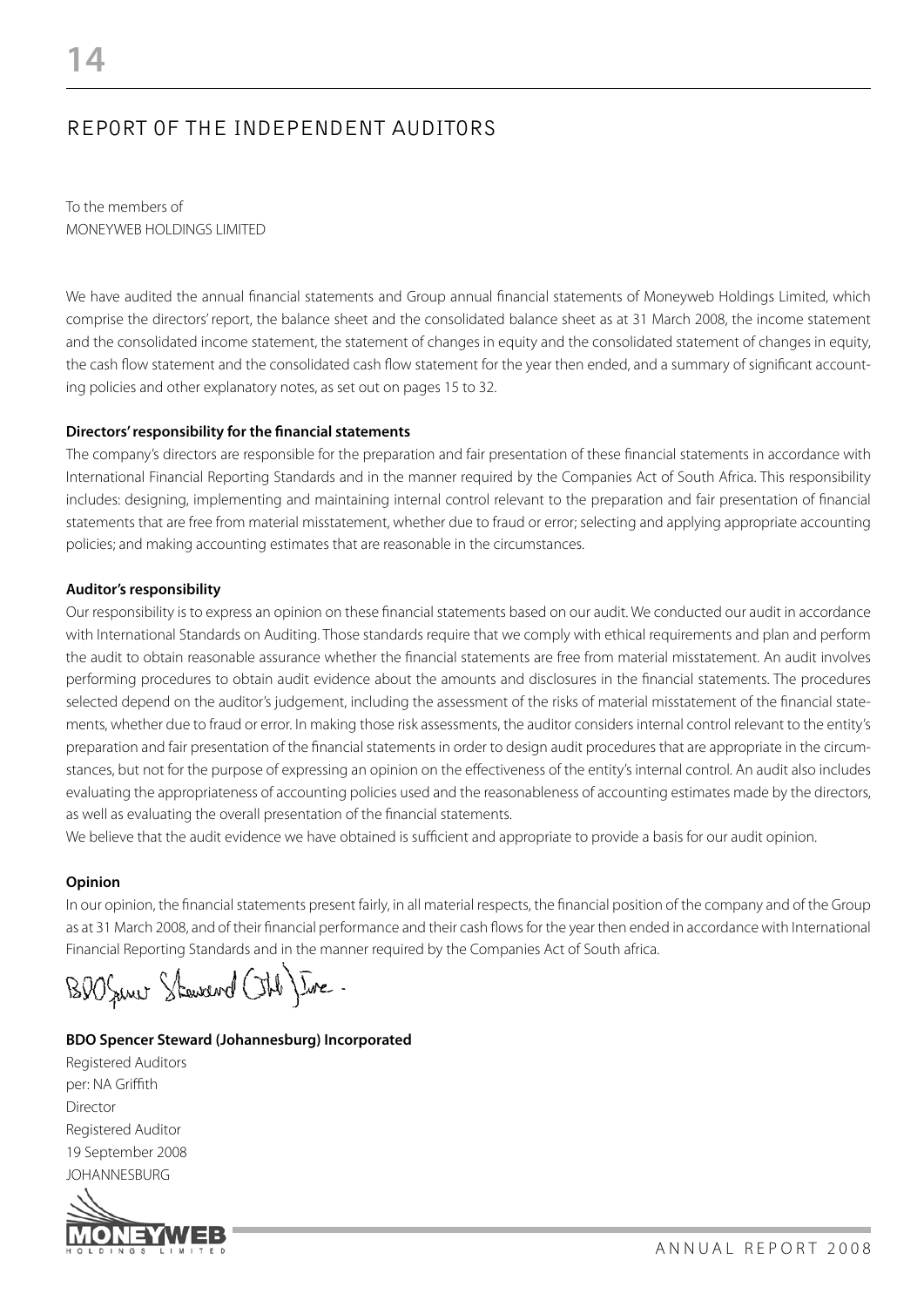# REPORT OF THE INDEPENDENT AUDITORS

To the members of MONEYWEB HOLDINGS LIMITED

We have audited the annual financial statements and Group annual financial statements of Moneyweb Holdings Limited, which comprise the directors' report, the balance sheet and the consolidated balance sheet as at 31 March 2008, the income statement and the consolidated income statement, the statement of changes in equity and the consolidated statement of changes in equity, the cash flow statement and the consolidated cash flow statement for the year then ended, and a summary of significant accounting policies and other explanatory notes, as set out on pages 15 to 32.

### **Directors' responsibility for the financial statements**

The company's directors are responsible for the preparation and fair presentation of these financial statements in accordance with International Financial Reporting Standards and in the manner required by the Companies Act of South Africa. This responsibility includes: designing, implementing and maintaining internal control relevant to the preparation and fair presentation of financial statements that are free from material misstatement, whether due to fraud or error; selecting and applying appropriate accounting policies; and making accounting estimates that are reasonable in the circumstances.

#### **Auditor's responsibility**

Our responsibility is to express an opinion on these financial statements based on our audit. We conducted our audit in accordance with International Standards on Auditing. Those standards require that we comply with ethical requirements and plan and perform the audit to obtain reasonable assurance whether the financial statements are free from material misstatement. An audit involves performing procedures to obtain audit evidence about the amounts and disclosures in the financial statements. The procedures selected depend on the auditor's judgement, including the assessment of the risks of material misstatement of the financial statements, whether due to fraud or error. In making those risk assessments, the auditor considers internal control relevant to the entity's preparation and fair presentation of the financial statements in order to design audit procedures that are appropriate in the circumstances, but not for the purpose of expressing an opinion on the effectiveness of the entity's internal control. An audit also includes evaluating the appropriateness of accounting policies used and the reasonableness of accounting estimates made by the directors, as well as evaluating the overall presentation of the financial statements.

We believe that the audit evidence we have obtained is sufficient and appropriate to provide a basis for our audit opinion.

#### **Opinion**

In our opinion, the financial statements present fairly, in all material respects, the financial position of the company and of the Group as at 31 March 2008, and of their financial performance and their cash flows for the year then ended in accordance with International Financial Reporting Standards and in the manner required by the Companies Act of South africa.

BOOSur Steward (Ib) Ire.

### **BDO Spencer Steward (Johannesburg) Incorporated**

Registered Auditors per: NA Griffith Director Registered Auditor 19 September 2008 JOHANNESBURG

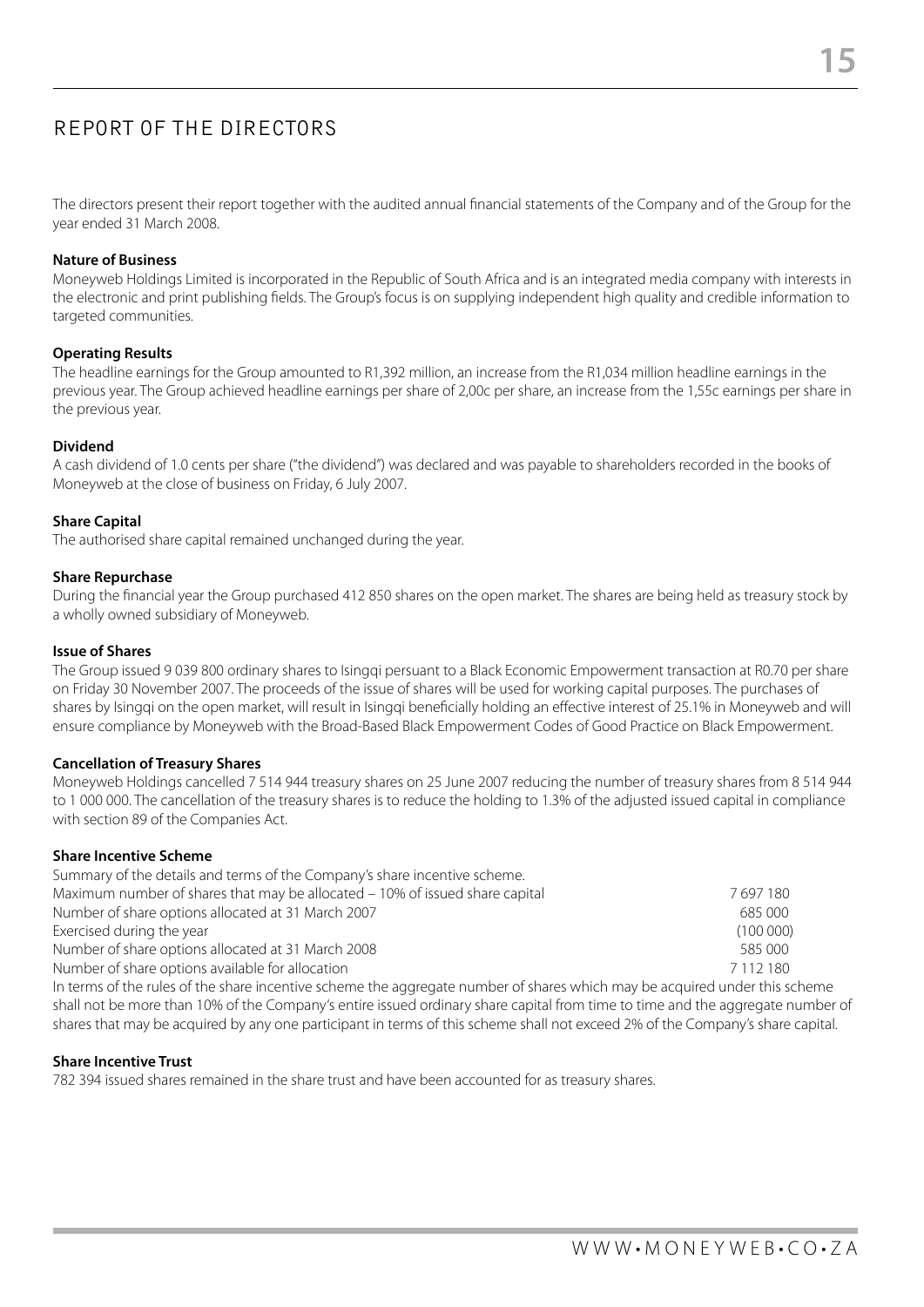# REPORT OF THE DIRECTORS

The directors present their report together with the audited annual financial statements of the Company and of the Group for the year ended 31 March 2008.

#### **Nature of Business**

Moneyweb Holdings Limited is incorporated in the Republic of South Africa and is an integrated media company with interests in the electronic and print publishing fields. The Group's focus is on supplying independent high quality and credible information to targeted communities.

#### **Operating Results**

The headline earnings for the Group amounted to R1,392 million, an increase from the R1,034 million headline earnings in the previous year. The Group achieved headline earnings per share of 2,00c per share, an increase from the 1,55c earnings per share in the previous year.

#### **Dividend**

A cash dividend of 1.0 cents per share ("the dividend") was declared and was payable to shareholders recorded in the books of Moneyweb at the close of business on Friday, 6 July 2007.

#### **Share Capital**

The authorised share capital remained unchanged during the year.

#### **Share Repurchase**

During the financial year the Group purchased 412 850 shares on the open market. The shares are being held as treasury stock by a wholly owned subsidiary of Moneyweb.

#### **Issue of Shares**

The Group issued 9 039 800 ordinary shares to Isingqi persuant to a Black Economic Empowerment transaction at R0.70 per share on Friday 30 November 2007. The proceeds of the issue of shares will be used for working capital purposes. The purchases of shares by Isingqi on the open market, will result in Isingqi beneficially holding an effective interest of 25.1% in Moneyweb and will ensure compliance by Moneyweb with the Broad-Based Black Empowerment Codes of Good Practice on Black Empowerment.

#### **Cancellation of Treasury Shares**

Moneyweb Holdings cancelled 7 514 944 treasury shares on 25 June 2007 reducing the number of treasury shares from 8 514 944 to 1 000 000. The cancellation of the treasury shares is to reduce the holding to 1.3% of the adjusted issued capital in compliance with section 89 of the Companies Act.

#### **Share Incentive Scheme**

| Summary of the details and terms of the Company's share incentive scheme.                                                                                                                                                      |               |
|--------------------------------------------------------------------------------------------------------------------------------------------------------------------------------------------------------------------------------|---------------|
| Maximum number of shares that may be allocated - 10% of issued share capital                                                                                                                                                   | 7 697 180     |
| Number of share options allocated at 31 March 2007                                                                                                                                                                             | 685 000       |
| Exercised during the year                                                                                                                                                                                                      | (100000)      |
| Number of share options allocated at 31 March 2008                                                                                                                                                                             | 585 000       |
| Number of share options available for allocation                                                                                                                                                                               | 7 1 1 2 1 8 0 |
| The common factor of the distribution of the distribution of the control of distribution of the second of the distribution of the second second second second second second second second second second second second second s |               |

In terms of the rules of the share incentive scheme the aggregate number of shares which may be acquired under this scheme shall not be more than 10% of the Company's entire issued ordinary share capital from time to time and the aggregate number of shares that may be acquired by any one participant in terms of this scheme shall not exceed 2% of the Company's share capital.

### **Share Incentive Trust**

782 394 issued shares remained in the share trust and have been accounted for as treasury shares.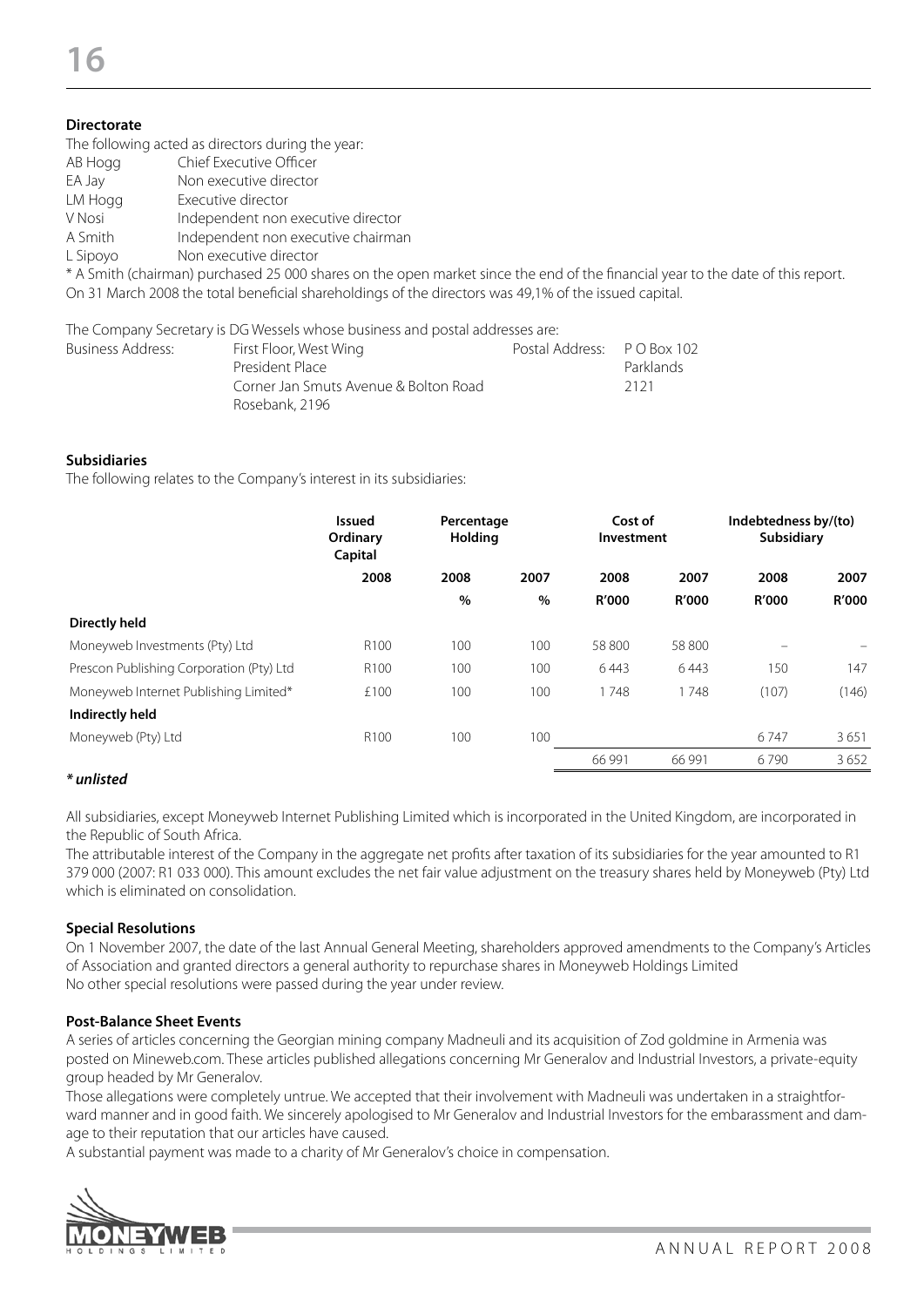## **Directorate**

| The following acted as directors during the year: |                                    |  |
|---------------------------------------------------|------------------------------------|--|
| AB Hogg                                           | Chief Executive Officer            |  |
| EA Jay                                            | Non executive director             |  |
| LM Hogg                                           | Executive director                 |  |
| V Nosi                                            | Independent non executive director |  |
| A Smith                                           | Independent non executive chairman |  |
| L Sipoyo                                          | Non executive director             |  |
|                                                   |                                    |  |

\* A Smith (chairman) purchased 25 000 shares on the open market since the end of the financial year to the date of this report. On 31 March 2008 the total beneficial shareholdings of the directors was 49,1% of the issued capital.

#### The Company Secretary is DG Wessels whose business and postal addresses are:

| Postal Address: P O Box 102 |
|-----------------------------|
|                             |
| Parklands                   |
| 2121                        |
|                             |
|                             |

#### **Subsidiaries**

The following relates to the Company's interest in its subsidiaries:

|                                          | <b>Issued</b><br>Ordinary<br>Capital | Percentage<br><b>Holding</b> |      | Cost of<br>Investment |              | Indebtedness by/(to)<br><b>Subsidiary</b> |              |
|------------------------------------------|--------------------------------------|------------------------------|------|-----------------------|--------------|-------------------------------------------|--------------|
|                                          | 2008                                 | 2008                         | 2007 | 2008                  | 2007         | 2008                                      | 2007         |
|                                          |                                      | $\%$                         | $\%$ | <b>R'000</b>          | <b>R'000</b> | <b>R'000</b>                              | <b>R'000</b> |
| Directly held                            |                                      |                              |      |                       |              |                                           |              |
| Moneyweb Investments (Pty) Ltd           | R <sub>100</sub>                     | 100                          | 100  | 58 800                | 58 800       |                                           |              |
| Prescon Publishing Corporation (Pty) Ltd | R <sub>100</sub>                     | 100                          | 100  | 6443                  | 6443         | 150                                       | 147          |
| Moneyweb Internet Publishing Limited*    | £100                                 | 100                          | 100  | 1748                  | 1748         | (107)                                     | (146)        |
| Indirectly held                          |                                      |                              |      |                       |              |                                           |              |
| Moneyweb (Pty) Ltd                       | R <sub>100</sub>                     | 100                          | 100  |                       |              | 6747                                      | 3651         |
|                                          |                                      |                              |      | 66 991                | 66 991       | 6790                                      | 3652         |

#### *\* unlisted*

All subsidiaries, except Moneyweb Internet Publishing Limited which is incorporated in the United Kingdom, are incorporated in the Republic of South Africa.

The attributable interest of the Company in the aggregate net profits after taxation of its subsidiaries for the year amounted to R1 379 000 (2007: R1 033 000). This amount excludes the net fair value adjustment on the treasury shares held by Moneyweb (Pty) Ltd which is eliminated on consolidation.

#### **Special Resolutions**

On 1 November 2007, the date of the last Annual General Meeting, shareholders approved amendments to the Company's Articles of Association and granted directors a general authority to repurchase shares in Moneyweb Holdings Limited No other special resolutions were passed during the year under review.

#### **Post-Balance Sheet Events**

A series of articles concerning the Georgian mining company Madneuli and its acquisition of Zod goldmine in Armenia was posted on Mineweb.com. These articles published allegations concerning Mr Generalov and Industrial Investors, a private-equity group headed by Mr Generalov.

Those allegations were completely untrue. We accepted that their involvement with Madneuli was undertaken in a straightforward manner and in good faith. We sincerely apologised to Mr Generalov and Industrial Investors for the embarassment and damage to their reputation that our articles have caused.

A substantial payment was made to a charity of Mr Generalov's choice in compensation.

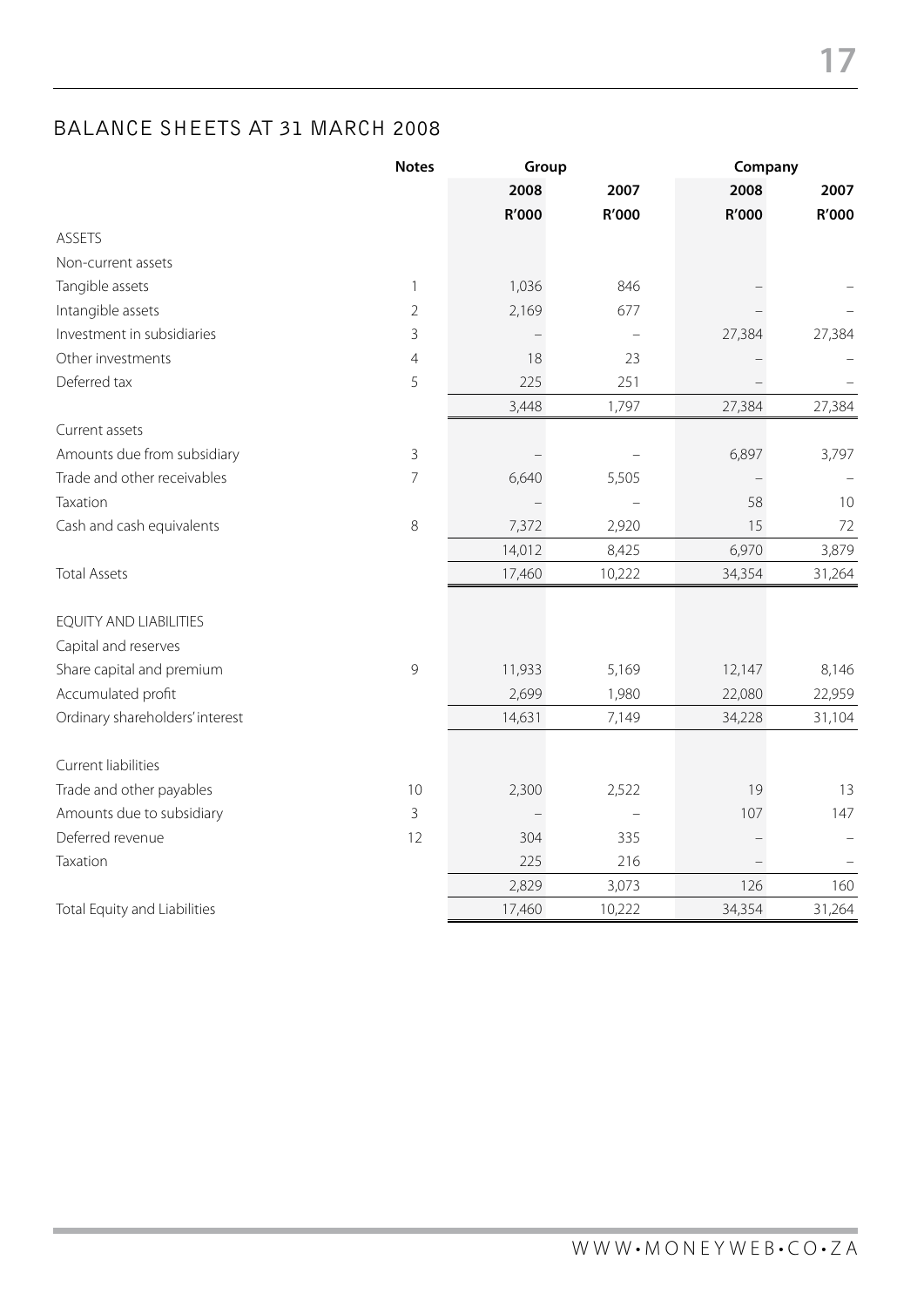# BALANCE SHEETS AT 31 MARCH 2008

|                                 | <b>Notes</b>   |        | Group  |        | Company |  |
|---------------------------------|----------------|--------|--------|--------|---------|--|
|                                 |                | 2008   | 2007   | 2008   | 2007    |  |
|                                 |                | R'000  | R'000  | R'000  | R'000   |  |
| ASSETS                          |                |        |        |        |         |  |
| Non-current assets              |                |        |        |        |         |  |
| Tangible assets                 | $\mathbf{1}$   | 1,036  | 846    |        |         |  |
| Intangible assets               | $\overline{2}$ | 2,169  | 677    |        |         |  |
| Investment in subsidiaries      | 3              |        |        | 27,384 | 27,384  |  |
| Other investments               | $\overline{4}$ | 18     | 23     |        |         |  |
| Deferred tax                    | 5              | 225    | 251    |        |         |  |
|                                 |                | 3,448  | 1,797  | 27,384 | 27,384  |  |
| Current assets                  |                |        |        |        |         |  |
| Amounts due from subsidiary     | 3              |        |        | 6,897  | 3,797   |  |
| Trade and other receivables     | $\overline{7}$ | 6,640  | 5,505  |        |         |  |
| Taxation                        |                |        |        | 58     | 10      |  |
| Cash and cash equivalents       | 8              | 7,372  | 2,920  | 15     | 72      |  |
|                                 |                | 14,012 | 8,425  | 6,970  | 3,879   |  |
| <b>Total Assets</b>             |                | 17,460 | 10,222 | 34,354 | 31,264  |  |
| <b>EQUITY AND LIABILITIES</b>   |                |        |        |        |         |  |
| Capital and reserves            |                |        |        |        |         |  |
| Share capital and premium       | 9              | 11,933 | 5,169  | 12,147 | 8,146   |  |
| Accumulated profit              |                | 2,699  | 1,980  | 22,080 | 22,959  |  |
| Ordinary shareholders' interest |                | 14,631 | 7,149  | 34,228 | 31,104  |  |
| Current liabilities             |                |        |        |        |         |  |
| Trade and other payables        | 10             | 2,300  | 2,522  | 19     | 13      |  |
| Amounts due to subsidiary       | 3              |        |        | 107    | 147     |  |
| Deferred revenue                | 12             | 304    | 335    |        |         |  |
| Taxation                        |                | 225    | 216    |        |         |  |
|                                 |                | 2,829  | 3,073  | 126    | 160     |  |
| Total Equity and Liabilities    |                | 17,460 | 10,222 | 34,354 | 31,264  |  |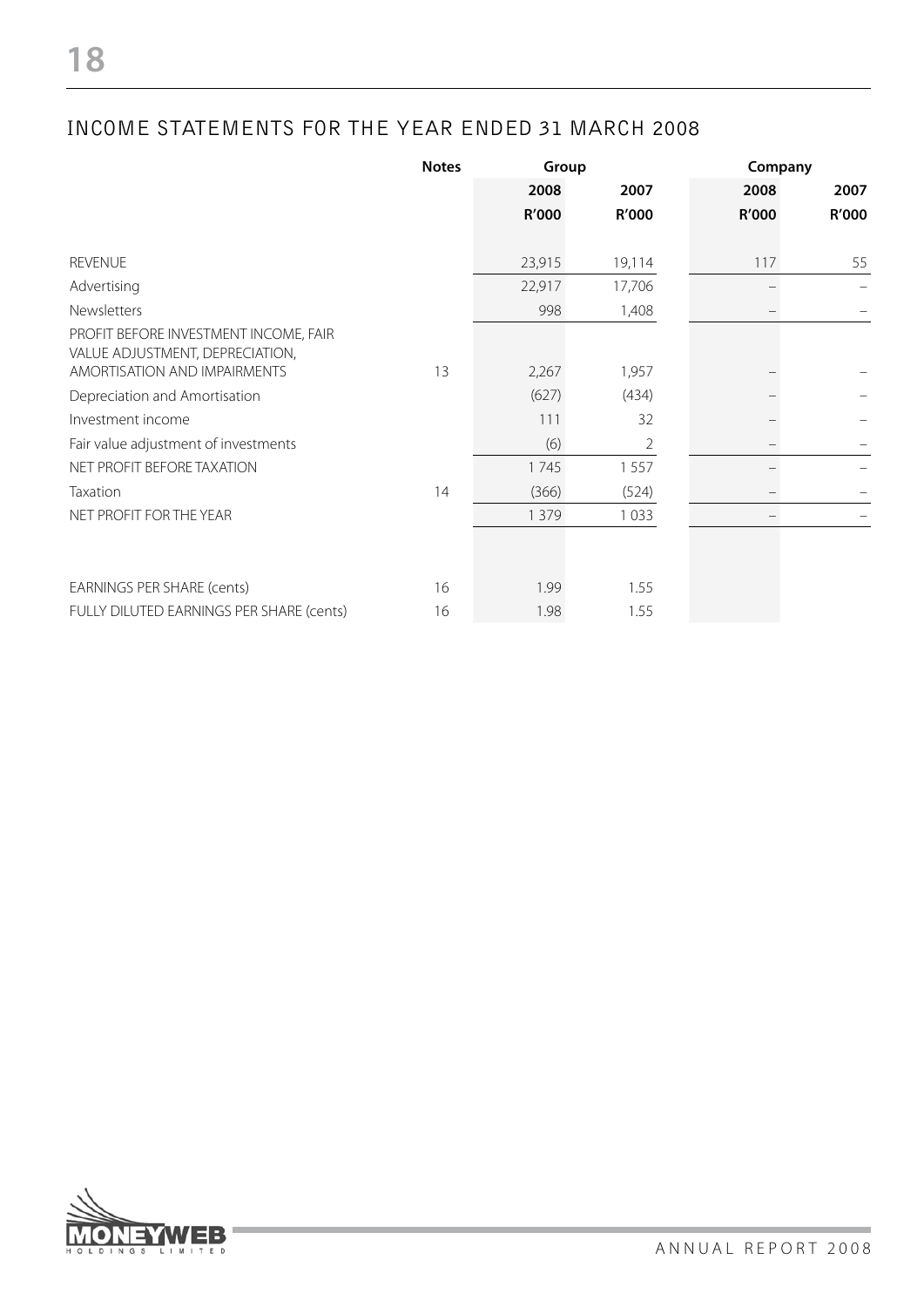# INCOME STATEMENTS FOR THE YEAR ENDED 31 MARCH 2008

|                                                                          | <b>Notes</b> | Group   |         | Company |       |
|--------------------------------------------------------------------------|--------------|---------|---------|---------|-------|
|                                                                          |              | 2008    | 2007    | 2008    | 2007  |
|                                                                          |              | R'000   | R'000   | R'000   | R'000 |
|                                                                          |              |         |         |         |       |
| <b>REVENUE</b>                                                           |              | 23,915  | 19,114  | 117     | 55    |
| Advertising                                                              |              | 22,917  | 17,706  |         |       |
| Newsletters                                                              |              | 998     | 1,408   |         |       |
| PROFIT BEFORE INVESTMENT INCOME, FAIR<br>VALUE ADJUSTMENT, DEPRECIATION, |              |         |         |         |       |
| AMORTISATION AND IMPAIRMENTS                                             | 13           | 2,267   | 1,957   |         |       |
| Depreciation and Amortisation                                            |              | (627)   | (434)   |         |       |
| Investment income                                                        |              | 111     | 32      |         |       |
| Fair value adjustment of investments                                     |              | (6)     | 2       |         |       |
| NET PROFIT BEFORE TAXATION                                               |              | 1745    | 1557    |         |       |
| Taxation                                                                 | 14           | (366)   | (524)   |         |       |
| NET PROFIT FOR THE YEAR                                                  |              | 1 3 7 9 | 1 0 3 3 |         |       |
|                                                                          |              |         |         |         |       |
| <b>EARNINGS PER SHARE (cents)</b>                                        | 16           | 1.99    | 1.55    |         |       |
| FULLY DILUTED EARNINGS PER SHARE (cents)                                 | 16           | 1.98    | 1.55    |         |       |

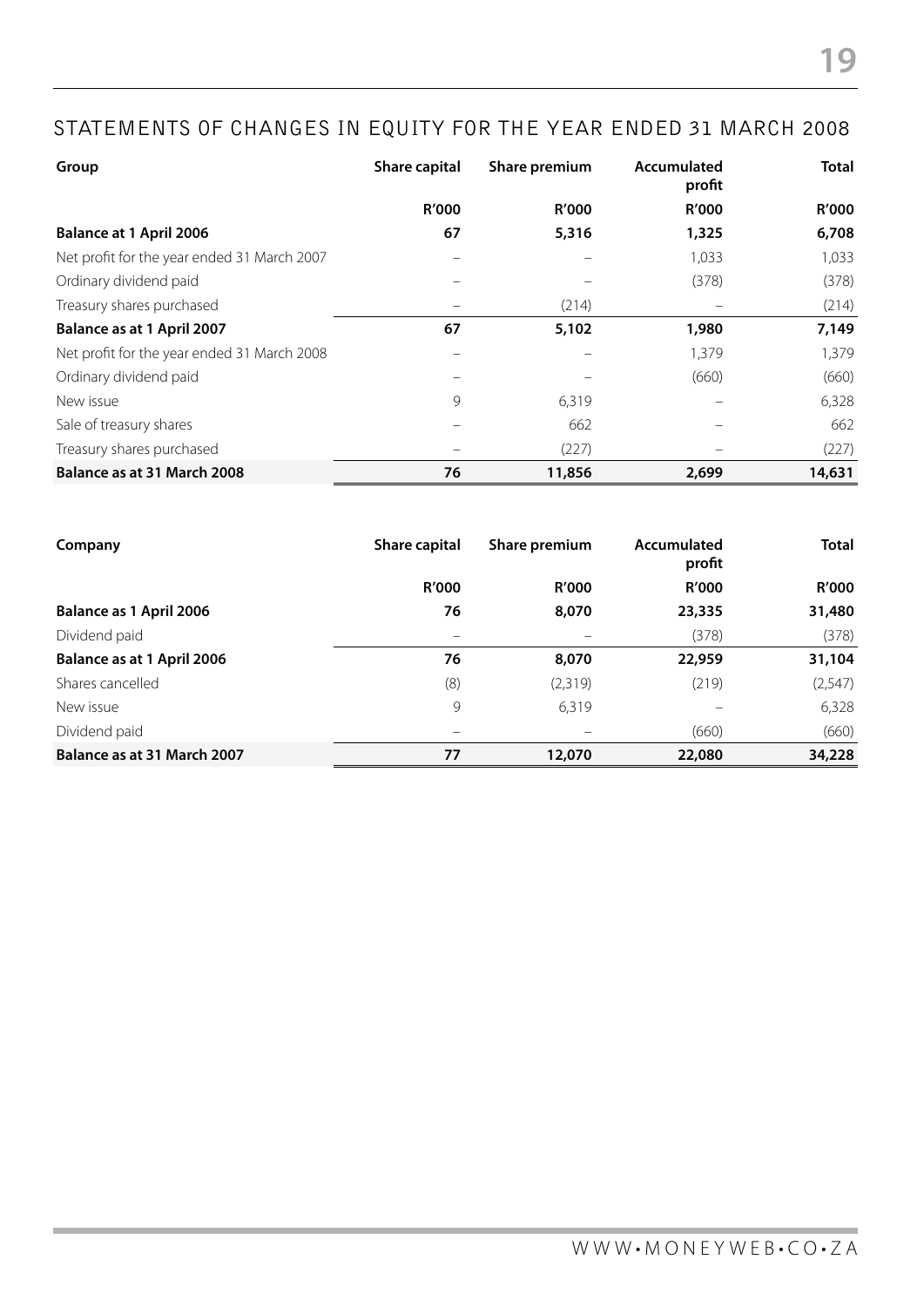# STATEMENTS OF CHANGES IN EQUITY FOR THE YEAR ENDED 31 MARCH 2008

| Group                                       | Share capital | Share premium | Accumulated<br>profit | <b>Total</b> |
|---------------------------------------------|---------------|---------------|-----------------------|--------------|
|                                             | <b>R'000</b>  | <b>R'000</b>  | <b>R'000</b>          | <b>R'000</b> |
| <b>Balance at 1 April 2006</b>              | 67            | 5,316         | 1,325                 | 6,708        |
| Net profit for the year ended 31 March 2007 |               |               | 1,033                 | 1,033        |
| Ordinary dividend paid                      |               |               | (378)                 | (378)        |
| Treasury shares purchased                   |               | (214)         |                       | (214)        |
| Balance as at 1 April 2007                  | 67            | 5,102         | 1,980                 | 7,149        |
| Net profit for the year ended 31 March 2008 |               |               | 1,379                 | 1,379        |
| Ordinary dividend paid                      |               |               | (660)                 | (660)        |
| New issue                                   | 9             | 6,319         |                       | 6,328        |
| Sale of treasury shares                     |               | 662           |                       | 662          |
| Treasury shares purchased                   |               | (227)         |                       | (227)        |
| Balance as at 31 March 2008                 | 76            | 11,856        | 2,699                 | 14,631       |

| Company                     | <b>Share capital</b> | Share premium | Accumulated<br>profit | <b>Total</b> |
|-----------------------------|----------------------|---------------|-----------------------|--------------|
|                             | <b>R'000</b>         | <b>R'000</b>  | <b>R'000</b>          | <b>R'000</b> |
| Balance as 1 April 2006     | 76                   | 8,070         | 23,335                | 31,480       |
| Dividend paid               |                      |               | (378)                 | (378)        |
| Balance as at 1 April 2006  | 76                   | 8,070         | 22,959                | 31,104       |
| Shares cancelled            | (8)                  | (2,319)       | (219)                 | (2,547)      |
| New issue                   | 9                    | 6,319         |                       | 6,328        |
| Dividend paid               |                      |               | (660)                 | (660)        |
| Balance as at 31 March 2007 | 77                   | 12,070        | 22,080                | 34,228       |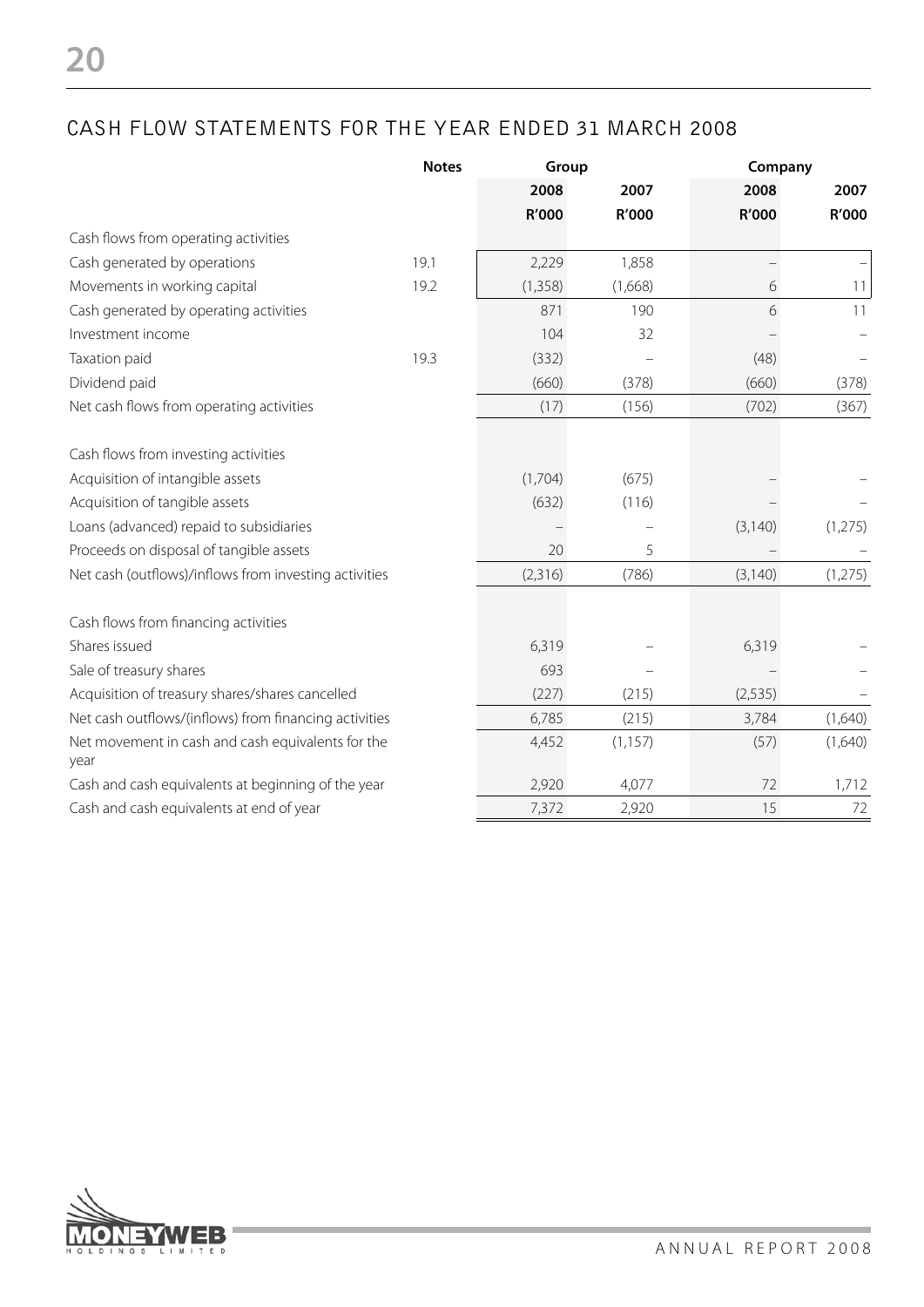# CASH FLOW STATEMENTS FOR THE YEAR ENDED 31 MARCH 2008

|                                                           | <b>Notes</b> | Group        |              |          | Company      |  |
|-----------------------------------------------------------|--------------|--------------|--------------|----------|--------------|--|
|                                                           |              | 2008         | 2007         | 2008     | 2007         |  |
|                                                           |              | <b>R'000</b> | <b>R'000</b> | R'000    | <b>R'000</b> |  |
| Cash flows from operating activities                      |              |              |              |          |              |  |
| Cash generated by operations                              | 19.1         | 2,229        | 1,858        |          |              |  |
| Movements in working capital                              | 19.2         | (1, 358)     | (1,668)      | 6        | 11           |  |
| Cash generated by operating activities                    |              | 871          | 190          | 6        | 11           |  |
| Investment income                                         |              | 104          | 32           |          |              |  |
| Taxation paid                                             | 19.3         | (332)        |              | (48)     |              |  |
| Dividend paid                                             |              | (660)        | (378)        | (660)    | (378)        |  |
| Net cash flows from operating activities                  |              | (17)         | (156)        | (702)    | (367)        |  |
|                                                           |              |              |              |          |              |  |
| Cash flows from investing activities                      |              |              |              |          |              |  |
| Acquisition of intangible assets                          |              | (1,704)      | (675)        |          |              |  |
| Acquisition of tangible assets                            |              | (632)        | (116)        |          |              |  |
| Loans (advanced) repaid to subsidiaries                   |              |              |              | (3, 140) | (1,275)      |  |
| Proceeds on disposal of tangible assets                   |              | 20           | 5            |          |              |  |
| Net cash (outflows)/inflows from investing activities     |              | (2,316)      | (786)        | (3, 140) | (1,275)      |  |
|                                                           |              |              |              |          |              |  |
| Cash flows from financing activities                      |              |              |              |          |              |  |
| Shares issued                                             |              | 6,319        |              | 6,319    |              |  |
| Sale of treasury shares                                   |              | 693          |              |          |              |  |
| Acquisition of treasury shares/shares cancelled           |              | (227)        | (215)        | (2, 535) |              |  |
| Net cash outflows/(inflows) from financing activities     |              | 6,785        | (215)        | 3,784    | (1,640)      |  |
| Net movement in cash and cash equivalents for the<br>year |              | 4,452        | (1, 157)     | (57)     | (1,640)      |  |
| Cash and cash equivalents at beginning of the year        |              | 2,920        | 4,077        | 72       | 1,712        |  |
| Cash and cash equivalents at end of year                  |              | 7,372        | 2,920        | 15       | 72           |  |

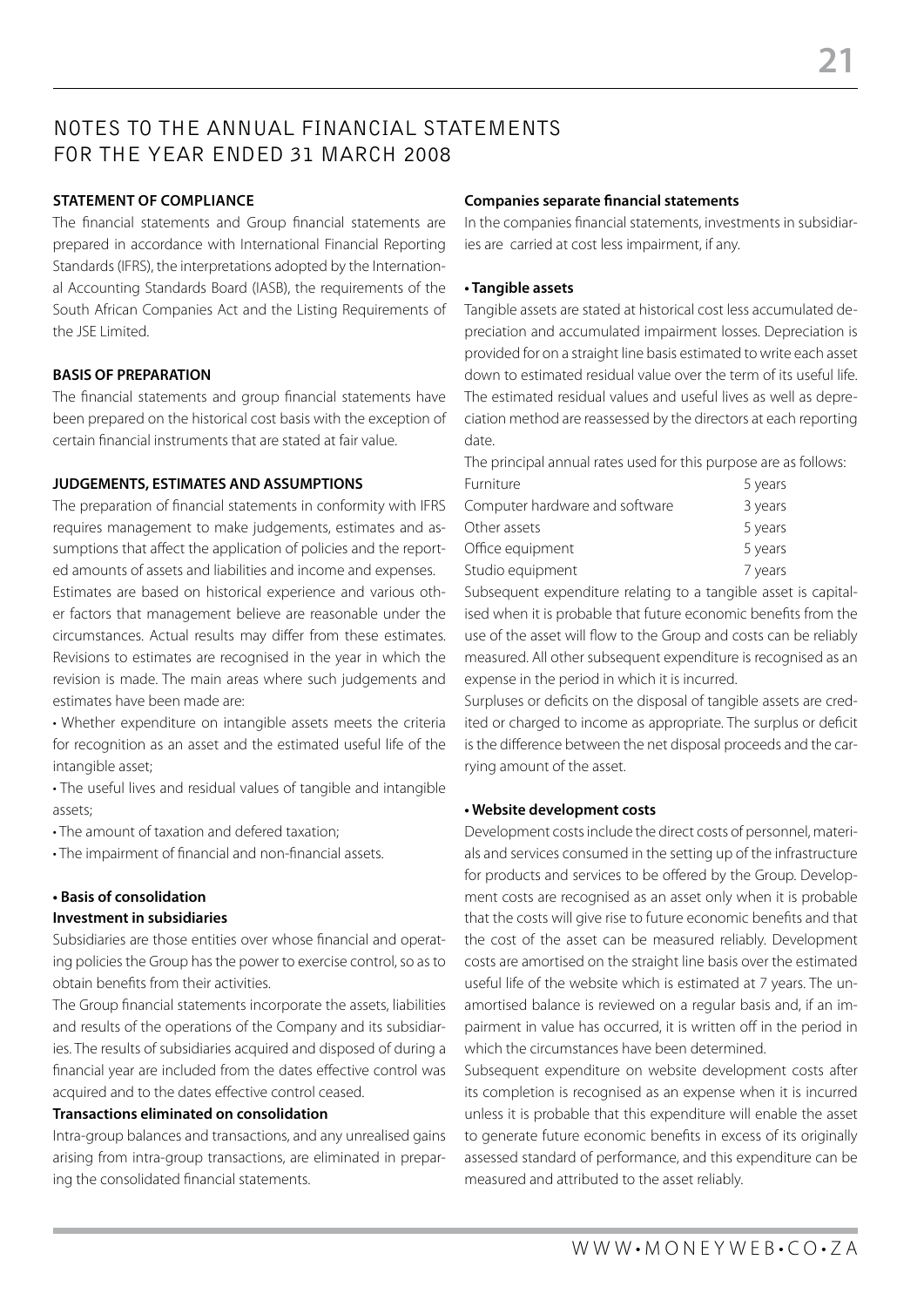**21**

# NOTES TO THE ANNUAL FINANCIAL STATEMENTS FOR THE YEAR ENDED 31 MARCH 2008

## **Statement of compliance**

The financial statements and Group financial statements are prepared in accordance with International Financial Reporting Standards (IFRS), the interpretations adopted by the International Accounting Standards Board (IASB), the requirements of the South African Companies Act and the Listing Requirements of the JSE Limited.

## **BASIS OF PREPARATION**

The financial statements and group financial statements have been prepared on the historical cost basis with the exception of certain financial instruments that are stated at fair value.

## **JUDGEMENTS, ESTIMATES AND ASSUMPTIONS**

The preparation of financial statements in conformity with IFRS requires management to make judgements, estimates and assumptions that affect the application of policies and the reported amounts of assets and liabilities and income and expenses.

Estimates are based on historical experience and various other factors that management believe are reasonable under the circumstances. Actual results may differ from these estimates. Revisions to estimates are recognised in the year in which the revision is made. The main areas where such judgements and estimates have been made are:

• Whether expenditure on intangible assets meets the criteria for recognition as an asset and the estimated useful life of the intangible asset;

• The useful lives and residual values of tangible and intangible assets;

• The amount of taxation and defered taxation;

• The impairment of financial and non-financial assets.

## **• Basis of consolidation**

### **Investment in subsidiaries**

Subsidiaries are those entities over whose financial and operating policies the Group has the power to exercise control, so as to obtain benefits from their activities.

The Group financial statements incorporate the assets, liabilities and results of the operations of the Company and its subsidiaries. The results of subsidiaries acquired and disposed of during a financial year are included from the dates effective control was acquired and to the dates effective control ceased.

### **Transactions eliminated on consolidation**

Intra-group balances and transactions, and any unrealised gains arising from intra-group transactions, are eliminated in preparing the consolidated financial statements.

### **Companies separate financial statements**

In the companies financial statements, investments in subsidiaries are carried at cost less impairment, if any.

### **• Tangible assets**

Tangible assets are stated at historical cost less accumulated depreciation and accumulated impairment losses. Depreciation is provided for on a straight line basis estimated to write each asset down to estimated residual value over the term of its useful life. The estimated residual values and useful lives as well as depreciation method are reassessed by the directors at each reporting date.

The principal annual rates used for this purpose are as follows: Furniture 5 years

| 3 years |
|---------|
| 5 years |
| 5 years |
| 7 years |
|         |

Subsequent expenditure relating to a tangible asset is capitalised when it is probable that future economic benefits from the use of the asset will flow to the Group and costs can be reliably measured. All other subsequent expenditure is recognised as an expense in the period in which it is incurred.

Surpluses or deficits on the disposal of tangible assets are credited or charged to income as appropriate. The surplus or deficit is the difference between the net disposal proceeds and the carrying amount of the asset.

### **• Website development costs**

Development costs include the direct costs of personnel, materials and services consumed in the setting up of the infrastructure for products and services to be offered by the Group. Development costs are recognised as an asset only when it is probable that the costs will give rise to future economic benefits and that the cost of the asset can be measured reliably. Development costs are amortised on the straight line basis over the estimated useful life of the website which is estimated at 7 years. The unamortised balance is reviewed on a regular basis and, if an impairment in value has occurred, it is written off in the period in which the circumstances have been determined.

Subsequent expenditure on website development costs after its completion is recognised as an expense when it is incurred unless it is probable that this expenditure will enable the asset to generate future economic benefits in excess of its originally assessed standard of performance, and this expenditure can be measured and attributed to the asset reliably.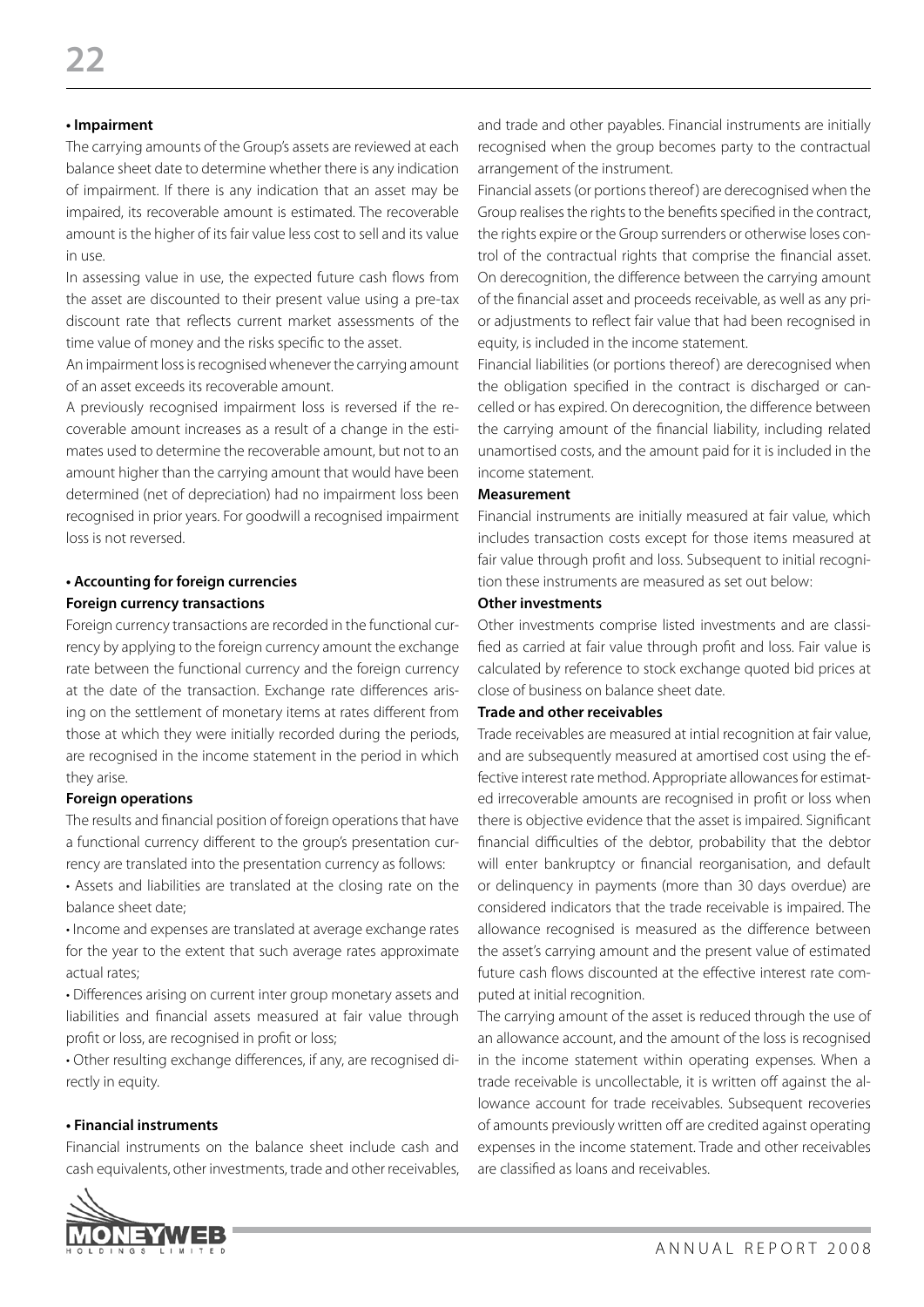#### **• Impairment**

The carrying amounts of the Group's assets are reviewed at each balance sheet date to determine whether there is any indication of impairment. If there is any indication that an asset may be impaired, its recoverable amount is estimated. The recoverable amount is the higher of its fair value less cost to sell and its value in use.

In assessing value in use, the expected future cash flows from the asset are discounted to their present value using a pre-tax discount rate that reflects current market assessments of the time value of money and the risks specific to the asset.

An impairment loss is recognised whenever the carrying amount of an asset exceeds its recoverable amount.

A previously recognised impairment loss is reversed if the recoverable amount increases as a result of a change in the estimates used to determine the recoverable amount, but not to an amount higher than the carrying amount that would have been determined (net of depreciation) had no impairment loss been recognised in prior years. For goodwill a recognised impairment loss is not reversed.

#### **• Accounting for foreign currencies Foreign currency transactions**

Foreign currency transactions are recorded in the functional currency by applying to the foreign currency amount the exchange rate between the functional currency and the foreign currency at the date of the transaction. Exchange rate differences arising on the settlement of monetary items at rates different from those at which they were initially recorded during the periods, are recognised in the income statement in the period in which they arise.

#### **Foreign operations**

The results and financial position of foreign operations that have a functional currency different to the group's presentation currency are translated into the presentation currency as follows:

• Assets and liabilities are translated at the closing rate on the balance sheet date;

• Income and expenses are translated at average exchange rates for the year to the extent that such average rates approximate actual rates;

• Differences arising on current inter group monetary assets and liabilities and financial assets measured at fair value through profit or loss, are recognised in profit or loss;

• Other resulting exchange differences, if any, are recognised directly in equity.

#### **• Financial instruments**

Financial instruments on the balance sheet include cash and cash equivalents, other investments, trade and other receivables,



and trade and other payables. Financial instruments are initially recognised when the group becomes party to the contractual arrangement of the instrument.

Financial assets (or portions thereof) are derecognised when the Group realises the rights to the benefits specified in the contract, the rights expire or the Group surrenders or otherwise loses control of the contractual rights that comprise the financial asset. On derecognition, the difference between the carrying amount of the financial asset and proceeds receivable, as well as any prior adjustments to reflect fair value that had been recognised in equity, is included in the income statement.

Financial liabilities (or portions thereof) are derecognised when the obligation specified in the contract is discharged or cancelled or has expired. On derecognition, the difference between the carrying amount of the financial liability, including related unamortised costs, and the amount paid for it is included in the income statement.

#### **Measurement**

Financial instruments are initially measured at fair value, which includes transaction costs except for those items measured at fair value through profit and loss. Subsequent to initial recognition these instruments are measured as set out below:

### **Other investments**

Other investments comprise listed investments and are classified as carried at fair value through profit and loss. Fair value is calculated by reference to stock exchange quoted bid prices at close of business on balance sheet date.

#### **Trade and other receivables**

Trade receivables are measured at intial recognition at fair value, and are subsequently measured at amortised cost using the effective interest rate method. Appropriate allowances for estimated irrecoverable amounts are recognised in profit or loss when there is objective evidence that the asset is impaired. Significant financial difficulties of the debtor, probability that the debtor will enter bankruptcy or financial reorganisation, and default or delinquency in payments (more than 30 days overdue) are considered indicators that the trade receivable is impaired. The allowance recognised is measured as the difference between the asset's carrying amount and the present value of estimated future cash flows discounted at the effective interest rate computed at initial recognition.

The carrying amount of the asset is reduced through the use of an allowance account, and the amount of the loss is recognised in the income statement within operating expenses. When a trade receivable is uncollectable, it is written off against the allowance account for trade receivables. Subsequent recoveries of amounts previously written off are credited against operating expenses in the income statement. Trade and other receivables are classified as loans and receivables.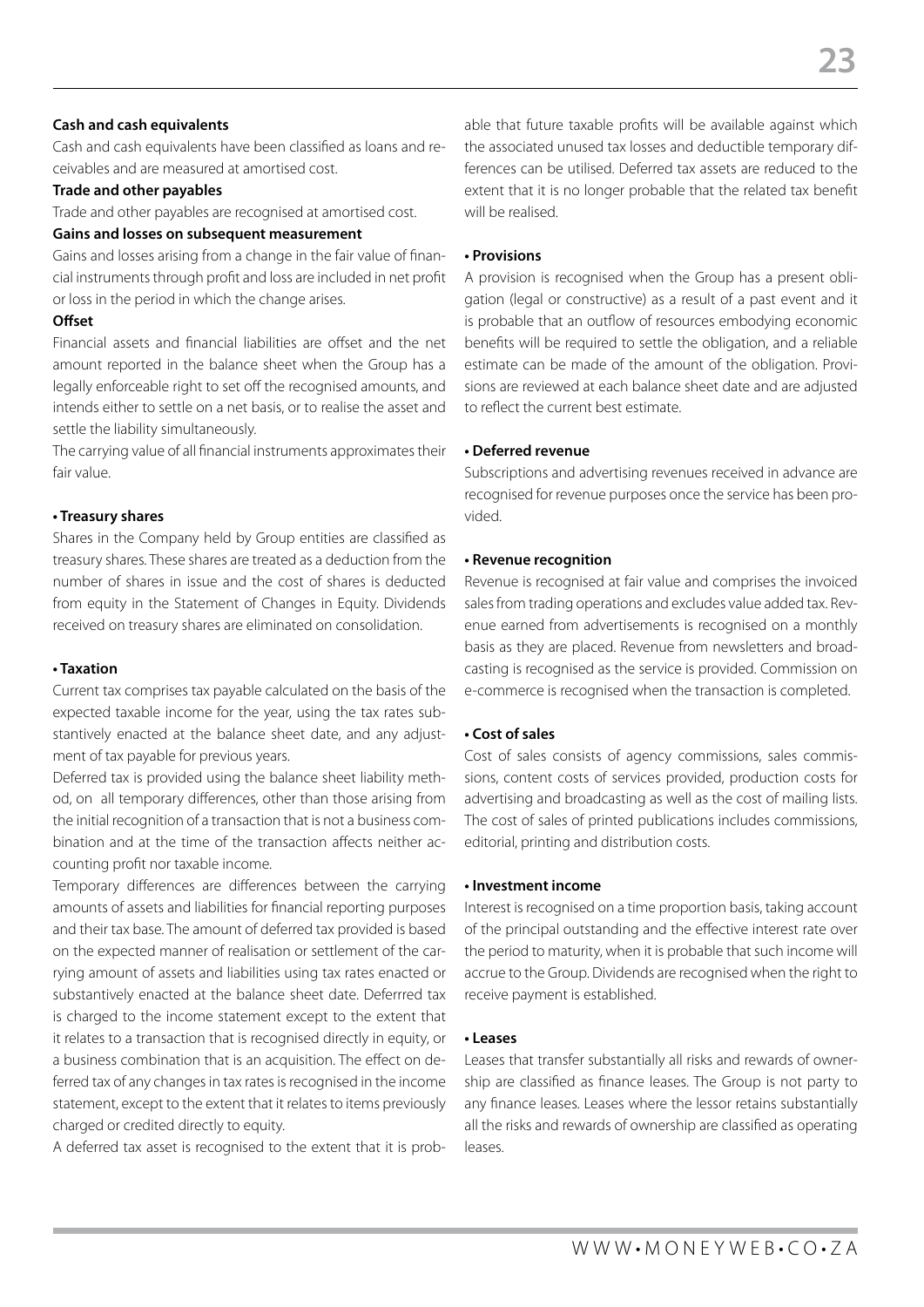## **Cash and cash equivalents**

Cash and cash equivalents have been classified as loans and receivables and are measured at amortised cost.

#### **Trade and other payables**

Trade and other payables are recognised at amortised cost.

#### **Gains and losses on subsequent measurement**

Gains and losses arising from a change in the fair value of financial instruments through profit and loss are included in net profit or loss in the period in which the change arises.

#### **Offset**

Financial assets and financial liabilities are offset and the net amount reported in the balance sheet when the Group has a legally enforceable right to set off the recognised amounts, and intends either to settle on a net basis, or to realise the asset and settle the liability simultaneously.

The carrying value of all financial instruments approximates their fair value.

### **• Treasury shares**

Shares in the Company held by Group entities are classified as treasury shares. These shares are treated as a deduction from the number of shares in issue and the cost of shares is deducted from equity in the Statement of Changes in Equity. Dividends received on treasury shares are eliminated on consolidation.

#### **• Taxation**

Current tax comprises tax payable calculated on the basis of the expected taxable income for the year, using the tax rates substantively enacted at the balance sheet date, and any adjustment of tax payable for previous years.

Deferred tax is provided using the balance sheet liability method, on all temporary differences, other than those arising from the initial recognition of a transaction that is not a business combination and at the time of the transaction affects neither accounting profit nor taxable income.

Temporary differences are differences between the carrying amounts of assets and liabilities for financial reporting purposes and their tax base. The amount of deferred tax provided is based on the expected manner of realisation or settlement of the carrying amount of assets and liabilities using tax rates enacted or substantively enacted at the balance sheet date. Deferrred tax is charged to the income statement except to the extent that it relates to a transaction that is recognised directly in equity, or a business combination that is an acquisition. The effect on deferred tax of any changes in tax rates is recognised in the income statement, except to the extent that it relates to items previously charged or credited directly to equity.

A deferred tax asset is recognised to the extent that it is prob-

able that future taxable profits will be available against which the associated unused tax losses and deductible temporary differences can be utilised. Deferred tax assets are reduced to the extent that it is no longer probable that the related tax benefit will be realised.

### **• Provisions**

A provision is recognised when the Group has a present obligation (legal or constructive) as a result of a past event and it is probable that an outflow of resources embodying economic benefits will be required to settle the obligation, and a reliable estimate can be made of the amount of the obligation. Provisions are reviewed at each balance sheet date and are adjusted to reflect the current best estimate.

## **• Deferred revenue**

Subscriptions and advertising revenues received in advance are recognised for revenue purposes once the service has been provided.

#### **• Revenue recognition**

Revenue is recognised at fair value and comprises the invoiced sales from trading operations and excludes value added tax. Revenue earned from advertisements is recognised on a monthly basis as they are placed. Revenue from newsletters and broadcasting is recognised as the service is provided. Commission on e-commerce is recognised when the transaction is completed.

### **• Cost of sales**

Cost of sales consists of agency commissions, sales commissions, content costs of services provided, production costs for advertising and broadcasting as well as the cost of mailing lists. The cost of sales of printed publications includes commissions, editorial, printing and distribution costs.

#### **• Investment income**

Interest is recognised on a time proportion basis, taking account of the principal outstanding and the effective interest rate over the period to maturity, when it is probable that such income will accrue to the Group. Dividends are recognised when the right to receive payment is established.

#### **• Leases**

Leases that transfer substantially all risks and rewards of ownership are classified as finance leases. The Group is not party to any finance leases. Leases where the lessor retains substantially all the risks and rewards of ownership are classified as operating leases.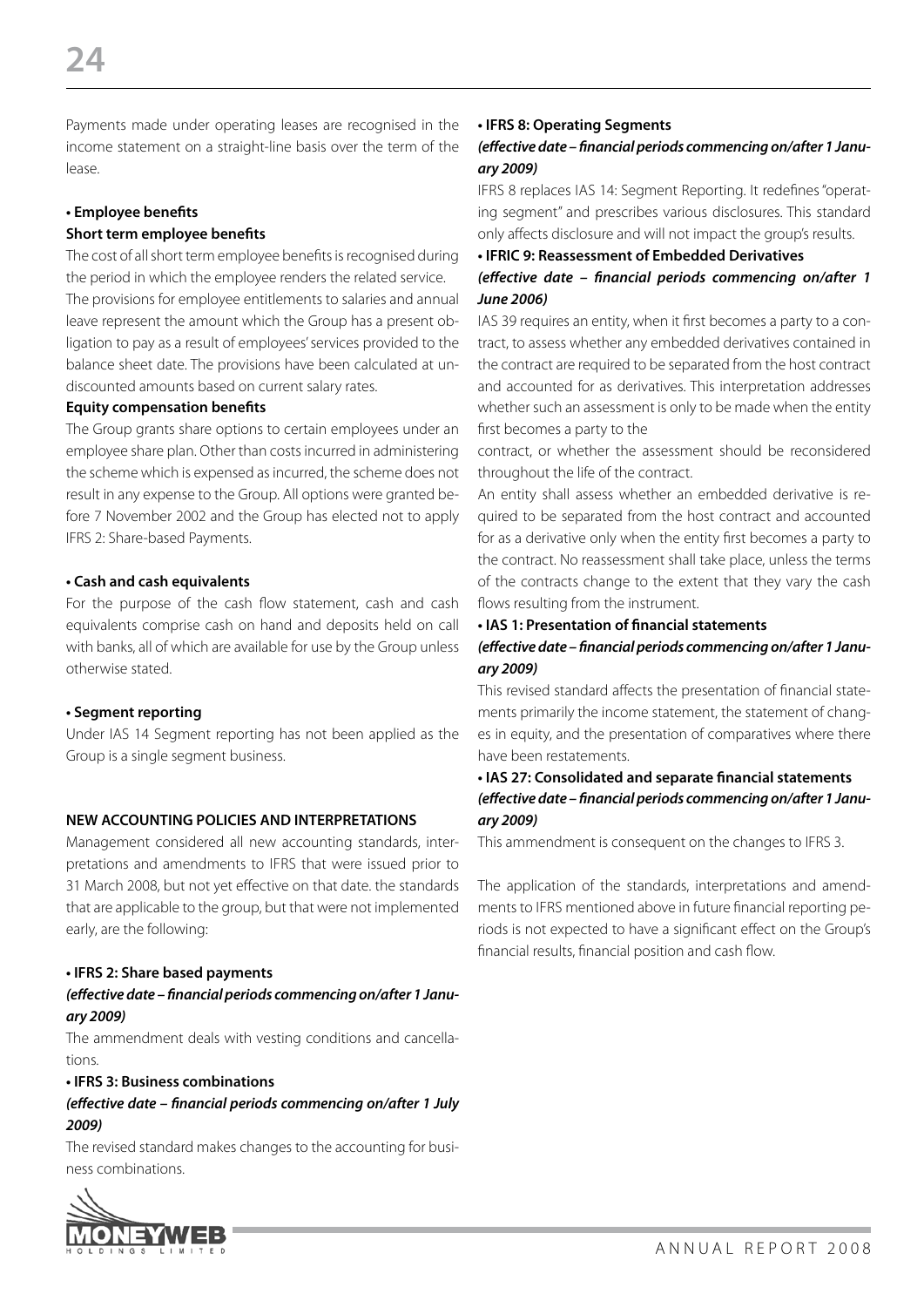Payments made under operating leases are recognised in the income statement on a straight-line basis over the term of the lease.

## **• Employee benefits**

#### **Short term employee benefits**

The cost of all short term employee benefits is recognised during the period in which the employee renders the related service. The provisions for employee entitlements to salaries and annual leave represent the amount which the Group has a present obligation to pay as a result of employees' services provided to the balance sheet date. The provisions have been calculated at undiscounted amounts based on current salary rates.

#### **Equity compensation benefits**

The Group grants share options to certain employees under an employee share plan. Other than costs incurred in administering the scheme which is expensed as incurred, the scheme does not result in any expense to the Group. All options were granted before 7 November 2002 and the Group has elected not to apply IFRS 2: Share-based Payments.

### **• Cash and cash equivalents**

For the purpose of the cash flow statement, cash and cash equivalents comprise cash on hand and deposits held on call with banks, all of which are available for use by the Group unless otherwise stated.

### **• Segment reporting**

Under IAS 14 Segment reporting has not been applied as the Group is a single segment business.

### **NEW ACCOUNTING POLICIES AND INTERPRETATIONS**

Management considered all new accounting standards, interpretations and amendments to ifrS that were issued prior to 31 March 2008, but not yet effective on that date. the standards that are applicable to the group, but that were not implemented early, are the following:

#### **• IFRS 2: Share based payments**

## *(effective date – financial periods commencing on/after 1 January 2009)*

The ammendment deals with vesting conditions and cancellations.

#### **• IFRS 3: Business combinations**

## *(effective date – financial periods commencing on/after 1 July 2009)*

The revised standard makes changes to the accounting for business combinations.



#### **• IFRS 8: Operating Segments**

## *(effective date – financial periods commencing on/after 1 January 2009)*

IFRS 8 replaces IAS 14: Segment Reporting. It redefines "operating segment" and prescribes various disclosures. This standard only affects disclosure and will not impact the group's results.

#### **• IFRIC 9: Reassessment of Embedded Derivatives**

### *(effective date – financial periods commencing on/after 1 June 2006)*

IAS 39 requires an entity, when it first becomes a party to a contract, to assess whether any embedded derivatives contained in the contract are required to be separated from the host contract and accounted for as derivatives. This interpretation addresses whether such an assessment is only to be made when the entity first becomes a party to the

contract, or whether the assessment should be reconsidered throughout the life of the contract.

An entity shall assess whether an embedded derivative is required to be separated from the host contract and accounted for as a derivative only when the entity first becomes a party to the contract. No reassessment shall take place, unless the terms of the contracts change to the extent that they vary the cash flows resulting from the instrument.

#### **• IAS 1: Presentation of financial statements**

## *(effective date – financial periods commencing on/after 1 January 2009)*

This revised standard affects the presentation of financial statements primarily the income statement, the statement of changes in equity, and the presentation of comparatives where there have been restatements.

## **• IAS 27: Consolidated and separate financial statements** *(effective date – financial periods commencing on/after 1 January 2009)*

This ammendment is consequent on the changes to IFRS 3.

The application of the standards, interpretations and amendments to IFRS mentioned above in future financial reporting periods is not expected to have a significant effect on the Group's financial results, financial position and cash flow.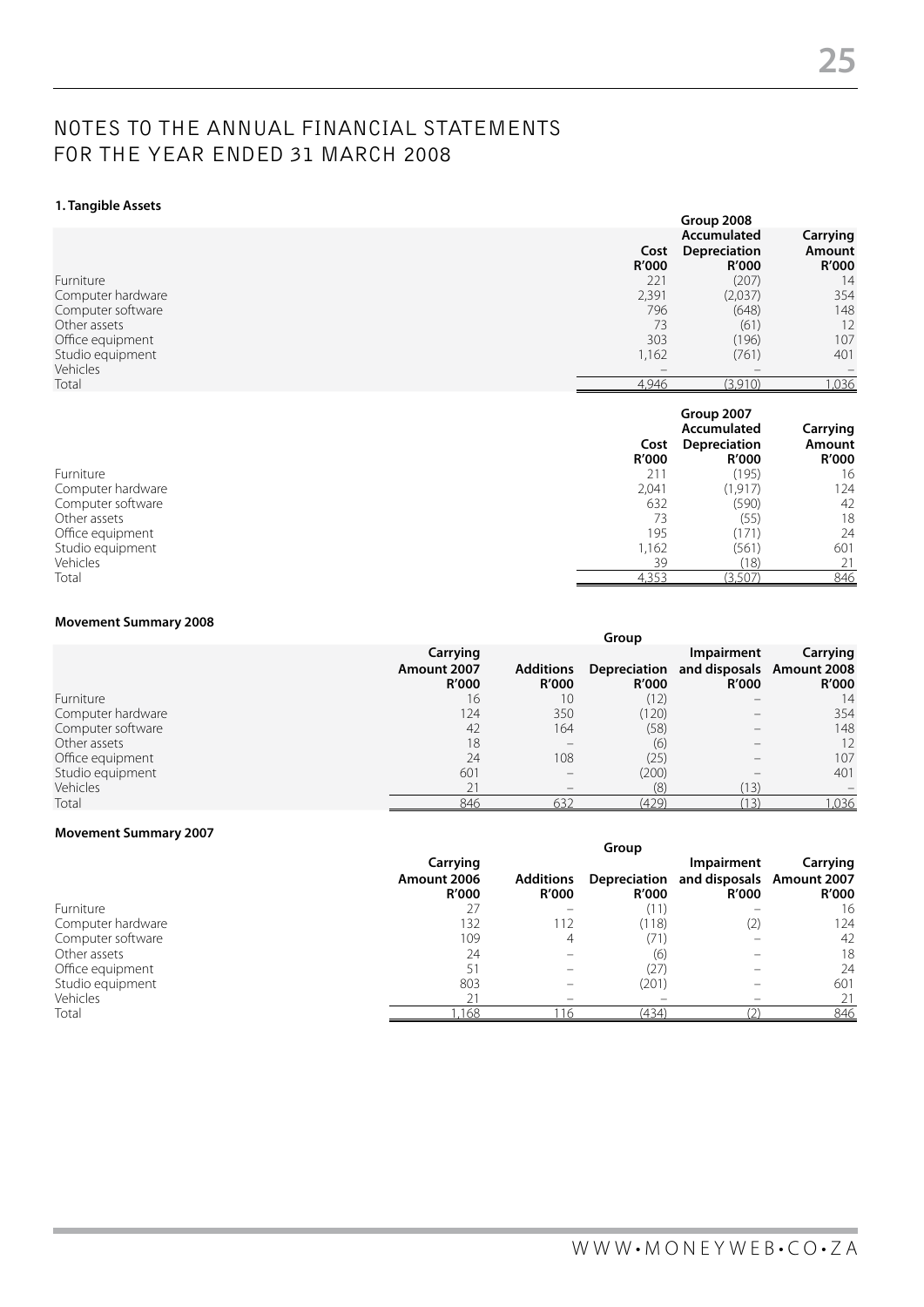# NOTES TO THE ANNUAL FINANCIAL STATEMENTS FOR THE YEAR ENDED 31 MARCH 2008

#### **1. Tangible Assets**

|                   |                              | Group 2008                                                                |                                    |
|-------------------|------------------------------|---------------------------------------------------------------------------|------------------------------------|
|                   | Cost<br><b>R'000</b>         | Accumulated<br>Depreciation<br><b>R'000</b>                               | Carrying<br>Amount<br><b>R'000</b> |
| Furniture         | 221                          | (207)                                                                     | 14                                 |
| Computer hardware | 2,391                        | (2,037)                                                                   | 354                                |
| Computer software | 796                          | (648)                                                                     | 148                                |
| Other assets      | 73                           | (61)                                                                      | 12                                 |
| Office equipment  | 303                          | (196)                                                                     | 107                                |
| Studio equipment  | 1,162                        | (761)                                                                     | 401                                |
| Vehicles          | $\qquad \qquad \blacksquare$ | $\hspace{1.0cm} \rule{1.5cm}{0.15cm} \hspace{1.0cm} \rule{1.5cm}{0.15cm}$ | $\overline{\phantom{a}}$           |
| Total             | 4.946                        | (3,910)                                                                   | 0.036                              |

|                   | Cost         | Group 2007<br>Accumulated<br>Depreciation | Carrying<br>Amount |
|-------------------|--------------|-------------------------------------------|--------------------|
|                   | <b>R'000</b> | <b>R'000</b>                              | <b>R'000</b>       |
| Furniture         | $21^{\circ}$ | (195)                                     | 16                 |
| Computer hardware | 2.041        | (1, 917)                                  | 124                |
| Computer software | 632          | (590)                                     | 42                 |
| Other assets      | 73           | (55)                                      | 18                 |
| Office equipment  | 195          | (171)                                     | 24                 |
| Studio equipment  | 1,162        | (561)                                     | 601                |
| Vehicles          | 39           | (18)                                      |                    |
| Total             | 4,353        | (3,507)                                   | 846                |

#### **Movement Summary 2008**

|                   |              |                              | Group        |                                        |                                 |
|-------------------|--------------|------------------------------|--------------|----------------------------------------|---------------------------------|
|                   | Carrying     |                              |              | Impairment                             | Carrying                        |
|                   | Amount 2007  | <b>Additions</b>             |              | Depreciation and disposals Amount 2008 |                                 |
|                   | <b>R'000</b> | <b>R'000</b>                 | <b>R'000</b> | <b>R'000</b>                           | <b>R'000</b>                    |
| Furniture         | 16           | 10                           | (12)         |                                        | 14                              |
| Computer hardware | 124          | 350                          | (120)        |                                        | 354                             |
| Computer software | 42           | 164                          | (58)         |                                        | 148                             |
| Other assets      | 18           |                              | (6)          |                                        | 12                              |
| Office equipment  | 24           | 108                          | (25)         |                                        | 107                             |
| Studio equipment  | 601          | $\qquad \qquad \blacksquare$ | (200)        |                                        | 401                             |
| Vehicles          | 21           | $\qquad \qquad \blacksquare$ | (8)          | 13)                                    | $\hspace{0.1mm}-\hspace{0.1mm}$ |
| Total             | 846          | 632                          | (429)        | 13)                                    | 1,036                           |

#### **Movement Summary 2007**

|                   | Carrying                    |                           | Group        | <b>Impairment</b>                                      | Carrying     |
|-------------------|-----------------------------|---------------------------|--------------|--------------------------------------------------------|--------------|
|                   | Amount 2006<br><b>R'000</b> | Additions<br><b>R'000</b> | <b>R'000</b> | Depreciation and disposals Amount 2007<br><b>R'000</b> | <b>R'000</b> |
| Furniture         | 27                          |                           | (11)         |                                                        | 16           |
| Computer hardware | 132                         | 112                       | (118)        | (2)                                                    | 124          |
| Computer software | 109                         | 4                         | (71)         |                                                        | 42           |
| Other assets      | 24                          |                           | (6)          |                                                        | 18           |
| Office equipment  | 51                          |                           | (27)         |                                                        | 24           |
| Studio equipment  | 803                         |                           | (201)        |                                                        | 601          |
| Vehicles          |                             |                           |              |                                                        |              |
| Total             | 168                         | 16                        | (434)        |                                                        | 846          |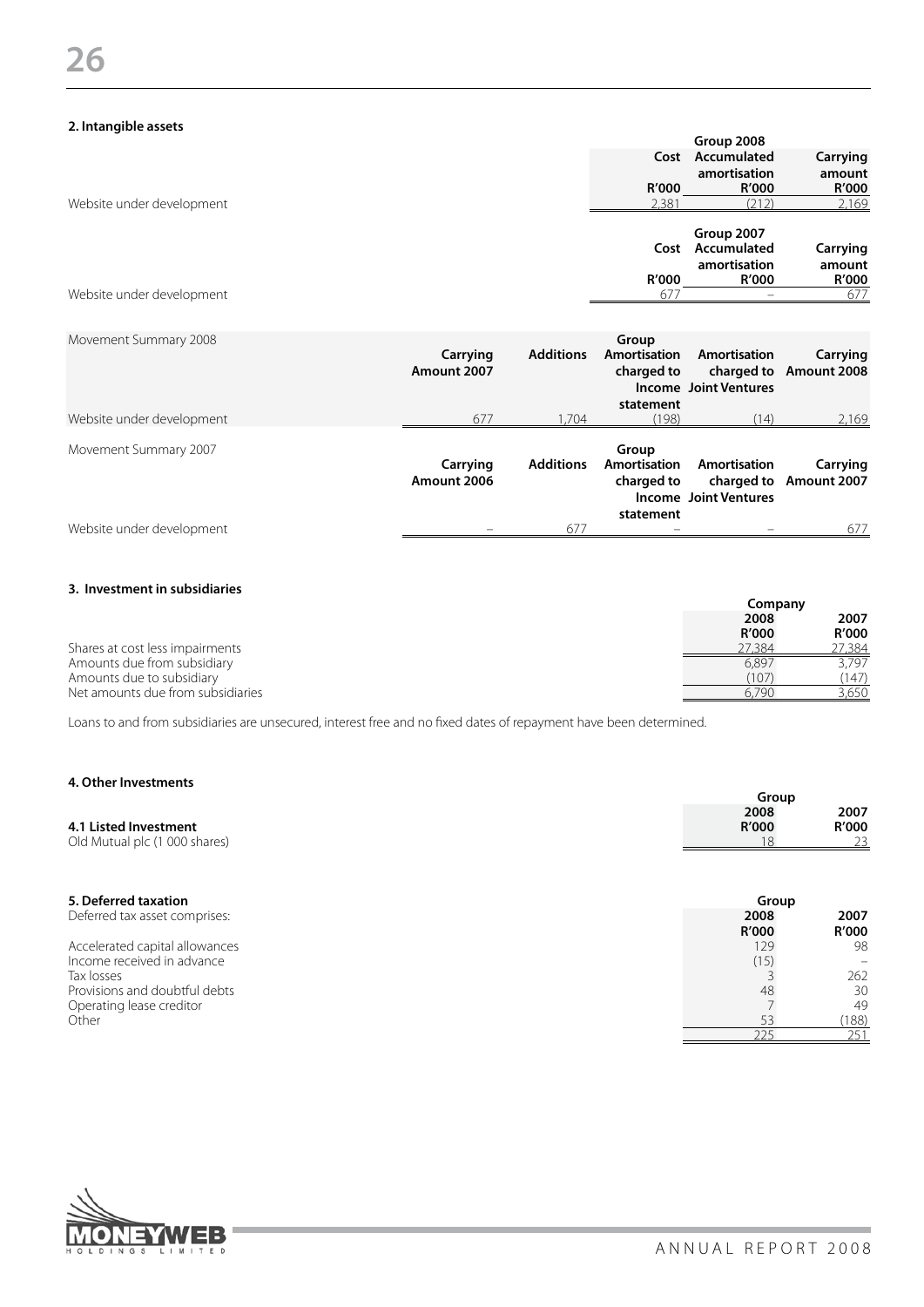#### **2. Intangible assets**

|                           |                      | Group 2008                                                |                                    |
|---------------------------|----------------------|-----------------------------------------------------------|------------------------------------|
|                           | Cost                 | Accumulated<br>amortisation                               | Carrying<br>amount                 |
|                           | <b>R'000</b>         | <b>R'000</b>                                              | <b>R'000</b>                       |
| Website under development | 2,381                | (212)                                                     | 2,169                              |
|                           | Cost<br><b>R'000</b> | Group 2007<br>Accumulated<br>amortisation<br><b>R'000</b> | Carrying<br>amount<br><b>R'000</b> |
| Website under development | 677                  |                                                           | 677                                |

| Movement Summary 2008     | Carrying<br>Amount 2007 | <b>Additions</b> | Group<br><b>Amortisation</b><br>charged to | Amortisation<br><b>Income Joint Ventures</b> | Carrying<br>charged to Amount 2008 |
|---------------------------|-------------------------|------------------|--------------------------------------------|----------------------------------------------|------------------------------------|
| Website under development | 677                     | .704             | statement<br>(198)                         | (14)                                         | 2,169                              |
| Movement Summary 2007     | Carrying<br>Amount 2006 | <b>Additions</b> | Group<br>Amortisation<br>charged to        | Amortisation<br><b>Income Joint Ventures</b> | Carrying<br>charged to Amount 2007 |
| Website under development |                         | 677              | statement                                  |                                              | 677                                |

#### **3. Investment in subsidiaries**

|                                   | Company      |              |
|-----------------------------------|--------------|--------------|
|                                   | 2008         | 2007         |
|                                   | <b>R'000</b> | <b>R'000</b> |
| Shares at cost less impairments   | 27.384       | 27,384       |
| Amounts due from subsidiary       | 6.897        | 3.797        |
| Amounts due to subsidiary         | (107)        | (147)        |
| Net amounts due from subsidiaries | 6.790        | 3.650        |

Loans to and from subsidiaries are unsecured, interest free and no fixed dates of repayment have been determined.

#### **4. Other Investments**

|                                                        |                            | Group                      |  |  |
|--------------------------------------------------------|----------------------------|----------------------------|--|--|
| 4.1 Listed Investment<br>Old Mutual plc (1 000 shares) | 2008<br><b>R'000</b><br>18 | 2007<br><b>R'000</b><br>23 |  |  |
| 5. Deferred taxation                                   | Group                      |                            |  |  |
|                                                        |                            |                            |  |  |
| Deferred tax asset comprises:                          | 2008                       | 2007                       |  |  |
|                                                        | <b>R'000</b>               | <b>R'000</b>               |  |  |
| Accelerated capital allowances                         | 129                        | 98                         |  |  |
| Income received in advance                             | (15)                       |                            |  |  |
| Tax losses                                             |                            | 262                        |  |  |
| Provisions and doubtful debts                          | 48                         | 30                         |  |  |
| Operating lease creditor                               |                            | 49                         |  |  |
| Other                                                  | 53                         | (188)                      |  |  |
|                                                        | 225                        | 251                        |  |  |

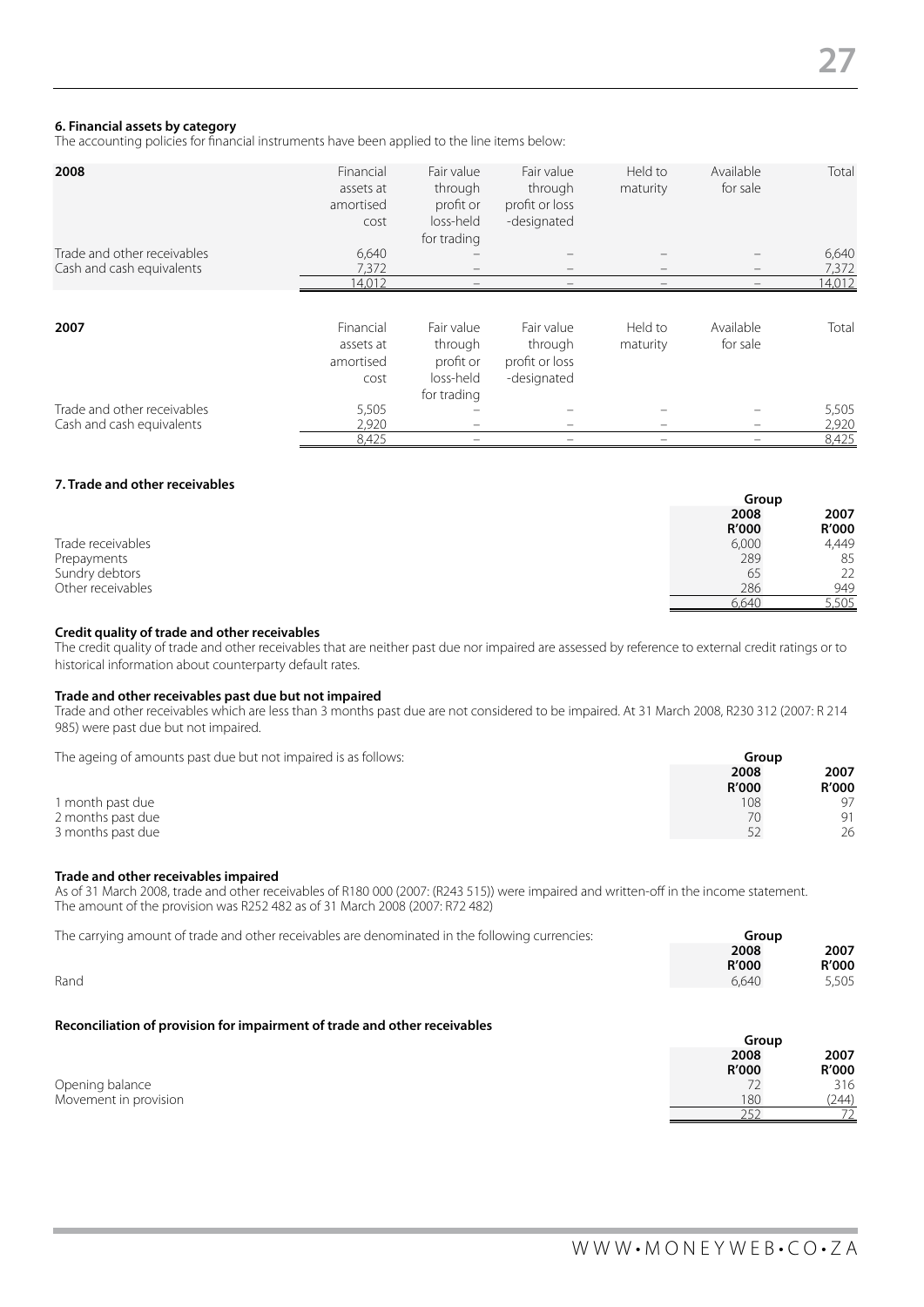#### **6. Financial assets by category**

The accounting policies for financial instruments have been applied to the line items below:

| 2008                        | Financial<br>assets at<br>amortised<br>cost | Fair value<br>through<br>profit or<br>loss-held<br>for trading | Fair value<br>through<br>profit or loss<br>-designated | Held to<br>maturity | Available<br>for sale | Total  |
|-----------------------------|---------------------------------------------|----------------------------------------------------------------|--------------------------------------------------------|---------------------|-----------------------|--------|
| Trade and other receivables | 6,640                                       |                                                                |                                                        |                     |                       | 6,640  |
| Cash and cash equivalents   | 7,372                                       |                                                                |                                                        |                     |                       | 7,372  |
|                             | 14,012                                      |                                                                |                                                        |                     |                       | 14,012 |
| 2007                        | Financial<br>assets at<br>amortised<br>cost | Fair value<br>through<br>profit or<br>loss-held<br>for trading | Fair value<br>through<br>profit or loss<br>-designated | Held to<br>maturity | Available<br>for sale | Total  |
| Trade and other receivables | 5,505                                       |                                                                |                                                        |                     |                       | 5,505  |
| Cash and cash equivalents   | 2,920                                       |                                                                |                                                        |                     |                       | 2,920  |
|                             | 8,425                                       |                                                                |                                                        |                     |                       | 8,425  |

#### **7. Trade and other receivables**

|                   |              | Group        |  |
|-------------------|--------------|--------------|--|
|                   | 2008         | 2007         |  |
|                   | <b>R'000</b> | <b>R'000</b> |  |
| Trade receivables | 6,000        | 4.449        |  |
| Prepayments       | 289          | 85           |  |
| Sundry debtors    | 65           | 22           |  |
| Other receivables | 286          | 949          |  |
|                   | 6,640        | 5,505        |  |

#### **Credit quality of trade and other receivables**

The credit quality of trade and other receivables that are neither past due nor impaired are assessed by reference to external credit ratings or to historical information about counterparty default rates.

#### **Trade and other receivables past due but not impaired**

Trade and other receivables which are less than 3 months past due are not considered to be impaired. At 31 March 2008, R230 312 (2007: R 214 985) were past due but not impaired.

The ageing of amounts past due but not impaired is as follows: **Group**

| The agenty of antiourity past due but not impaired is as follows. | ----         |              |  |
|-------------------------------------------------------------------|--------------|--------------|--|
|                                                                   | 2008         | 2007         |  |
|                                                                   | <b>R'000</b> | <b>R'000</b> |  |
| 1 month past due                                                  | 108          | 97           |  |
| 2 months past due                                                 | 70           | 91           |  |
| 3 months past due                                                 |              | 26           |  |

#### **Trade and other receivables impaired**

As of 31 March 2008, trade and other receivables of R180 000 (2007: (R243 515)) were impaired and written-off in the income statement. The amount of the provision was R252 482 as of 31 March 2008 (2007: R72 482)

The carrying amount of trade and other receivables are denominated in the following currencies: **Group**

|      | ___<br>2008  | 2007  |
|------|--------------|-------|
|      | <b>R'000</b> | R'000 |
| Rand | 6,640        | 5,505 |
|      |              |       |

#### **Reconciliation of provision for impairment of trade and other receivables**

| Opening balance       | $\sim$ $\sim$ | 316   |
|-----------------------|---------------|-------|
| Movement in provision | 180           | '744' |

**Group**

**2008 2007**

252 72

**R'000 R'000**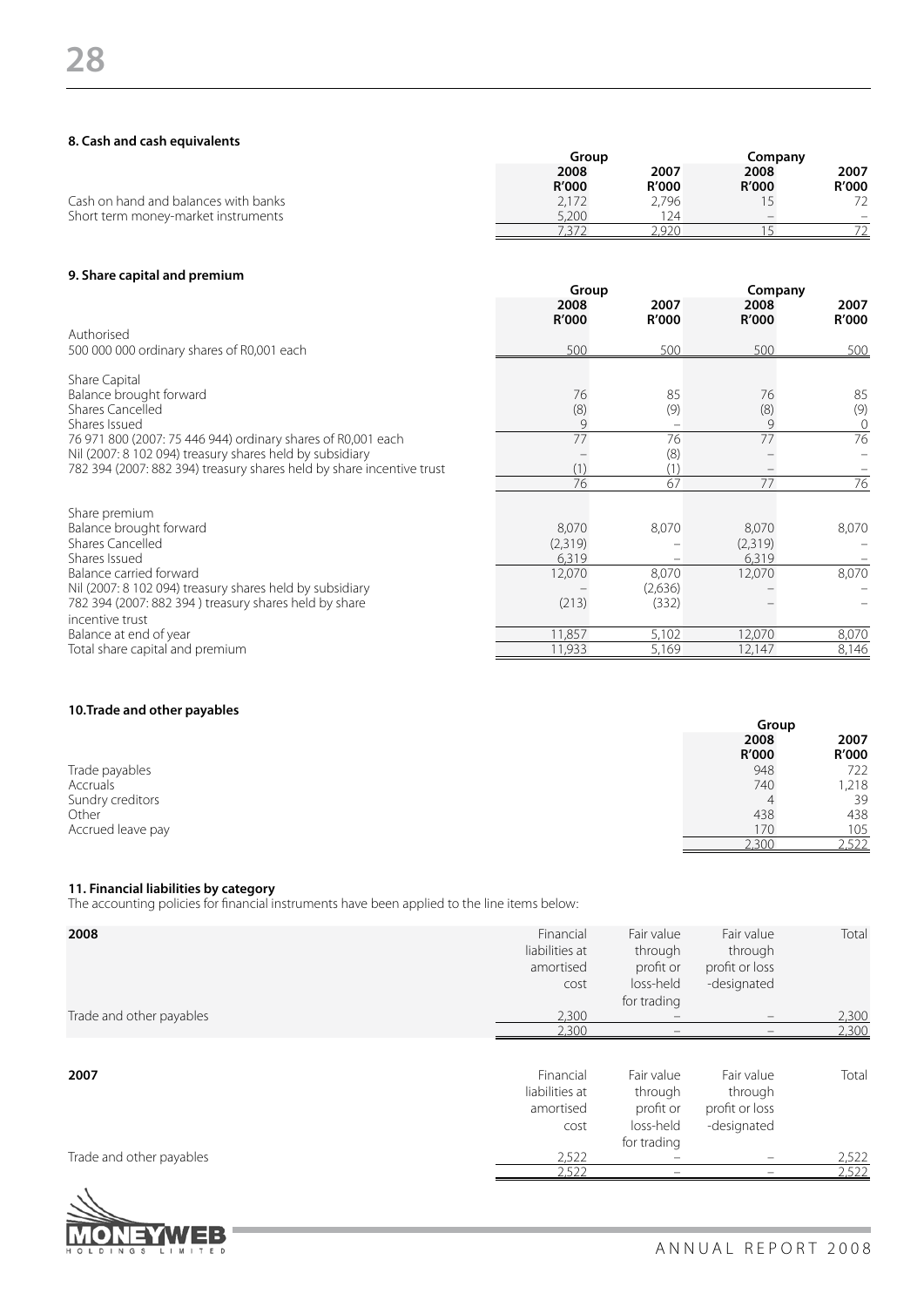#### **8. Cash and cash equivalents**

|                                      | Group        |              |              | Companv      |  |
|--------------------------------------|--------------|--------------|--------------|--------------|--|
|                                      | 2008         | 2007         | 2008         | 2007         |  |
|                                      | <b>R'000</b> | <b>R'000</b> | <b>R'000</b> | <b>R'000</b> |  |
| Cash on hand and balances with banks | 2.172        | 2.796        |              |              |  |
| Short term money-market instruments  | 5,200        | ' 24         |              |              |  |
|                                      |              | 2.920        |              |              |  |

#### **9. Share capital and premium**

|                                                                       | Group                |                      |                      | Company              |  |
|-----------------------------------------------------------------------|----------------------|----------------------|----------------------|----------------------|--|
|                                                                       | 2008<br><b>R'000</b> | 2007<br><b>R'000</b> | 2008<br><b>R'000</b> | 2007<br><b>R'000</b> |  |
| Authorised                                                            |                      |                      |                      |                      |  |
| 500 000 000 ordinary shares of R0,001 each                            | 500                  | 500                  | 500                  | 500                  |  |
|                                                                       |                      |                      |                      |                      |  |
| Share Capital<br>Balance brought forward                              | 76                   | 85                   | 76                   | 85                   |  |
| <b>Shares Cancelled</b>                                               | (8)                  | (9)                  | (8)                  | (9)                  |  |
| Shares Issued                                                         | 9                    |                      | 9                    | $\mathbf 0$          |  |
| 76 971 800 (2007: 75 446 944) ordinary shares of R0,001 each          | 77                   | 76                   | 77                   | 76                   |  |
| Nil (2007: 8 102 094) treasury shares held by subsidiary              |                      | (8)                  |                      |                      |  |
| 782 394 (2007: 882 394) treasury shares held by share incentive trust |                      | (1)                  |                      |                      |  |
|                                                                       | 76                   | 67                   | 77                   | 76                   |  |
|                                                                       |                      |                      |                      |                      |  |
| Share premium                                                         |                      |                      |                      |                      |  |
| Balance brought forward                                               | 8,070                | 8,070                | 8,070                | 8,070                |  |
| <b>Shares Cancelled</b>                                               | (2,319)              |                      | (2,319)              |                      |  |
| Shares Issued<br>Balance carried forward                              | 6,319<br>12,070      | 8,070                | 6,319<br>12,070      | 8,070                |  |
| Nil (2007: 8 102 094) treasury shares held by subsidiary              |                      | (2,636)              |                      |                      |  |
| 782 394 (2007: 882 394) treasury shares held by share                 | (213)                | (332)                |                      |                      |  |
| incentive trust                                                       |                      |                      |                      |                      |  |
| Balance at end of year                                                | 11,857               | 5,102                | 12,070               | 8,070                |  |
| Total share capital and premium                                       | 11,933               | 5,169                | 12,147               | 8,146                |  |

#### **10.Trade and other payables**

|                   |               | Group         |  |
|-------------------|---------------|---------------|--|
|                   | 2008<br>R'000 | 2007<br>R'000 |  |
| Trade payables    | 948           | 722           |  |
| Accruals          | 740           | ,218          |  |
| Sundry creditors  |               | 39            |  |
| Other             | 438           | 438           |  |
| Accrued leave pay | 170           | 105           |  |
|                   | 2,300         | 2,522         |  |

#### **11. Financial liabilities by category**

The accounting policies for financial instruments have been applied to the line items below:

| liabilities at<br>through<br>through<br>amortised<br>profit or<br>profit or loss<br>-designated<br>loss-held<br>cost<br>for trading<br>Trade and other payables<br>2,300<br>2,300 |       |
|-----------------------------------------------------------------------------------------------------------------------------------------------------------------------------------|-------|
|                                                                                                                                                                                   |       |
|                                                                                                                                                                                   |       |
|                                                                                                                                                                                   |       |
|                                                                                                                                                                                   | 2,300 |
|                                                                                                                                                                                   | 2,300 |
|                                                                                                                                                                                   |       |
| Fair value<br>Fair value<br>2007<br>Financial                                                                                                                                     | Total |
| liabilities at<br>through<br>through                                                                                                                                              |       |
| profit or<br>profit or loss<br>amortised                                                                                                                                          |       |
| -designated<br>loss-held<br>cost                                                                                                                                                  |       |
| for trading                                                                                                                                                                       |       |
| Trade and other payables<br>2,522                                                                                                                                                 | 2,522 |
| 2,522<br>2,522                                                                                                                                                                    |       |

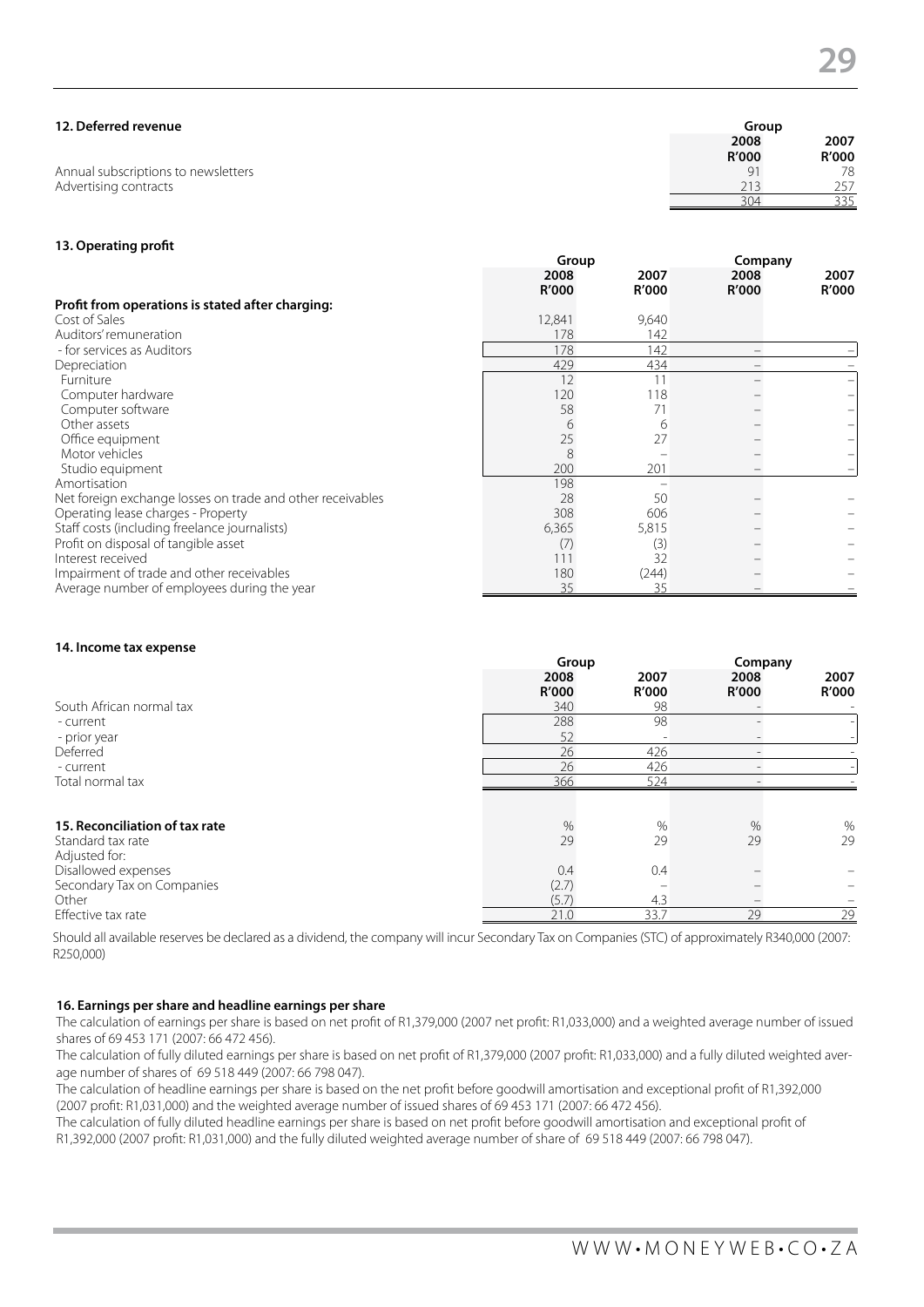#### **12. Deferred revenue Group 2008 2007 R'000 R'000** Annual subscriptions to newsletters and the subsection of the state of the state of the state of the state of the state of the state of the state of the state of the state of the state of the state of the state of the stat Advertising contracts 213 257<br>335 257 304 335  $304$

#### **13. Operating profit**

|                                                            | Group                |                      |                      | Company              |  |
|------------------------------------------------------------|----------------------|----------------------|----------------------|----------------------|--|
|                                                            | 2008<br><b>R'000</b> | 2007<br><b>R'000</b> | 2008<br><b>R'000</b> | 2007<br><b>R'000</b> |  |
| Profit from operations is stated after charging:           |                      |                      |                      |                      |  |
| Cost of Sales                                              | 12,841               | 9,640                |                      |                      |  |
| Auditors' remuneration                                     | 178                  | 142                  |                      |                      |  |
| - for services as Auditors                                 | 178                  | 142                  |                      |                      |  |
| Depreciation                                               | 429                  | 434                  |                      |                      |  |
| Furniture                                                  | 12                   | 11                   |                      |                      |  |
| Computer hardware                                          | 120                  | 118                  |                      |                      |  |
| Computer software                                          | 58                   | 71                   |                      |                      |  |
| Other assets                                               | 6                    | 6                    |                      |                      |  |
| Office equipment                                           | 25                   | 27                   |                      |                      |  |
| Motor vehicles                                             | 8                    |                      |                      |                      |  |
| Studio equipment                                           | 200                  | 201                  |                      |                      |  |
| Amortisation                                               | 198                  |                      |                      |                      |  |
| Net foreign exchange losses on trade and other receivables | 28                   | 50                   |                      |                      |  |
| Operating lease charges - Property                         | 308                  | 606                  |                      |                      |  |
| Staff costs (including freelance journalists)              | 6,365                | 5,815                |                      |                      |  |
| Profit on disposal of tangible asset                       | (7)                  | (3)                  |                      |                      |  |
| Interest received                                          | 111                  | 32                   |                      |                      |  |
| Impairment of trade and other receivables                  | 180                  | (244)                |                      |                      |  |
|                                                            |                      | 35                   |                      |                      |  |
| Average number of employees during the year                |                      |                      |                      |                      |  |

#### **14. Income tax expense**

|                                | Group                |                      |                          | Company              |  |
|--------------------------------|----------------------|----------------------|--------------------------|----------------------|--|
|                                | 2008<br><b>R'000</b> | 2007<br><b>R'000</b> | 2008<br><b>R'000</b>     | 2007<br><b>R'000</b> |  |
| South African normal tax       | 340                  | 98                   |                          |                      |  |
| - current                      | 288                  | 98                   |                          |                      |  |
| - prior year                   | 52                   |                      |                          |                      |  |
| Deferred                       | 26                   | 426                  | $\overline{a}$           |                      |  |
| - current                      | 26                   | 426                  | $\overline{\phantom{a}}$ |                      |  |
| Total normal tax               | 366                  | 524                  |                          |                      |  |
|                                |                      |                      |                          |                      |  |
| 15. Reconciliation of tax rate | %                    | %                    | $\%$                     | $\%$                 |  |
| Standard tax rate              | 29                   | 29                   | 29                       | 29                   |  |
| Adjusted for:                  |                      |                      |                          |                      |  |
| Disallowed expenses            | 0.4                  | 0.4                  |                          |                      |  |
| Secondary Tax on Companies     | (2.7)                |                      |                          |                      |  |
| Other                          | (5.7)                | 4.3                  |                          |                      |  |
| Effective tax rate             | 21.0                 | 33.7                 | 29                       | 29                   |  |

Should all available reserves be declared as a dividend, the company will incur Secondary Tax on Companies (STC) of approximately R340,000 (2007: R250,000)

#### **16. Earnings per share and headline earnings per share**

The calculation of earnings per share is based on net profit of R1,379,000 (2007 net profit: R1,033,000) and a weighted average number of issued shares of 69 453 171 (2007: 66 472 456).

The calculation of fully diluted earnings per share is based on net profit of R1,379,000 (2007 profit: R1,033,000) and a fully diluted weighted average number of shares of 69 518 449 (2007: 66 798 047).

The calculation of headline earnings per share is based on the net profit before goodwill amortisation and exceptional profit of R1,392,000 (2007 profit: R1,031,000) and the weighted average number of issued shares of 69 453 171 (2007: 66 472 456).

The calculation of fully diluted headline earnings per share is based on net profit before goodwill amortisation and exceptional profit of R1,392,000 (2007 profit: R1,031,000) and the fully diluted weighted average number of share of 69 518 449 (2007: 66 798 047).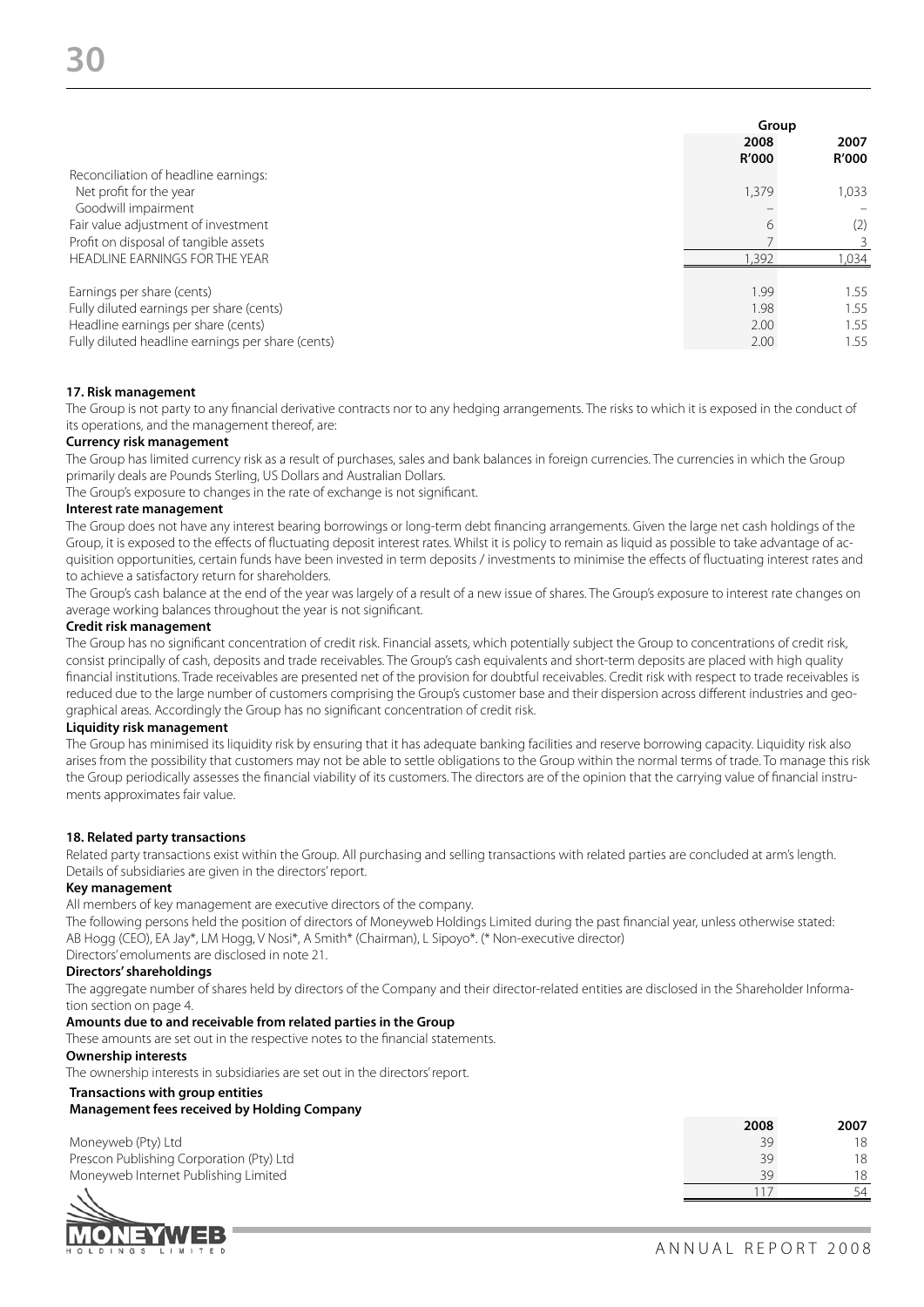|                                                   | Group                |                      |
|---------------------------------------------------|----------------------|----------------------|
|                                                   | 2008<br><b>R'000</b> | 2007<br><b>R'000</b> |
| Reconciliation of headline earnings:              |                      |                      |
| Net profit for the year                           | 1,379                | 1,033                |
| Goodwill impairment                               |                      |                      |
| Fair value adjustment of investment               | 6                    | (2)                  |
| Profit on disposal of tangible assets             |                      | 3                    |
| HEADLINE EARNINGS FOR THE YEAR                    | 1,392                | 1,034                |
|                                                   |                      |                      |
| Earnings per share (cents)                        | 1.99                 | 1.55                 |
| Fully diluted earnings per share (cents)          | 1.98                 | 1.55                 |
| Headline earnings per share (cents)               | 2.00                 | 1.55                 |
| Fully diluted headline earnings per share (cents) | 2.00                 | 1.55                 |

#### **17. Risk management**

The Group is not party to any financial derivative contracts nor to any hedging arrangements. The risks to which it is exposed in the conduct of its operations, and the management thereof, are:

#### **Currency risk management**

The Group has limited currency risk as a result of purchases, sales and bank balances in foreign currencies. The currencies in which the Group primarily deals are Pounds Sterling, US Dollars and Australian Dollars.

The Group's exposure to changes in the rate of exchange is not significant.

#### **Interest rate management**

The Group does not have any interest bearing borrowings or long-term debt financing arrangements. Given the large net cash holdings of the Group, it is exposed to the effects of fluctuating deposit interest rates. Whilst it is policy to remain as liquid as possible to take advantage of acquisition opportunities, certain funds have been invested in term deposits / investments to minimise the effects of fluctuating interest rates and to achieve a satisfactory return for shareholders.

The Group's cash balance at the end of the year was largely of a result of a new issue of shares. The Group's exposure to interest rate changes on average working balances throughout the year is not significant.

#### **Credit risk management**

The Group has no significant concentration of credit risk. Financial assets, which potentially subject the Group to concentrations of credit risk, consist principally of cash, deposits and trade receivables. The Group's cash equivalents and short-term deposits are placed with high quality financial institutions. Trade receivables are presented net of the provision for doubtful receivables. Credit risk with respect to trade receivables is reduced due to the large number of customers comprising the Group's customer base and their dispersion across different industries and geographical areas. Accordingly the Group has no significant concentration of credit risk.

#### **Liquidity risk management**

The Group has minimised its liquidity risk by ensuring that it has adequate banking facilities and reserve borrowing capacity. Liquidity risk also arises from the possibility that customers may not be able to settle obligations to the Group within the normal terms of trade. To manage this risk the Group periodically assesses the financial viability of its customers. The directors are of the opinion that the carrying value of financial instruments approximates fair value.

#### **18. Related party transactions**

Related party transactions exist within the Group. All purchasing and selling transactions with related parties are concluded at arm's length. Details of subsidiaries are given in the directors' report.

#### **Key management**

All members of key management are executive directors of the company.

The following persons held the position of directors of Moneyweb Holdings Limited during the past financial year, unless otherwise stated: AB Hogg (CEO), EA Jay\*, LM Hogg, V Nosi\*, A Smith\* (Chairman), L Sipoyo\*. (\* Non-executive director)

## Directors' emoluments are disclosed in note 21.

#### **Directors' shareholdings**

The aggregate number of shares held by directors of the Company and their director-related entities are disclosed in the Shareholder Information section on page 4.

#### **Amounts due to and receivable from related parties in the Group**

These amounts are set out in the respective notes to the financial statements.

#### **Ownership interests**

The ownership interests in subsidiaries are set out in the directors' report.

#### **Transactions with group entities**

#### **Management fees received by Holding Company**

|                                          | 2008 | 2007 |
|------------------------------------------|------|------|
| Moneyweb (Pty) Ltd                       | 39   |      |
| Prescon Publishing Corporation (Pty) Ltd | 30   |      |
| Moneyweb Internet Publishing Limited     | 30   |      |
|                                          |      |      |

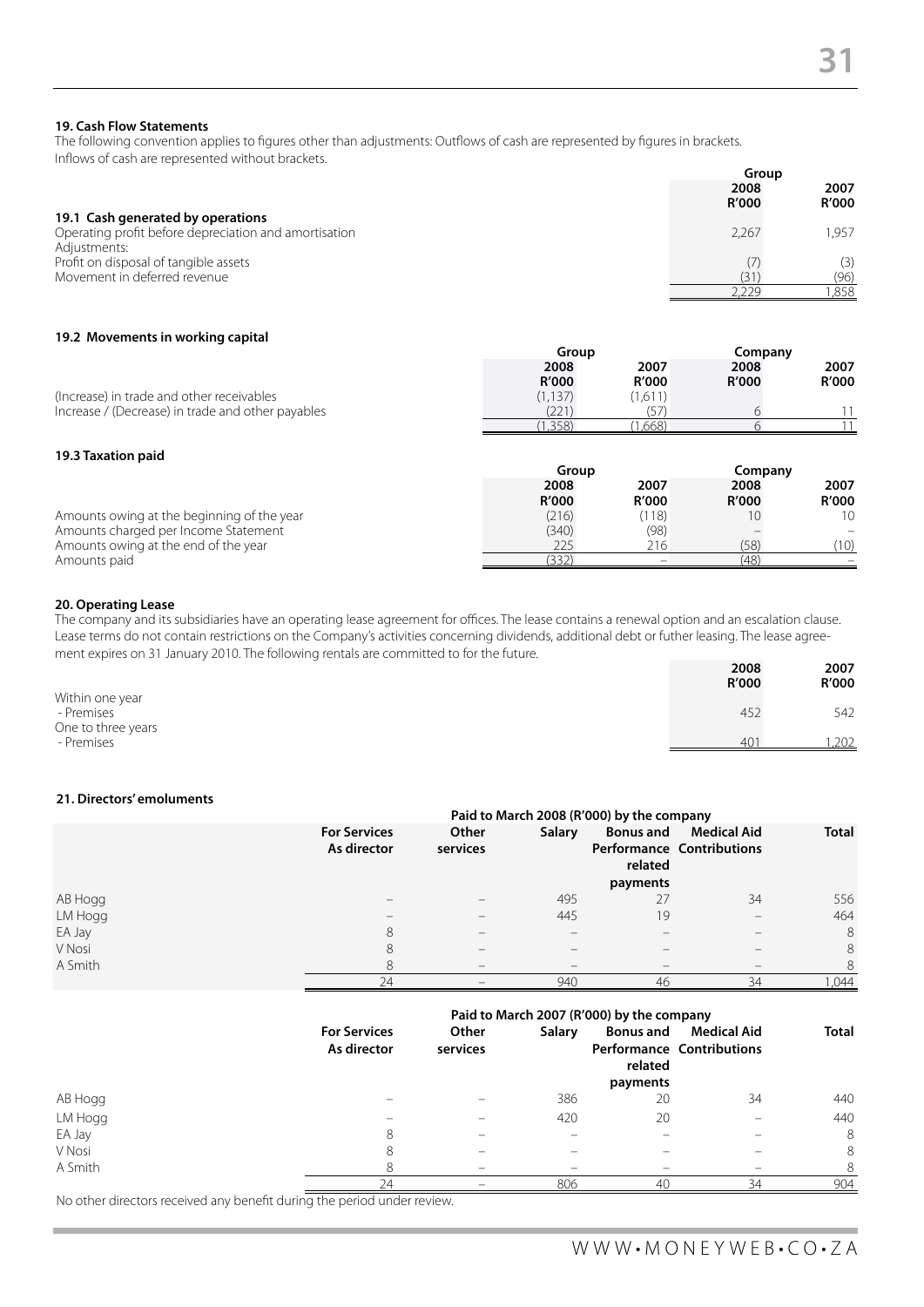#### **19. Cash Flow Statements**

The following convention applies to figures other than adjustments: Outflows of cash are represented by figures in brackets. Inflows of cash are represented without brackets.

|                                                       | Group                |                      |  |
|-------------------------------------------------------|----------------------|----------------------|--|
|                                                       | 2008<br><b>R'000</b> | 2007<br><b>R'000</b> |  |
| 19.1 Cash generated by operations                     |                      |                      |  |
| Operating profit before depreciation and amortisation | 2.267                | 1.957                |  |
| Adjustments:                                          |                      |                      |  |
| Profit on disposal of tangible assets                 |                      | (3)                  |  |
| Movement in deferred revenue                          | (31)                 | (96)                 |  |
|                                                       | 2.229                | ,858                 |  |

#### **19.2 Movements in working capital**

| $1212$ $1101211121112$ $11111111112$ $11111112$   | Group                |                      |                      | Company              |
|---------------------------------------------------|----------------------|----------------------|----------------------|----------------------|
|                                                   | 2008<br><b>R'000</b> | 2007<br><b>R'000</b> | 2008<br><b>R'000</b> | 2007<br><b>R'000</b> |
| (Increase) in trade and other receivables         | (1, 137)             | (1,611)              |                      |                      |
| Increase / (Decrease) in trade and other payables | (221)                | (57)                 | 6                    |                      |
|                                                   | (1, 358)             | (1,668)              |                      |                      |
| 19.3 Taxation paid                                | Group                |                      | Company              |                      |
|                                                   | 2008<br><b>R'000</b> | 2007<br><b>R'000</b> | 2008<br><b>R'000</b> | 2007<br><b>R'000</b> |
| Amounts owing at the beginning of the year        | (216)                | (118)                |                      | 10                   |
| Amounts charged per Income Statement              | (340)                | (98)                 |                      |                      |
| Amounts owing at the end of the year              | 225                  | 216                  | (58)                 | (10)                 |
| Amounts paid                                      | (332)                |                      | (48)                 |                      |

#### **20. Operating Lease**

The company and its subsidiaries have an operating lease agreement for offices. The lease contains a renewal option and an escalation clause. Lease terms do not contain restrictions on the Company's activities concerning dividends, additional debt or futher leasing. The lease agreement expires on 31 January 2010. The following rentals are committed to for the future.

|                                                     | $\tilde{}$ | 2008<br>R'000 | 2007<br><b>R'000</b> |
|-----------------------------------------------------|------------|---------------|----------------------|
| Within one year<br>- Premises<br>One to three years |            | 452           | 542                  |
| - Premises                                          |            | 40            | .202                 |

#### **21. Directors' emoluments**

|         |                                    | Paid to March 2008 (R'000) by the company |        |                             |                                                        |              |  |  |
|---------|------------------------------------|-------------------------------------------|--------|-----------------------------|--------------------------------------------------------|--------------|--|--|
|         | <b>For Services</b><br>As director | Other<br>services                         | Salary | <b>Bonus and</b><br>related | <b>Medical Aid</b><br><b>Performance Contributions</b> | <b>Total</b> |  |  |
|         |                                    |                                           |        | payments                    |                                                        |              |  |  |
| AB Hogg |                                    |                                           | 495    | 27                          | 34                                                     | 556          |  |  |
| LM Hogg | $\overline{\phantom{a}}$           |                                           | 445    | 19                          | $\overline{\phantom{a}}$                               | 464          |  |  |
| EA Jay  | 8                                  |                                           |        |                             |                                                        | 8            |  |  |
| V Nosi  | 8                                  |                                           |        |                             |                                                        | 8            |  |  |
| A Smith | 8                                  |                                           |        |                             |                                                        | 8            |  |  |
|         | 24                                 |                                           | 940    | 46                          | 34                                                     | 1.044        |  |  |

|         | Paid to March 2007 (R'000) by the company |                   |                          |                             |                                                 |              |  |
|---------|-------------------------------------------|-------------------|--------------------------|-----------------------------|-------------------------------------------------|--------------|--|
|         | <b>For Services</b><br>As director        | Other<br>services | <b>Salary</b>            | <b>Bonus and</b><br>related | Medical Aid<br><b>Performance Contributions</b> | <b>Total</b> |  |
|         |                                           |                   |                          | payments                    |                                                 |              |  |
| AB Hogg |                                           |                   | 386                      | 20                          | 34                                              | 440          |  |
| LM Hogg |                                           |                   | 420                      | 20                          | -                                               | 440          |  |
| EA Jay  | 8                                         |                   | $\overline{\phantom{a}}$ |                             |                                                 | 8            |  |
| V Nosi  | 8                                         |                   | -                        |                             | -                                               | 8            |  |
| A Smith | 8                                         |                   | -                        |                             |                                                 | 8            |  |
|         | 24                                        | -                 | 806                      | 40                          | 34                                              | 904          |  |

No other directors received any benefit during the period under review.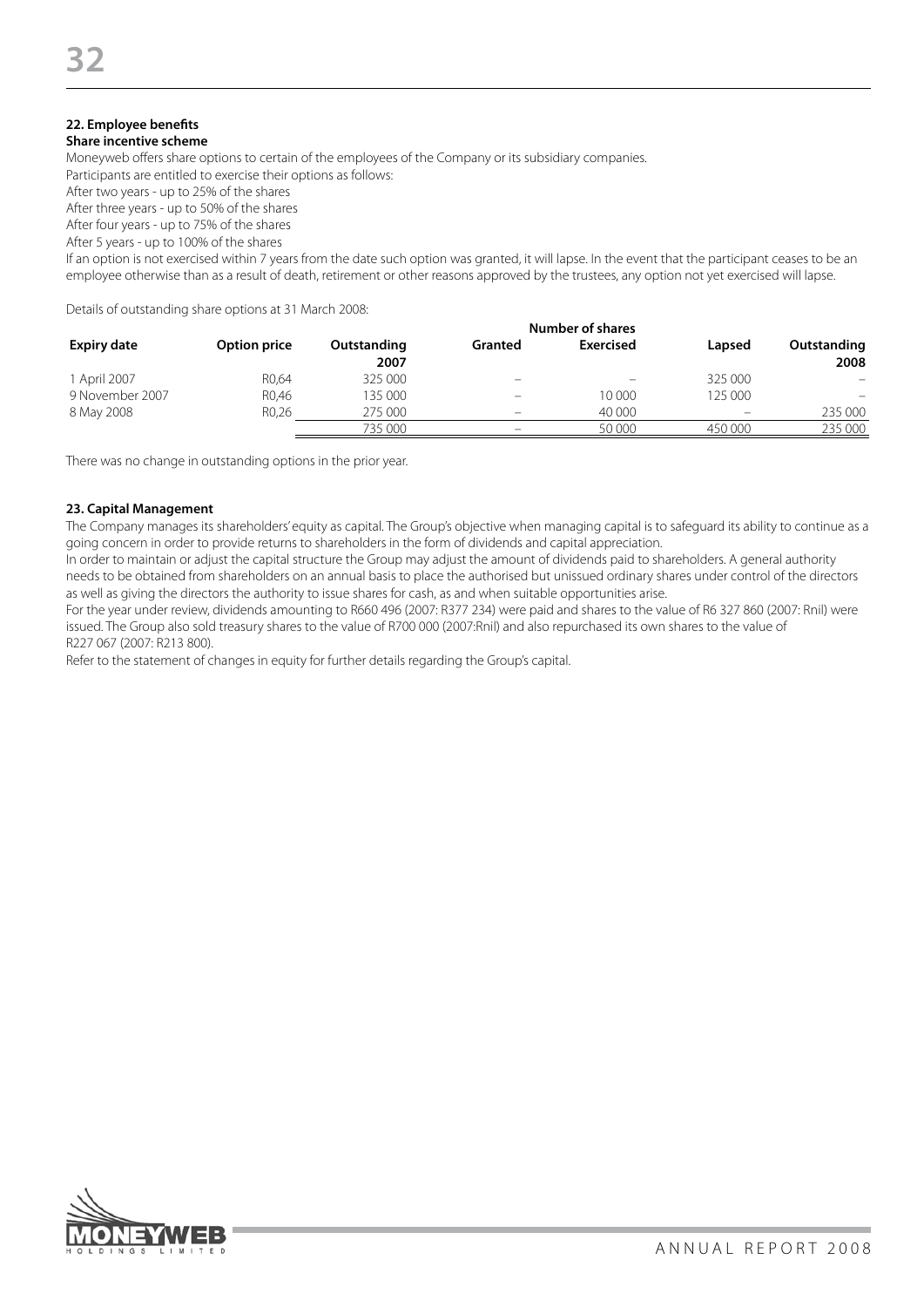#### **22. Employee benefits Share incentive scheme**

### Moneyweb offers share options to certain of the employees of the Company or its subsidiary companies.

Participants are entitled to exercise their options as follows:

After two years - up to 25% of the shares

After three years - up to 50% of the shares

After four years - up to 75% of the shares

After 5 years - up to 100% of the shares

If an option is not exercised within 7 years from the date such option was granted, it will lapse. In the event that the participant ceases to be an employee otherwise than as a result of death, retirement or other reasons approved by the trustees, any option not yet exercised will lapse.

Details of outstanding share options at 31 March 2008:

|                 | Number of shares   |                     |         |                          |                          |                          |  |  |
|-----------------|--------------------|---------------------|---------|--------------------------|--------------------------|--------------------------|--|--|
| Expiry date     | Option price       | Outstanding<br>2007 | Granted | Exercised                | Lapsed                   | Outstanding<br>2008      |  |  |
| April 2007      | R0.64              | 325 000             | -       | $\overline{\phantom{a}}$ | 325 000                  | -                        |  |  |
| 9 November 2007 | R0,46              | 135 000             | -       | 10 000                   | 125 000                  | $\overline{\phantom{0}}$ |  |  |
| 8 May 2008      | R <sub>0</sub> ,26 | 275 000             | -       | 40 000                   | $\overline{\phantom{a}}$ | 235 000                  |  |  |
|                 |                    | 735 000             |         | 50 000                   | 450 000                  | 235 000                  |  |  |

There was no change in outstanding options in the prior year.

#### **23. Capital Management**

The Company manages its shareholders' equity as capital. The Group's objective when managing capital is to safeguard its ability to continue as a going concern in order to provide returns to shareholders in the form of dividends and capital appreciation.

In order to maintain or adjust the capital structure the Group may adjust the amount of dividends paid to shareholders. A general authority needs to be obtained from shareholders on an annual basis to place the authorised but unissued ordinary shares under control of the directors as well as giving the directors the authority to issue shares for cash, as and when suitable opportunities arise.

For the year under review, dividends amounting to R660 496 (2007: R377 234) were paid and shares to the value of R6 327 860 (2007: Rnil) were issued. The Group also sold treasury shares to the value of R700 000 (2007:Rnil) and also repurchased its own shares to the value of R227 067 (2007: R213 800).

Refer to the statement of changes in equity for further details regarding the Group's capital.

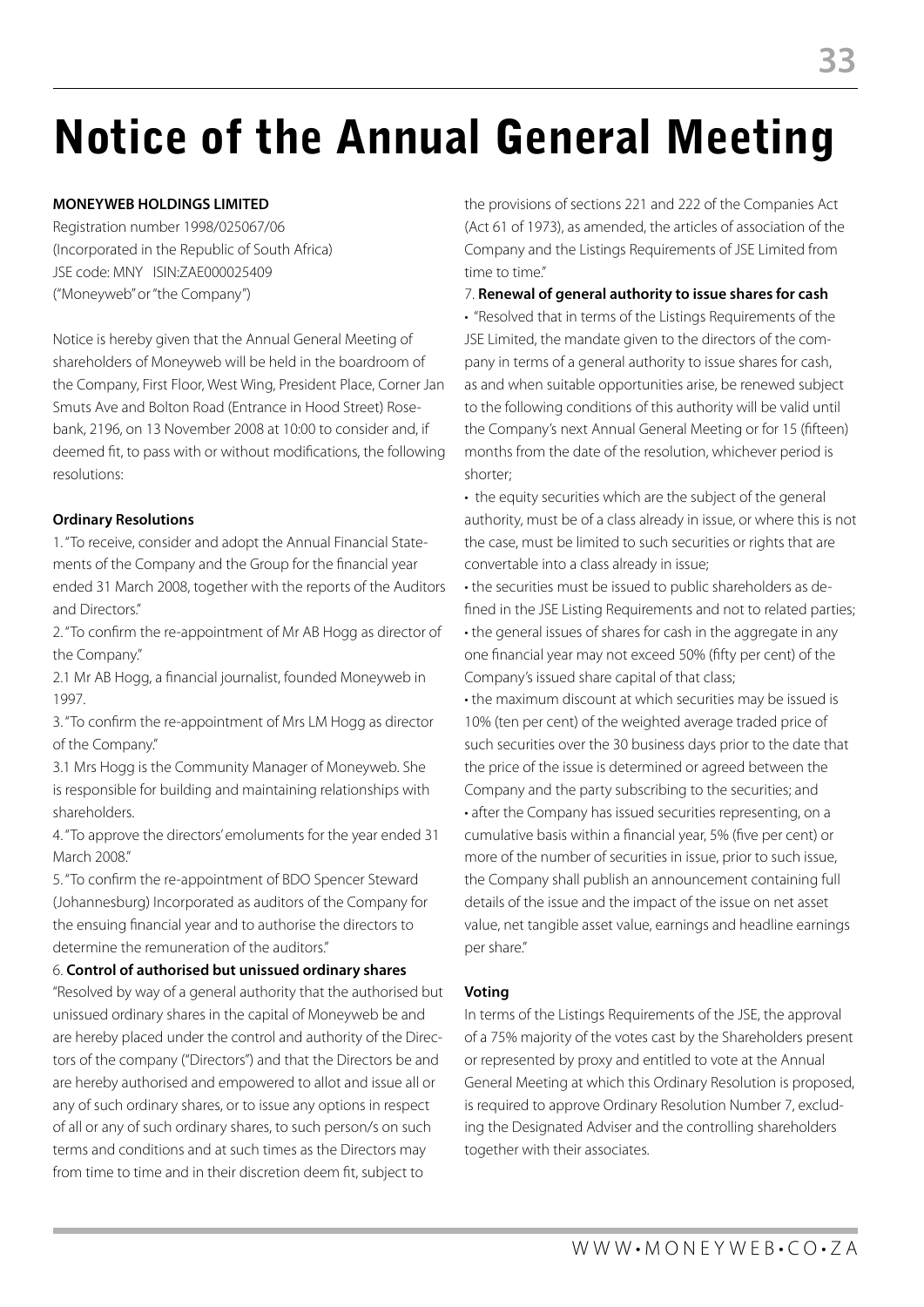# Notice of the Annual General Meeting

### **MONEYWEB HOLDINGS LIMITED**

Registration number 1998/025067/06 (Incorporated in the Republic of South Africa) JSE code: MNY ISIN:ZAE000025409 ("Moneyweb" or "the Company")

Notice is hereby given that the Annual General Meeting of shareholders of Moneyweb will be held in the boardroom of the Company, First Floor, West Wing, President Place, Corner Jan Smuts Ave and Bolton Road (Entrance in Hood Street) Rosebank, 2196, on 13 November 2008 at 10:00 to consider and, if deemed fit, to pass with or without modifications, the following resolutions:

## **Ordinary Resolutions**

1. "To receive, consider and adopt the Annual Financial Statements of the Company and the Group for the financial year ended 31 March 2008, together with the reports of the Auditors and Directors."

2. "To confirm the re-appointment of Mr AB Hogg as director of the Company."

2.1 Mr AB Hogg, a financial journalist, founded Moneyweb in 1997.

3. "To confirm the re-appointment of Mrs LM Hogg as director of the Company."

3.1 Mrs Hogg is the Community Manager of Moneyweb. She is responsible for building and maintaining relationships with shareholders.

4. "To approve the directors' emoluments for the year ended 31 March 2008."

5. "To confirm the re-appointment of BDO Spencer Steward (Johannesburg) Incorporated as auditors of the Company for the ensuing financial year and to authorise the directors to determine the remuneration of the auditors."

### 6. **Control of authorised but unissued ordinary shares**

"Resolved by way of a general authority that the authorised but unissued ordinary shares in the capital of Moneyweb be and are hereby placed under the control and authority of the Directors of the company ("Directors") and that the Directors be and are hereby authorised and empowered to allot and issue all or any of such ordinary shares, or to issue any options in respect of all or any of such ordinary shares, to such person/s on such terms and conditions and at such times as the Directors may from time to time and in their discretion deem fit, subject to

the provisions of sections 221 and 222 of the Companies Act (Act 61 of 1973), as amended, the articles of association of the Company and the Listings Requirements of JSE Limited from time to time."

7. **Renewal of general authority to issue shares for cash**

• "Resolved that in terms of the Listings Requirements of the JSE Limited, the mandate given to the directors of the company in terms of a general authority to issue shares for cash, as and when suitable opportunities arise, be renewed subject to the following conditions of this authority will be valid until the Company's next Annual General Meeting or for 15 (fifteen) months from the date of the resolution, whichever period is shorter;

• the equity securities which are the subject of the general authority, must be of a class already in issue, or where this is not the case, must be limited to such securities or rights that are convertable into a class already in issue;

• the securities must be issued to public shareholders as defined in the JSE Listing Requirements and not to related parties:

- the general issues of shares for cash in the aggregate in any one financial year may not exceed 50% (fifty per cent) of the Company's issued share capital of that class;
- the maximum discount at which securities may be issued is 10% (ten per cent) of the weighted average traded price of such securities over the 30 business days prior to the date that the price of the issue is determined or agreed between the Company and the party subscribing to the securities; and • after the Company has issued securities representing, on a cumulative basis within a financial year, 5% (five per cent) or more of the number of securities in issue, prior to such issue, the Company shall publish an announcement containing full details of the issue and the impact of the issue on net asset value, net tangible asset value, earnings and headline earnings per share."

### **Voting**

In terms of the Listings Requirements of the JSE, the approval of a 75% majority of the votes cast by the Shareholders present or represented by proxy and entitled to vote at the Annual General Meeting at which this Ordinary Resolution is proposed, is required to approve Ordinary Resolution Number 7, excluding the Designated Adviser and the controlling shareholders together with their associates.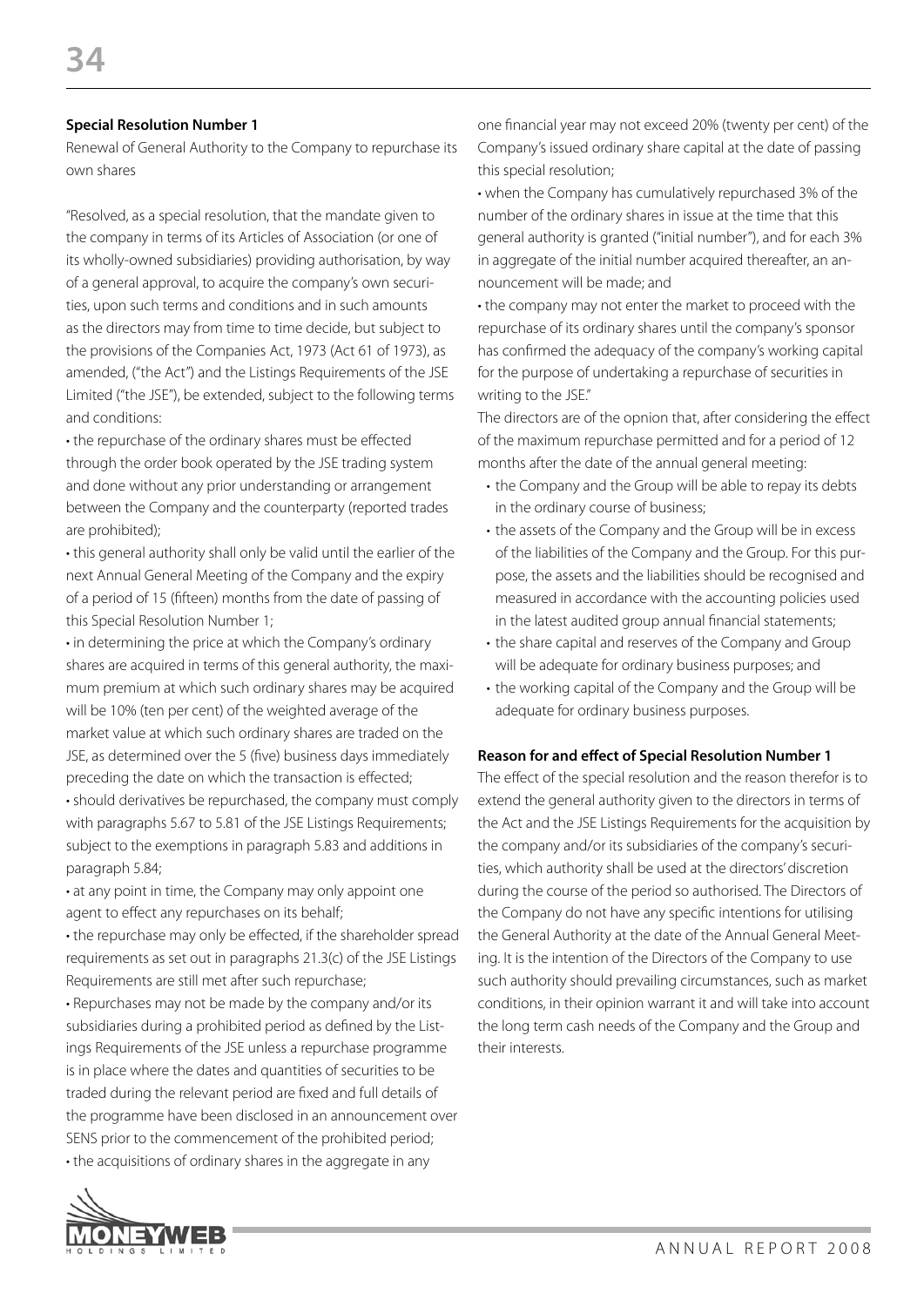### **Special Resolution Number 1**

Renewal of General Authority to the Company to repurchase its own shares

"Resolved, as a special resolution, that the mandate given to the company in terms of its Articles of Association (or one of its wholly-owned subsidiaries) providing authorisation, by way of a general approval, to acquire the company's own securities, upon such terms and conditions and in such amounts as the directors may from time to time decide, but subject to the provisions of the Companies Act, 1973 (Act 61 of 1973), as amended, ("the Act") and the Listings Requirements of the JSE Limited ("the JSE"), be extended, subject to the following terms and conditions:

• the repurchase of the ordinary shares must be effected through the order book operated by the JSE trading system and done without any prior understanding or arrangement between the Company and the counterparty (reported trades are prohibited);

• this general authority shall only be valid until the earlier of the next Annual General Meeting of the Company and the expiry of a period of 15 (fifteen) months from the date of passing of this Special Resolution Number 1;

• in determining the price at which the Company's ordinary shares are acquired in terms of this general authority, the maximum premium at which such ordinary shares may be acquired will be 10% (ten per cent) of the weighted average of the market value at which such ordinary shares are traded on the JSE, as determined over the 5 (five) business days immediately preceding the date on which the transaction is effected; • should derivatives be repurchased, the company must comply with paragraphs 5.67 to 5.81 of the JSE Listings Requirements; subject to the exemptions in paragraph 5.83 and additions in paragraph 5.84;

• at any point in time, the Company may only appoint one agent to effect any repurchases on its behalf;

• the repurchase may only be effected, if the shareholder spread requirements as set out in paragraphs 21.3(c) of the JSE Listings Requirements are still met after such repurchase;

• Repurchases may not be made by the company and/or its subsidiaries during a prohibited period as defined by the Listings Requirements of the JSE unless a repurchase programme is in place where the dates and quantities of securities to be traded during the relevant period are fixed and full details of the programme have been disclosed in an announcement over SENS prior to the commencement of the prohibited period; • the acquisitions of ordinary shares in the aggregate in any



• when the Company has cumulatively repurchased 3% of the number of the ordinary shares in issue at the time that this general authority is granted ("initial number"), and for each 3% in aggregate of the initial number acquired thereafter, an announcement will be made; and

• the company may not enter the market to proceed with the repurchase of its ordinary shares until the company's sponsor has confirmed the adequacy of the company's working capital for the purpose of undertaking a repurchase of securities in writing to the JSE."

The directors are of the opnion that, after considering the effect of the maximum repurchase permitted and for a period of 12 months after the date of the annual general meeting:

- the Company and the Group will be able to repay its debts in the ordinary course of business;
- the assets of the Company and the Group will be in excess of the liabilities of the Company and the Group. For this purpose, the assets and the liabilities should be recognised and measured in accordance with the accounting policies used in the latest audited group annual financial statements;
- the share capital and reserves of the Company and Group will be adequate for ordinary business purposes; and
- the working capital of the Company and the Group will be adequate for ordinary business purposes.

#### **Reason for and effect of Special Resolution Number 1**

The effect of the special resolution and the reason therefor is to extend the general authority given to the directors in terms of the Act and the JSE Listings Requirements for the acquisition by the company and/or its subsidiaries of the company's securities, which authority shall be used at the directors' discretion during the course of the period so authorised. The Directors of the Company do not have any specific intentions for utilising the General Authority at the date of the Annual General Meeting. It is the intention of the Directors of the Company to use such authority should prevailing circumstances, such as market conditions, in their opinion warrant it and will take into account the long term cash needs of the Company and the Group and their interests.

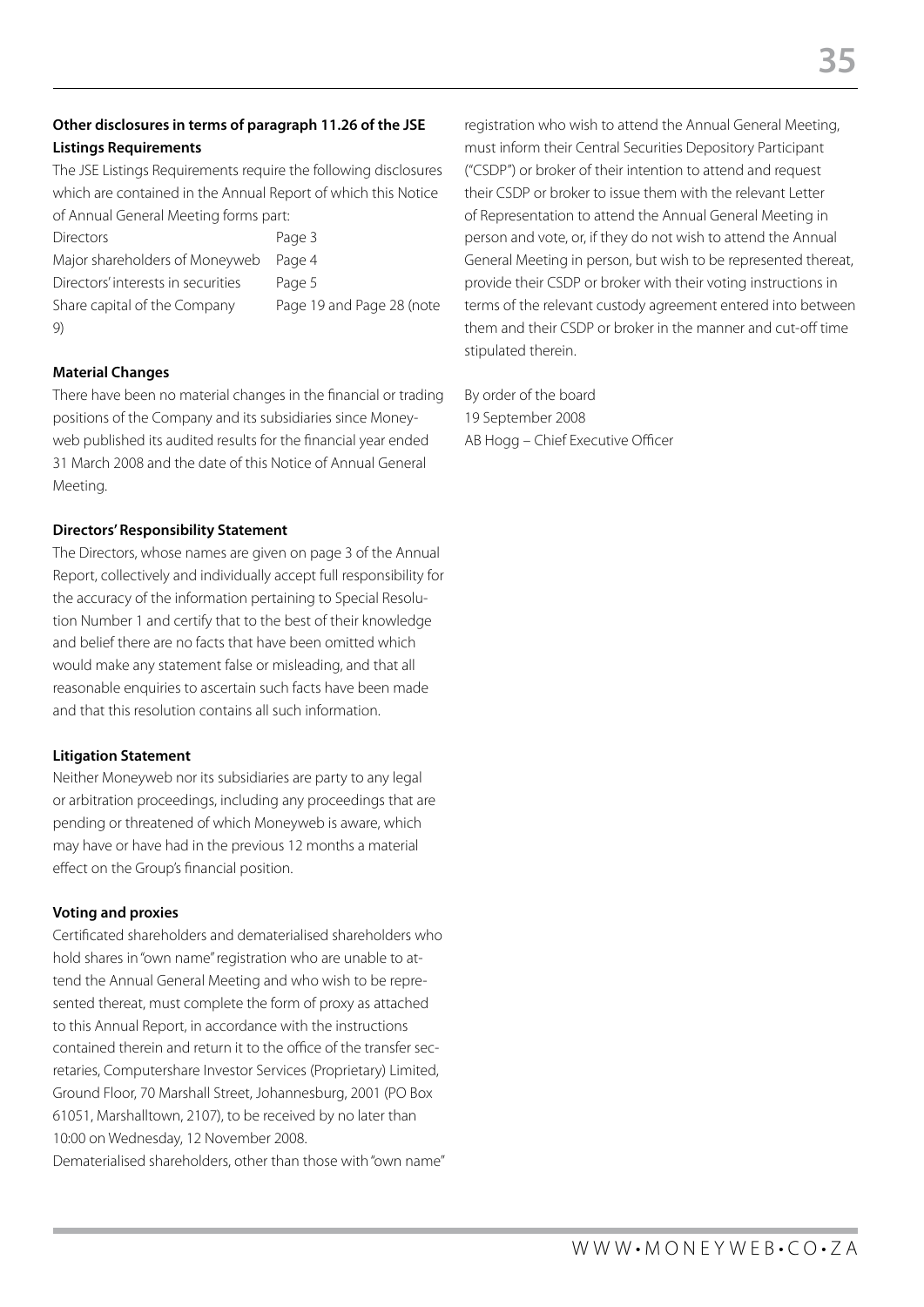## **Other disclosures in terms of paragraph 11.26 of the JSE Listings Requirements**

The JSE Listings Requirements require the following disclosures which are contained in the Annual Report of which this Notice of Annual General Meeting forms part:

Directors Page 3 Major shareholders of Moneyweb Page 4 Directors' interests in securities Page 5 Share capital of the Company Page 19 and Page 28 (note 9)

## **Material Changes**

There have been no material changes in the financial or trading positions of the Company and its subsidiaries since Moneyweb published its audited results for the financial year ended 31 March 2008 and the date of this Notice of Annual General Meeting.

## **Directors' Responsibility Statement**

The Directors, whose names are given on page 3 of the Annual Report, collectively and individually accept full responsibility for the accuracy of the information pertaining to Special Resolution Number 1 and certify that to the best of their knowledge and belief there are no facts that have been omitted which would make any statement false or misleading, and that all reasonable enquiries to ascertain such facts have been made and that this resolution contains all such information.

### **Litigation Statement**

Neither Moneyweb nor its subsidiaries are party to any legal or arbitration proceedings, including any proceedings that are pending or threatened of which Moneyweb is aware, which may have or have had in the previous 12 months a material effect on the Group's financial position.

### **Voting and proxies**

Certificated shareholders and dematerialised shareholders who hold shares in "own name" registration who are unable to attend the Annual General Meeting and who wish to be represented thereat, must complete the form of proxy as attached to this Annual Report, in accordance with the instructions contained therein and return it to the office of the transfer secretaries, Computershare Investor Services (Proprietary) Limited, Ground Floor, 70 Marshall Street, Johannesburg, 2001 (PO Box 61051, Marshalltown, 2107), to be received by no later than 10:00 on Wednesday, 12 November 2008. Dematerialised shareholders, other than those with "own name"

registration who wish to attend the Annual General Meeting, must inform their Central Securities Depository Participant ("CSDP") or broker of their intention to attend and request their CSDP or broker to issue them with the relevant Letter of Representation to attend the Annual General Meeting in person and vote, or, if they do not wish to attend the Annual General Meeting in person, but wish to be represented thereat, provide their CSDP or broker with their voting instructions in terms of the relevant custody agreement entered into between them and their CSDP or broker in the manner and cut-off time stipulated therein.

By order of the board 19 September 2008 AB Hogg – Chief Executive Officer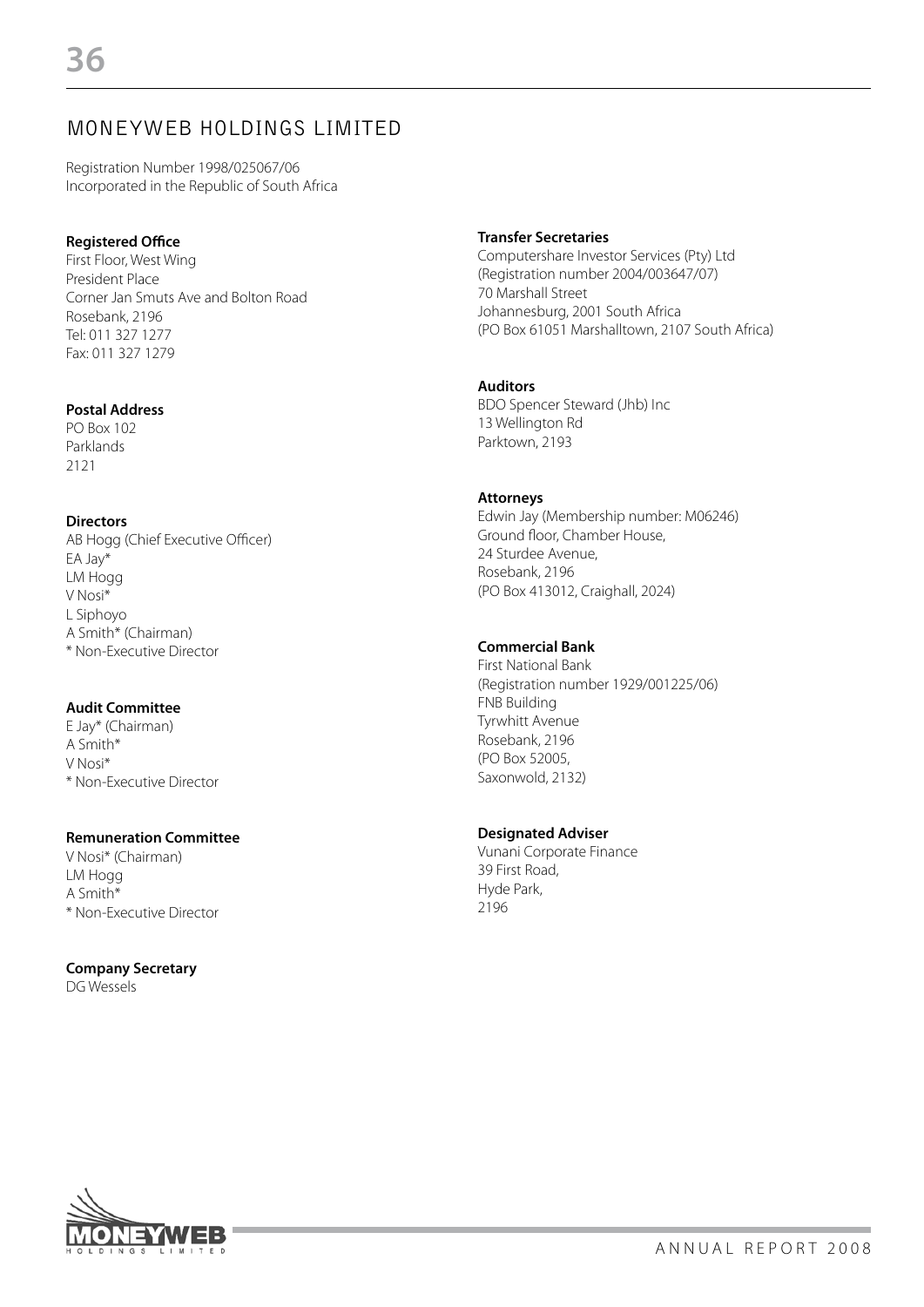# MONEYWEB HOLDINGS LIMITED

Registration Number 1998/025067/06 Incorporated in the Republic of South Africa

#### **Registered Office**

First Floor, West Wing President Place Corner Jan Smuts Ave and Bolton Road Rosebank, 2196 Tel: 011 327 1277 Fax: 011 327 1279

#### **Postal Address**

PO Box 102 Parklands 2121

#### **Directors**

AB Hogg (Chief Executive Officer) EA Jay\* LM Hogg V Nosi\* L Siphoyo A Smith\* (Chairman) \* Non-Executive Director

#### **Audit Committee**

E Jay\* (Chairman) A Smith\* V Nosi\* \* Non-Executive Director

#### **Remuneration Committee**

V Nosi\* (Chairman) LM Hogg A Smith\* \* Non-Executive Director

**Company Secretary**

DG Wessels

#### **Transfer Secretaries**

Computershare Investor Services (Pty) Ltd (Registration number 2004/003647/07) 70 Marshall Street Johannesburg, 2001 South Africa (PO Box 61051 Marshalltown, 2107 South Africa)

#### **Auditors**

BDO Spencer Steward (Jhb) Inc 13 Wellington Rd Parktown, 2193

#### **Attorneys**

Edwin Jay (Membership number: M06246) Ground floor, Chamber House, 24 Sturdee Avenue, Rosebank, 2196 (PO Box 413012, Craighall, 2024)

#### **Commercial Bank**

First National Bank (Registration number 1929/001225/06) FNB Building Tyrwhitt Avenue Rosebank, 2196 (PO Box 52005, Saxonwold, 2132)

#### **Designated Adviser**

Vunani Corporate Finance 39 First Road, Hyde Park, 2196